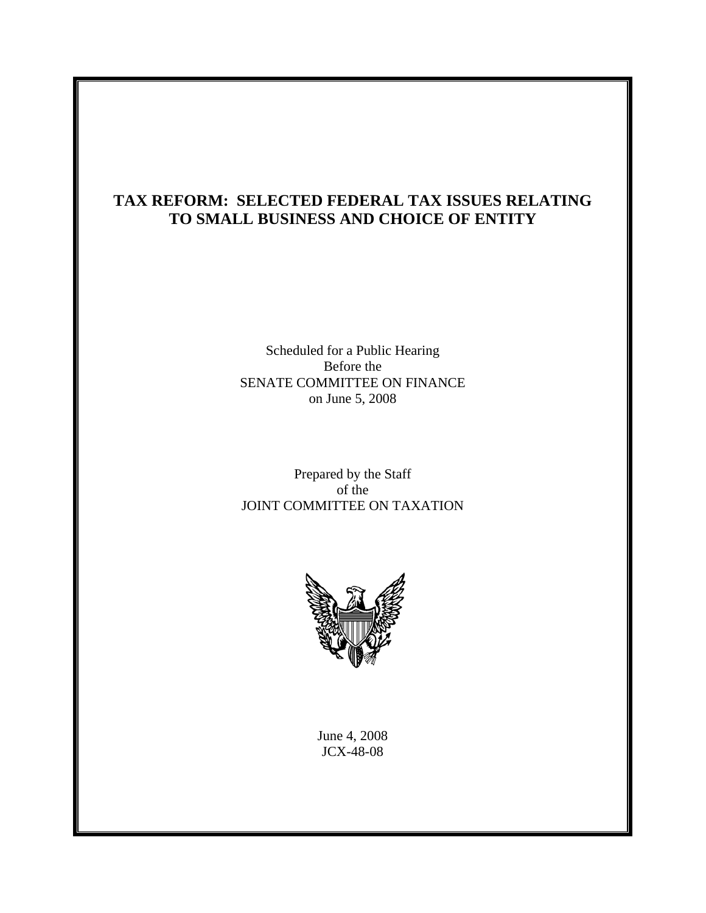# **TAX REFORM: SELECTED FEDERAL TAX ISSUES RELATING TO SMALL BUSINESS AND CHOICE OF ENTITY**

Scheduled for a Public Hearing Before the SENATE COMMITTEE ON FINANCE on June 5, 2008

Prepared by the Staff of the JOINT COMMITTEE ON TAXATION



June 4, 2008 JCX-48-08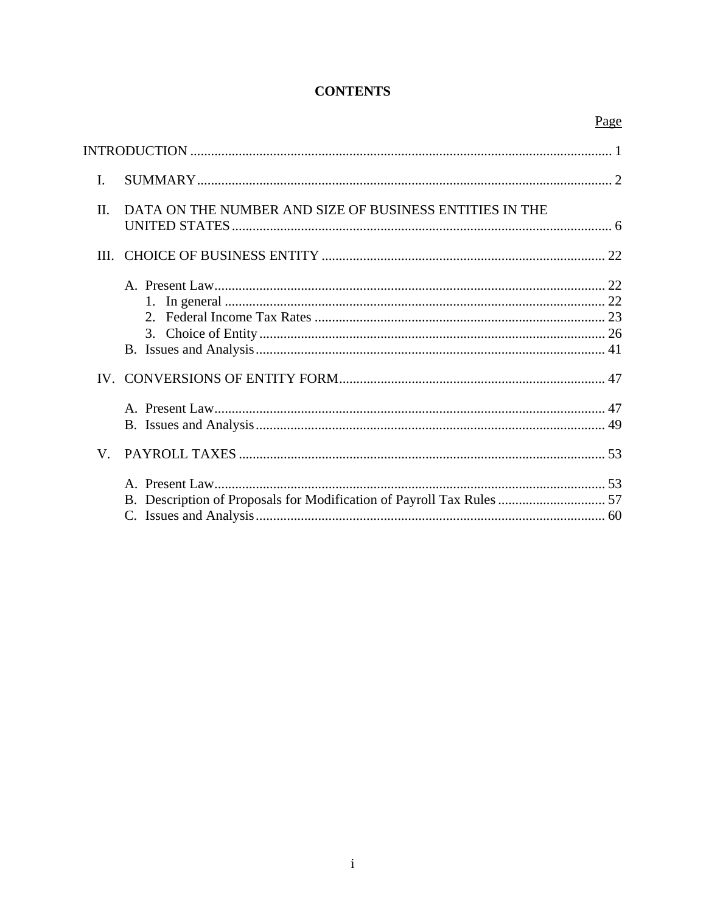# **CONTENTS**

|              |                                                         | Page |
|--------------|---------------------------------------------------------|------|
|              |                                                         |      |
| $\mathbf{I}$ |                                                         |      |
| П.           | DATA ON THE NUMBER AND SIZE OF BUSINESS ENTITIES IN THE |      |
|              |                                                         |      |
|              | 3.                                                      |      |
|              |                                                         |      |
|              |                                                         |      |
| V.           |                                                         |      |
|              |                                                         |      |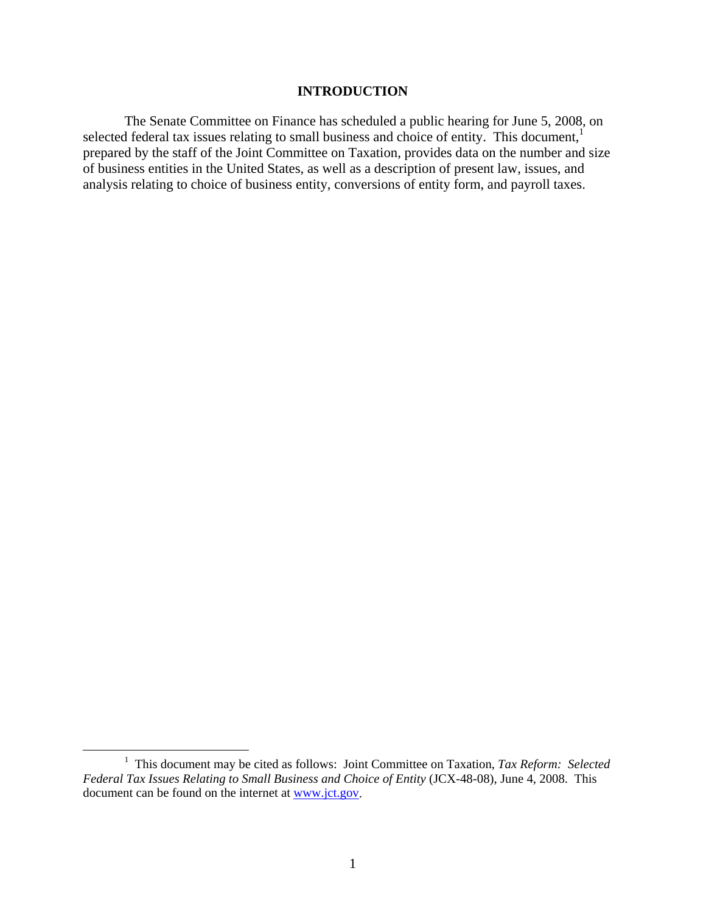#### **INTRODUCTION**

The Senate Committee on Finance has scheduled a public hearing for June 5, 2008, on selected federal tax issues relating to small business and choice of entity. This document,<sup>1</sup> prepared by the staff of the Joint Committee on Taxation, provides data on the number and size of business entities in the United States, as well as a description of present law, issues, and analysis relating to choice of business entity, conversions of entity form, and payroll taxes.

<sup>&</sup>lt;u>1</u> <sup>1</sup> This document may be cited as follows: Joint Committee on Taxation, *Tax Reform: Selected Federal Tax Issues Relating to Small Business and Choice of Entity* (JCX-48-08), June 4, 2008. This document can be found on the internet at www.jct.gov.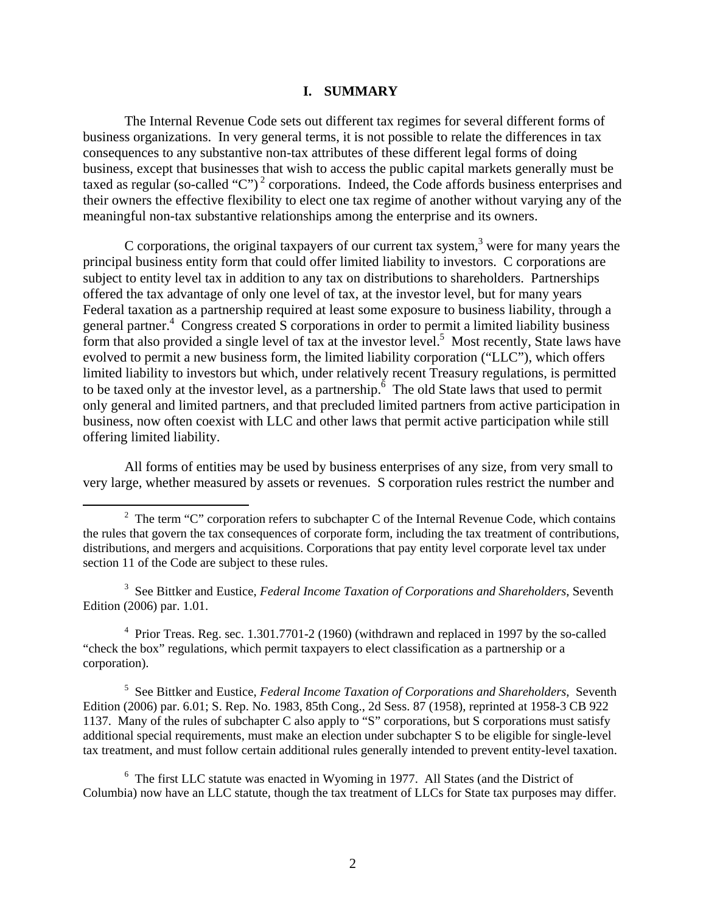#### **I. SUMMARY**

The Internal Revenue Code sets out different tax regimes for several different forms of business organizations. In very general terms, it is not possible to relate the differences in tax consequences to any substantive non-tax attributes of these different legal forms of doing business, except that businesses that wish to access the public capital markets generally must be taxed as regular (so-called "C")<sup>2</sup> corporations. Indeed, the Code affords business enterprises and their owners the effective flexibility to elect one tax regime of another without varying any of the meaningful non-tax substantive relationships among the enterprise and its owners.

C corporations, the original taxpayers of our current tax system, $3$  were for many years the principal business entity form that could offer limited liability to investors. C corporations are subject to entity level tax in addition to any tax on distributions to shareholders. Partnerships offered the tax advantage of only one level of tax, at the investor level, but for many years Federal taxation as a partnership required at least some exposure to business liability, through a general partner.<sup>4</sup> Congress created S corporations in order to permit a limited liability business form that also provided a single level of tax at the investor level.<sup>5</sup> Most recently, State laws have evolved to permit a new business form, the limited liability corporation ("LLC"), which offers limited liability to investors but which, under relatively recent Treasury regulations, is permitted to be taxed only at the investor level, as a partnership.<sup> $\delta$ </sup> The old State laws that used to permit only general and limited partners, and that precluded limited partners from active participation in business, now often coexist with LLC and other laws that permit active participation while still offering limited liability.

All forms of entities may be used by business enterprises of any size, from very small to very large, whether measured by assets or revenues. S corporation rules restrict the number and

3 See Bittker and Eustice, *Federal Income Taxation of Corporations and Shareholders*, Seventh Edition (2006) par. 1.01.

<sup>4</sup> Prior Treas. Reg. sec. 1.301.7701-2 (1960) (withdrawn and replaced in 1997 by the so-called "check the box" regulations, which permit taxpayers to elect classification as a partnership or a corporation).

5 See Bittker and Eustice, *Federal Income Taxation of Corporations and Shareholders*, Seventh Edition (2006) par. 6.01; S. Rep. No. 1983, 85th Cong., 2d Sess. 87 (1958), reprinted at 1958-3 CB 922 1137. Many of the rules of subchapter C also apply to "S" corporations, but S corporations must satisfy additional special requirements, must make an election under subchapter S to be eligible for single-level tax treatment, and must follow certain additional rules generally intended to prevent entity-level taxation.

<sup>6</sup> The first LLC statute was enacted in Wyoming in 1977. All States (and the District of Columbia) now have an LLC statute, though the tax treatment of LLCs for State tax purposes may differ.

 $\overline{\phantom{a}}$ <sup>2</sup> The term "C" corporation refers to subchapter C of the Internal Revenue Code, which contains the rules that govern the tax consequences of corporate form, including the tax treatment of contributions, distributions, and mergers and acquisitions. Corporations that pay entity level corporate level tax under section 11 of the Code are subject to these rules.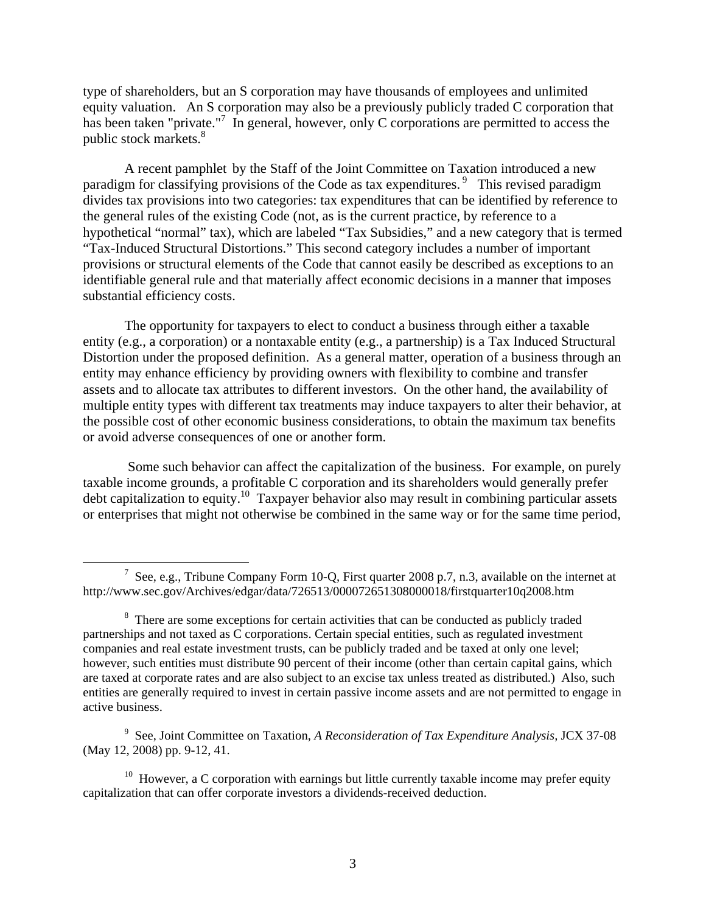type of shareholders, but an S corporation may have thousands of employees and unlimited equity valuation. An S corporation may also be a previously publicly traded C corporation that has been taken "private."<sup>7</sup> In general, however, only C corporations are permitted to access the public stock markets.<sup>8</sup>

A recent pamphlet by the Staff of the Joint Committee on Taxation introduced a new paradigm for classifying provisions of the Code as tax expenditures.<sup>9</sup> This revised paradigm divides tax provisions into two categories: tax expenditures that can be identified by reference to the general rules of the existing Code (not, as is the current practice, by reference to a hypothetical "normal" tax), which are labeled "Tax Subsidies," and a new category that is termed "Tax-Induced Structural Distortions." This second category includes a number of important provisions or structural elements of the Code that cannot easily be described as exceptions to an identifiable general rule and that materially affect economic decisions in a manner that imposes substantial efficiency costs.

The opportunity for taxpayers to elect to conduct a business through either a taxable entity (e.g., a corporation) or a nontaxable entity (e.g., a partnership) is a Tax Induced Structural Distortion under the proposed definition. As a general matter, operation of a business through an entity may enhance efficiency by providing owners with flexibility to combine and transfer assets and to allocate tax attributes to different investors. On the other hand, the availability of multiple entity types with different tax treatments may induce taxpayers to alter their behavior, at the possible cost of other economic business considerations, to obtain the maximum tax benefits or avoid adverse consequences of one or another form.

 Some such behavior can affect the capitalization of the business. For example, on purely taxable income grounds, a profitable C corporation and its shareholders would generally prefer debt capitalization to equity.<sup>10</sup> Taxpayer behavior also may result in combining particular assets or enterprises that might not otherwise be combined in the same way or for the same time period,

<sup>9</sup> See, Joint Committee on Taxation, *A Reconsideration of Tax Expenditure Analysis*, JCX 37-08 (May 12, 2008) pp. 9-12, 41.

 $10$  However, a C corporation with earnings but little currently taxable income may prefer equity capitalization that can offer corporate investors a dividends-received deduction.

 <sup>7</sup> <sup>7</sup> See, e.g., Tribune Company Form 10-Q, First quarter 2008 p.7, n.3, available on the internet at http://www.sec.gov/Archives/edgar/data/726513/000072651308000018/firstquarter10q2008.htm

<sup>&</sup>lt;sup>8</sup> There are some exceptions for certain activities that can be conducted as publicly traded partnerships and not taxed as C corporations. Certain special entities, such as regulated investment companies and real estate investment trusts, can be publicly traded and be taxed at only one level; however, such entities must distribute 90 percent of their income (other than certain capital gains, which are taxed at corporate rates and are also subject to an excise tax unless treated as distributed.) Also, such entities are generally required to invest in certain passive income assets and are not permitted to engage in active business.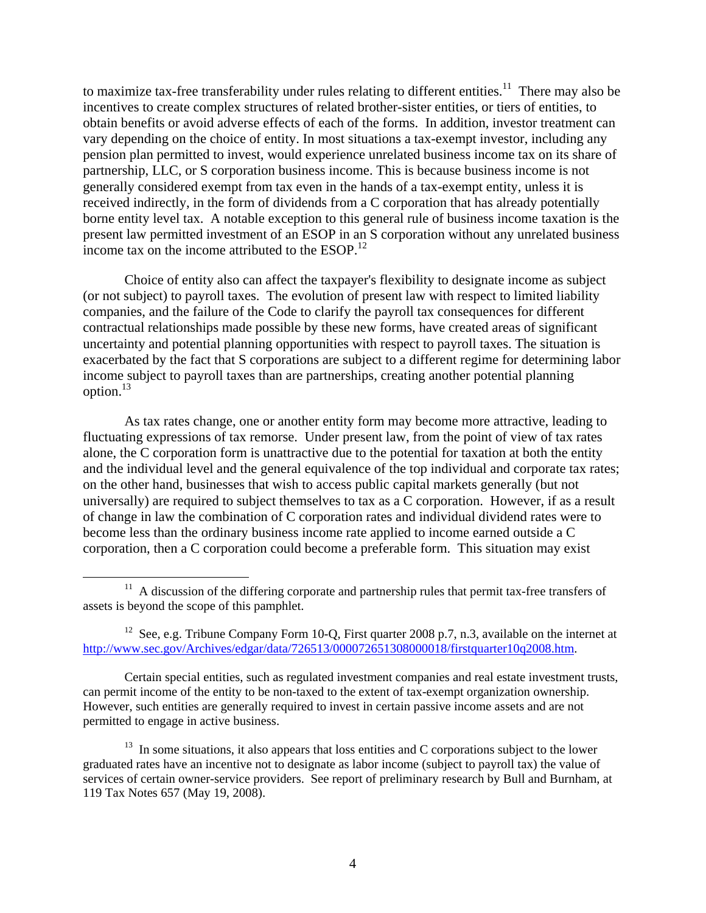to maximize tax-free transferability under rules relating to different entities.<sup>11</sup> There may also be incentives to create complex structures of related brother-sister entities, or tiers of entities, to obtain benefits or avoid adverse effects of each of the forms. In addition, investor treatment can vary depending on the choice of entity. In most situations a tax-exempt investor, including any pension plan permitted to invest, would experience unrelated business income tax on its share of partnership, LLC, or S corporation business income. This is because business income is not generally considered exempt from tax even in the hands of a tax-exempt entity, unless it is received indirectly, in the form of dividends from a C corporation that has already potentially borne entity level tax. A notable exception to this general rule of business income taxation is the present law permitted investment of an ESOP in an S corporation without any unrelated business income tax on the income attributed to the ESOP.<sup>12</sup>

Choice of entity also can affect the taxpayer's flexibility to designate income as subject (or not subject) to payroll taxes. The evolution of present law with respect to limited liability companies, and the failure of the Code to clarify the payroll tax consequences for different contractual relationships made possible by these new forms, have created areas of significant uncertainty and potential planning opportunities with respect to payroll taxes. The situation is exacerbated by the fact that S corporations are subject to a different regime for determining labor income subject to payroll taxes than are partnerships, creating another potential planning option. $^{13}$ 

As tax rates change, one or another entity form may become more attractive, leading to fluctuating expressions of tax remorse. Under present law, from the point of view of tax rates alone, the C corporation form is unattractive due to the potential for taxation at both the entity and the individual level and the general equivalence of the top individual and corporate tax rates; on the other hand, businesses that wish to access public capital markets generally (but not universally) are required to subject themselves to tax as a C corporation. However, if as a result of change in law the combination of C corporation rates and individual dividend rates were to become less than the ordinary business income rate applied to income earned outside a C corporation, then a C corporation could become a preferable form. This situation may exist

Certain special entities, such as regulated investment companies and real estate investment trusts, can permit income of the entity to be non-taxed to the extent of tax-exempt organization ownership. However, such entities are generally required to invest in certain passive income assets and are not permitted to engage in active business.

<sup>&</sup>lt;sup>11</sup> A discussion of the differing corporate and partnership rules that permit tax-free transfers of assets is beyond the scope of this pamphlet.

<sup>&</sup>lt;sup>12</sup> See, e.g. Tribune Company Form 10-Q, First quarter 2008 p.7, n.3, available on the internet at http://www.sec.gov/Archives/edgar/data/726513/000072651308000018/firstquarter10q2008.htm.

 $13$  In some situations, it also appears that loss entities and C corporations subject to the lower graduated rates have an incentive not to designate as labor income (subject to payroll tax) the value of services of certain owner-service providers. See report of preliminary research by Bull and Burnham, at 119 Tax Notes 657 (May 19, 2008).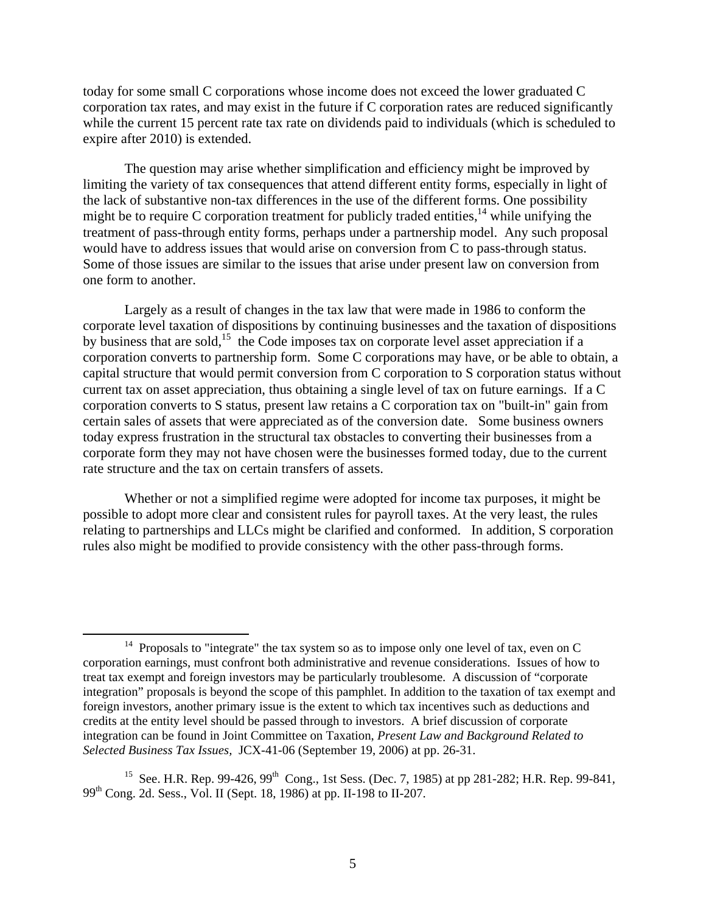today for some small C corporations whose income does not exceed the lower graduated C corporation tax rates, and may exist in the future if C corporation rates are reduced significantly while the current 15 percent rate tax rate on dividends paid to individuals (which is scheduled to expire after 2010) is extended.

The question may arise whether simplification and efficiency might be improved by limiting the variety of tax consequences that attend different entity forms, especially in light of the lack of substantive non-tax differences in the use of the different forms. One possibility might be to require C corporation treatment for publicly traded entities,<sup>14</sup> while unifying the treatment of pass-through entity forms, perhaps under a partnership model. Any such proposal would have to address issues that would arise on conversion from C to pass-through status. Some of those issues are similar to the issues that arise under present law on conversion from one form to another.

Largely as a result of changes in the tax law that were made in 1986 to conform the corporate level taxation of dispositions by continuing businesses and the taxation of dispositions by business that are sold,<sup>15</sup> the Code imposes tax on corporate level asset appreciation if a corporation converts to partnership form. Some C corporations may have, or be able to obtain, a capital structure that would permit conversion from C corporation to S corporation status without current tax on asset appreciation, thus obtaining a single level of tax on future earnings. If a C corporation converts to S status, present law retains a C corporation tax on "built-in" gain from certain sales of assets that were appreciated as of the conversion date. Some business owners today express frustration in the structural tax obstacles to converting their businesses from a corporate form they may not have chosen were the businesses formed today, due to the current rate structure and the tax on certain transfers of assets.

Whether or not a simplified regime were adopted for income tax purposes, it might be possible to adopt more clear and consistent rules for payroll taxes. At the very least, the rules relating to partnerships and LLCs might be clarified and conformed. In addition, S corporation rules also might be modified to provide consistency with the other pass-through forms.

<sup>&</sup>lt;sup>14</sup> Proposals to "integrate" the tax system so as to impose only one level of tax, even on C corporation earnings, must confront both administrative and revenue considerations. Issues of how to treat tax exempt and foreign investors may be particularly troublesome. A discussion of "corporate integration" proposals is beyond the scope of this pamphlet. In addition to the taxation of tax exempt and foreign investors, another primary issue is the extent to which tax incentives such as deductions and credits at the entity level should be passed through to investors. A brief discussion of corporate integration can be found in Joint Committee on Taxation, *Present Law and Background Related to Selected Business Tax Issues,* JCX-41-06 (September 19, 2006) at pp. 26-31.

<sup>&</sup>lt;sup>15</sup> See. H.R. Rep. 99-426, 99<sup>th</sup> Cong., 1st Sess. (Dec. 7, 1985) at pp 281-282; H.R. Rep. 99-841, 99th Cong. 2d. Sess., Vol. II (Sept. 18, 1986) at pp. II-198 to II-207.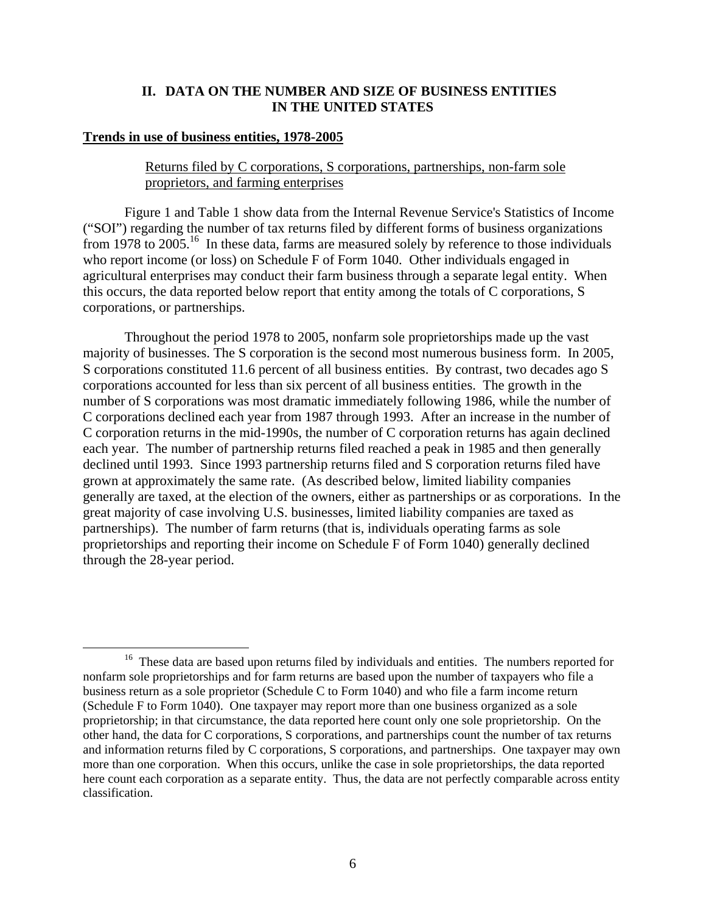#### **II. DATA ON THE NUMBER AND SIZE OF BUSINESS ENTITIES IN THE UNITED STATES**

#### **Trends in use of business entities, 1978-2005**

## Returns filed by C corporations, S corporations, partnerships, non-farm sole proprietors, and farming enterprises

Figure 1 and Table 1 show data from the Internal Revenue Service's Statistics of Income ("SOI") regarding the number of tax returns filed by different forms of business organizations from  $1978$  to  $2005$ .<sup>16</sup> In these data, farms are measured solely by reference to those individuals who report income (or loss) on Schedule F of Form 1040. Other individuals engaged in agricultural enterprises may conduct their farm business through a separate legal entity. When this occurs, the data reported below report that entity among the totals of C corporations, S corporations, or partnerships.

Throughout the period 1978 to 2005, nonfarm sole proprietorships made up the vast majority of businesses. The S corporation is the second most numerous business form. In 2005, S corporations constituted 11.6 percent of all business entities. By contrast, two decades ago S corporations accounted for less than six percent of all business entities. The growth in the number of S corporations was most dramatic immediately following 1986, while the number of C corporations declined each year from 1987 through 1993. After an increase in the number of C corporation returns in the mid-1990s, the number of C corporation returns has again declined each year. The number of partnership returns filed reached a peak in 1985 and then generally declined until 1993. Since 1993 partnership returns filed and S corporation returns filed have grown at approximately the same rate. (As described below, limited liability companies generally are taxed, at the election of the owners, either as partnerships or as corporations. In the great majority of case involving U.S. businesses, limited liability companies are taxed as partnerships). The number of farm returns (that is, individuals operating farms as sole proprietorships and reporting their income on Schedule F of Form 1040) generally declined through the 28-year period.

<sup>&</sup>lt;sup>16</sup> These data are based upon returns filed by individuals and entities. The numbers reported for nonfarm sole proprietorships and for farm returns are based upon the number of taxpayers who file a business return as a sole proprietor (Schedule C to Form 1040) and who file a farm income return (Schedule F to Form 1040). One taxpayer may report more than one business organized as a sole proprietorship; in that circumstance, the data reported here count only one sole proprietorship. On the other hand, the data for C corporations, S corporations, and partnerships count the number of tax returns and information returns filed by C corporations, S corporations, and partnerships. One taxpayer may own more than one corporation. When this occurs, unlike the case in sole proprietorships, the data reported here count each corporation as a separate entity. Thus, the data are not perfectly comparable across entity classification.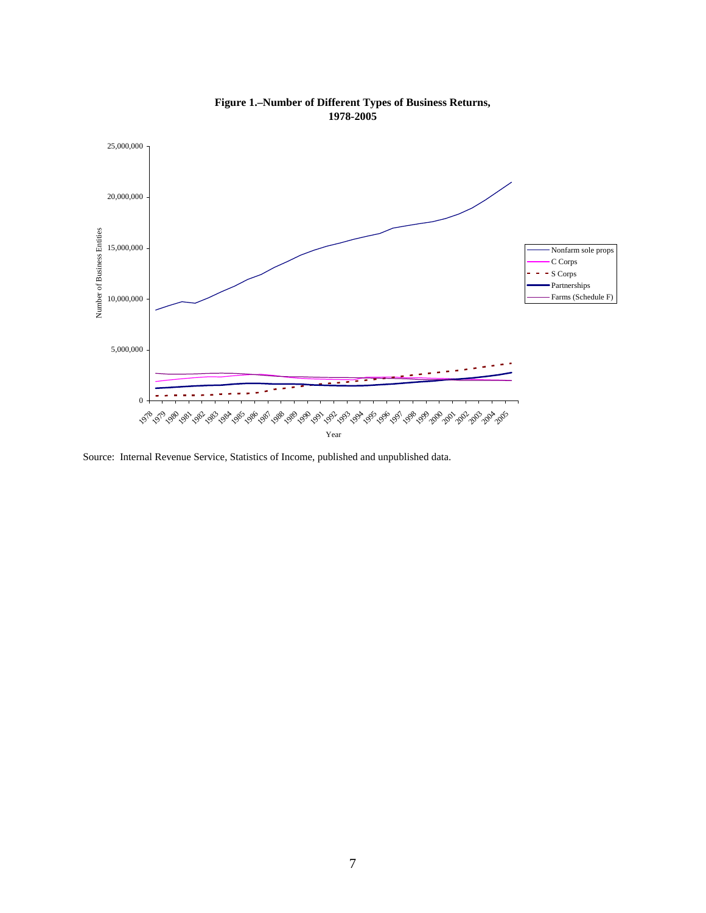

**Figure 1.–Number of Different Types of Business Returns, 1978-2005**

Source: Internal Revenue Service, Statistics of Income, published and unpublished data.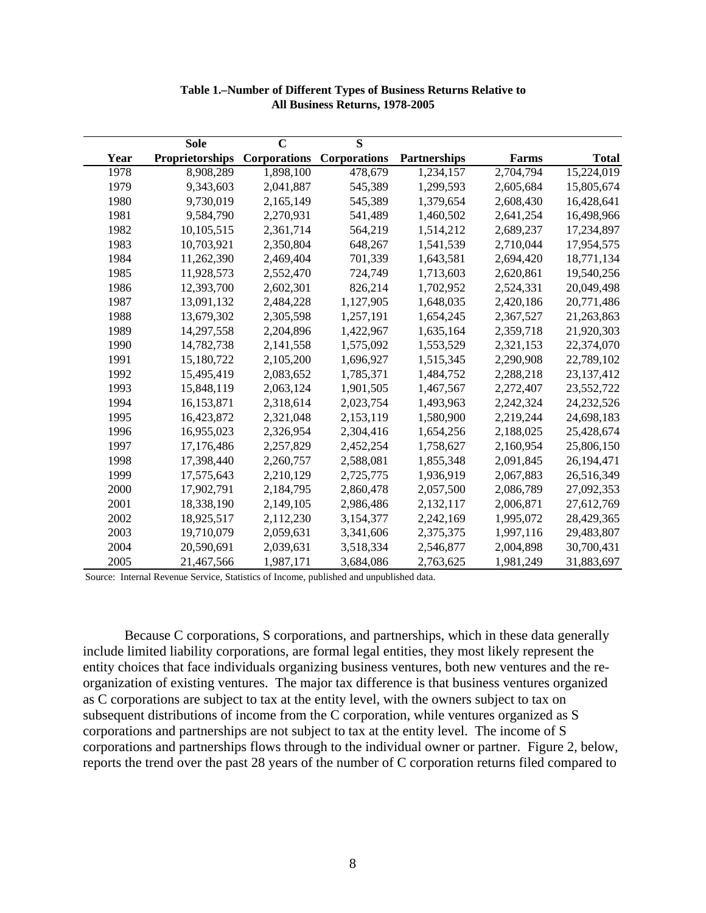|      | <b>Sole</b>            | $\overline{\mathbf{C}}$ | $\overline{\mathbf{S}}$ |              |           |              |
|------|------------------------|-------------------------|-------------------------|--------------|-----------|--------------|
| Year | <b>Proprietorships</b> | <b>Corporations</b>     | <b>Corporations</b>     | Partnerships | Farms     | <b>Total</b> |
| 1978 | 8,908,289              | 1,898,100               | 478,679                 | 1,234,157    | 2,704,794 | 15,224,019   |
| 1979 | 9,343,603              | 2,041,887               | 545,389                 | 1,299,593    | 2,605,684 | 15,805,674   |
| 1980 | 9,730,019              | 2,165,149               | 545,389                 | 1,379,654    | 2,608,430 | 16,428,641   |
| 1981 | 9,584,790              | 2,270,931               | 541,489                 | 1,460,502    | 2,641,254 | 16,498,966   |
| 1982 | 10,105,515             | 2,361,714               | 564,219                 | 1,514,212    | 2,689,237 | 17,234,897   |
| 1983 | 10,703,921             | 2,350,804               | 648,267                 | 1,541,539    | 2,710,044 | 17,954,575   |
| 1984 | 11,262,390             | 2,469,404               | 701,339                 | 1,643,581    | 2,694,420 | 18,771,134   |
| 1985 | 11,928,573             | 2,552,470               | 724,749                 | 1,713,603    | 2,620,861 | 19,540,256   |
| 1986 | 12,393,700             | 2,602,301               | 826,214                 | 1,702,952    | 2,524,331 | 20,049,498   |
| 1987 | 13,091,132             | 2,484,228               | 1,127,905               | 1,648,035    | 2,420,186 | 20,771,486   |
| 1988 | 13,679,302             | 2,305,598               | 1,257,191               | 1,654,245    | 2,367,527 | 21,263,863   |
| 1989 | 14,297,558             | 2,204,896               | 1,422,967               | 1,635,164    | 2,359,718 | 21,920,303   |
| 1990 | 14,782,738             | 2,141,558               | 1,575,092               | 1,553,529    | 2,321,153 | 22,374,070   |
| 1991 | 15,180,722             | 2,105,200               | 1,696,927               | 1,515,345    | 2,290,908 | 22,789,102   |
| 1992 | 15,495,419             | 2,083,652               | 1,785,371               | 1,484,752    | 2,288,218 | 23, 137, 412 |
| 1993 | 15,848,119             | 2,063,124               | 1,901,505               | 1,467,567    | 2,272,407 | 23,552,722   |
| 1994 | 16,153,871             | 2,318,614               | 2,023,754               | 1,493,963    | 2,242,324 | 24,232,526   |
| 1995 | 16,423,872             | 2,321,048               | 2,153,119               | 1,580,900    | 2,219,244 | 24,698,183   |
| 1996 | 16,955,023             | 2,326,954               | 2,304,416               | 1,654,256    | 2,188,025 | 25,428,674   |
| 1997 | 17,176,486             | 2,257,829               | 2,452,254               | 1,758,627    | 2,160,954 | 25,806,150   |
| 1998 | 17,398,440             | 2,260,757               | 2,588,081               | 1,855,348    | 2,091,845 | 26,194,471   |
| 1999 | 17,575,643             | 2,210,129               | 2,725,775               | 1,936,919    | 2,067,883 | 26,516,349   |
| 2000 | 17,902,791             | 2,184,795               | 2,860,478               | 2,057,500    | 2,086,789 | 27,092,353   |
| 2001 | 18,338,190             | 2,149,105               | 2,986,486               | 2,132,117    | 2,006,871 | 27,612,769   |
| 2002 | 18,925,517             | 2,112,230               | 3,154,377               | 2,242,169    | 1,995,072 | 28,429,365   |
| 2003 | 19,710,079             | 2,059,631               | 3,341,606               | 2,375,375    | 1,997,116 | 29,483,807   |
| 2004 | 20,590,691             | 2,039,631               | 3,518,334               | 2,546,877    | 2,004,898 | 30,700,431   |
| 2005 | 21,467,566             | 1,987,171               | 3,684,086               | 2,763,625    | 1,981,249 | 31,883,697   |

**Table 1.–Number of Different Types of Business Returns Relative to All Business Returns, 1978-2005**

Source: Internal Revenue Service, Statistics of Income, published and unpublished data.

Because C corporations, S corporations, and partnerships, which in these data generally include limited liability corporations, are formal legal entities, they most likely represent the entity choices that face individuals organizing business ventures, both new ventures and the reorganization of existing ventures. The major tax difference is that business ventures organized as C corporations are subject to tax at the entity level, with the owners subject to tax on subsequent distributions of income from the C corporation, while ventures organized as S corporations and partnerships are not subject to tax at the entity level. The income of S corporations and partnerships flows through to the individual owner or partner. Figure 2, below, reports the trend over the past 28 years of the number of C corporation returns filed compared to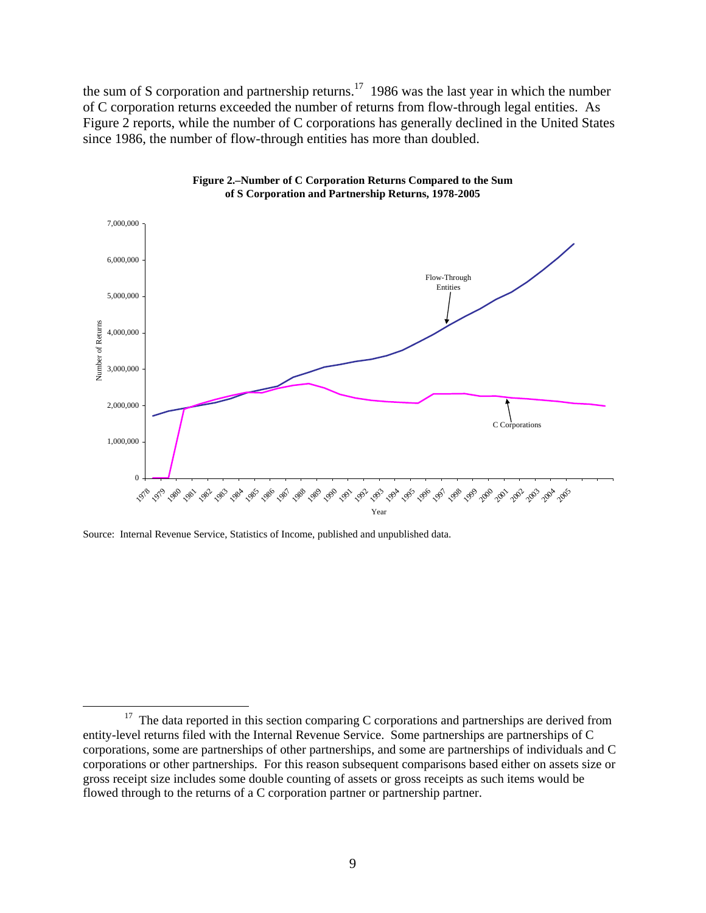the sum of S corporation and partnership returns.<sup>17</sup> 1986 was the last year in which the number of C corporation returns exceeded the number of returns from flow-through legal entities. As Figure 2 reports, while the number of C corporations has generally declined in the United States since 1986, the number of flow-through entities has more than doubled.





Source: Internal Revenue Service, Statistics of Income, published and unpublished data.

 $17$  The data reported in this section comparing C corporations and partnerships are derived from entity-level returns filed with the Internal Revenue Service. Some partnerships are partnerships of C corporations, some are partnerships of other partnerships, and some are partnerships of individuals and C corporations or other partnerships. For this reason subsequent comparisons based either on assets size or gross receipt size includes some double counting of assets or gross receipts as such items would be flowed through to the returns of a C corporation partner or partnership partner.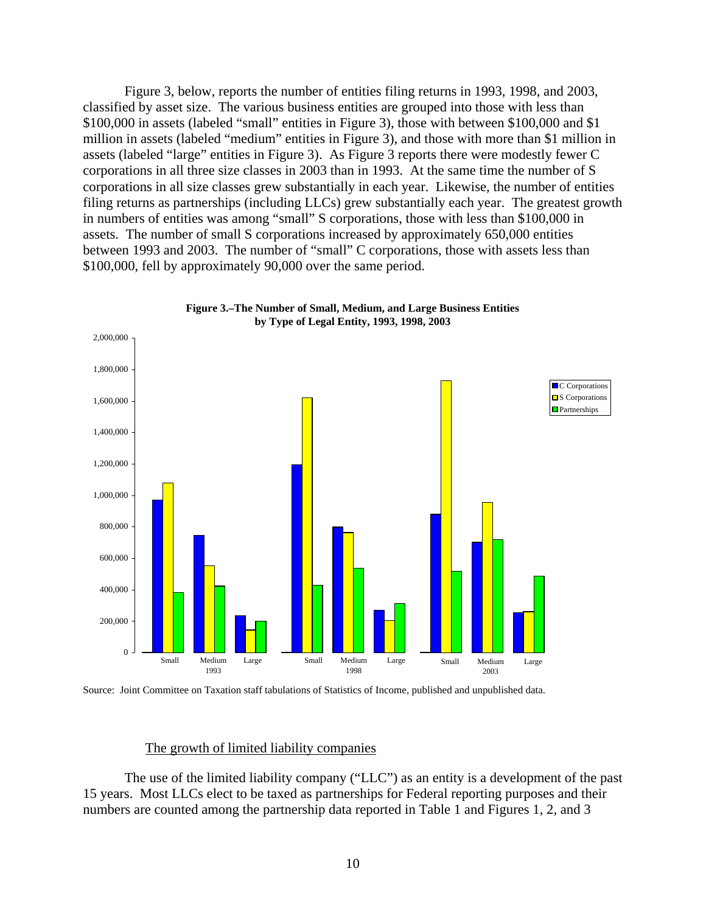Figure 3, below, reports the number of entities filing returns in 1993, 1998, and 2003, classified by asset size. The various business entities are grouped into those with less than \$100,000 in assets (labeled "small" entities in Figure 3), those with between \$100,000 and \$1 million in assets (labeled "medium" entities in Figure 3), and those with more than \$1 million in assets (labeled "large" entities in Figure 3). As Figure 3 reports there were modestly fewer C corporations in all three size classes in 2003 than in 1993. At the same time the number of S corporations in all size classes grew substantially in each year. Likewise, the number of entities filing returns as partnerships (including LLCs) grew substantially each year. The greatest growth in numbers of entities was among "small" S corporations, those with less than \$100,000 in assets. The number of small S corporations increased by approximately 650,000 entities between 1993 and 2003. The number of "small" C corporations, those with assets less than \$100,000, fell by approximately 90,000 over the same period.





Source: Joint Committee on Taxation staff tabulations of Statistics of Income, published and unpublished data.

## The growth of limited liability companies

The use of the limited liability company ("LLC") as an entity is a development of the past 15 years. Most LLCs elect to be taxed as partnerships for Federal reporting purposes and their numbers are counted among the partnership data reported in Table 1 and Figures 1, 2, and 3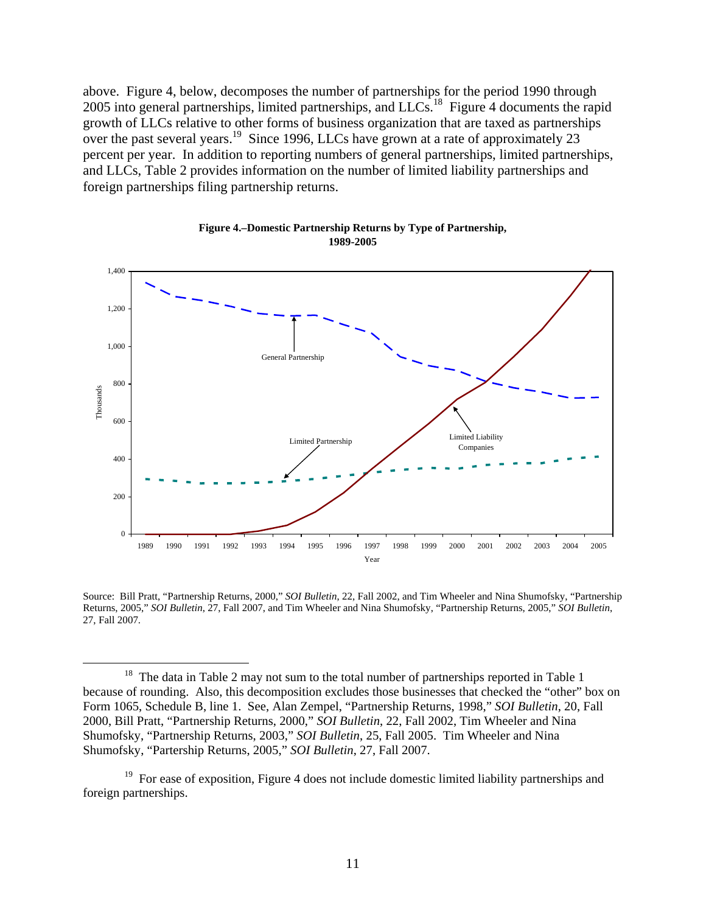above. Figure 4, below, decomposes the number of partnerships for the period 1990 through 2005 into general partnerships, limited partnerships, and LLCs.<sup>18</sup> Figure 4 documents the rapid growth of LLCs relative to other forms of business organization that are taxed as partnerships over the past several years.<sup>19</sup> Since 1996, LLCs have grown at a rate of approximately 23 percent per year. In addition to reporting numbers of general partnerships, limited partnerships, and LLCs, Table 2 provides information on the number of limited liability partnerships and foreign partnerships filing partnership returns.



#### **Figure 4.–Domestic Partnership Returns by Type of Partnership, 1989-2005**

Source: Bill Pratt, "Partnership Returns, 2000," *SOI Bulletin*, 22, Fall 2002, and Tim Wheeler and Nina Shumofsky, "Partnership Returns, 2005," *SOI Bulletin*, 27, Fall 2007, and Tim Wheeler and Nina Shumofsky, "Partnership Returns, 2005," *SOI Bulletin*, 27, Fall 2007.

 $18$  The data in Table 2 may not sum to the total number of partnerships reported in Table 1 because of rounding. Also, this decomposition excludes those businesses that checked the "other" box on Form 1065, Schedule B, line 1. See, Alan Zempel, "Partnership Returns, 1998," *SOI Bulletin*, 20, Fall 2000, Bill Pratt, "Partnership Returns, 2000," *SOI Bulletin*, 22, Fall 2002, Tim Wheeler and Nina Shumofsky, "Partnership Returns, 2003," *SOI Bulletin*, 25, Fall 2005. Tim Wheeler and Nina Shumofsky, "Partership Returns, 2005," *SOI Bulletin*, 27, Fall 2007.

 $19$  For ease of exposition, Figure 4 does not include domestic limited liability partnerships and foreign partnerships.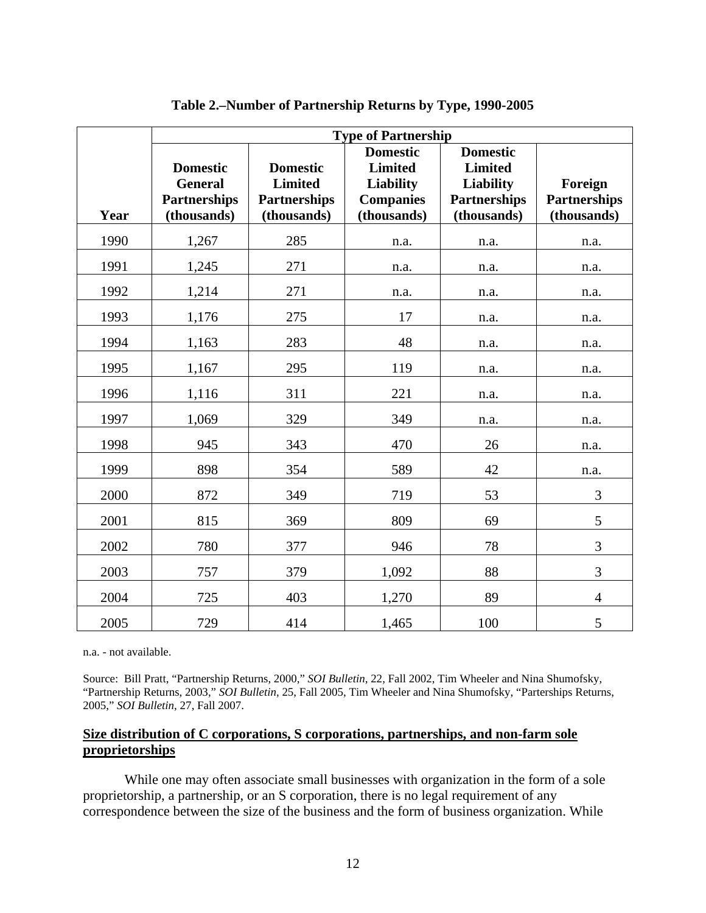|      | <b>Type of Partnership</b>                                              |                                                                         |                                                                                          |                                                                                             |                                               |  |  |
|------|-------------------------------------------------------------------------|-------------------------------------------------------------------------|------------------------------------------------------------------------------------------|---------------------------------------------------------------------------------------------|-----------------------------------------------|--|--|
| Year | <b>Domestic</b><br><b>General</b><br><b>Partnerships</b><br>(thousands) | <b>Domestic</b><br><b>Limited</b><br><b>Partnerships</b><br>(thousands) | <b>Domestic</b><br><b>Limited</b><br><b>Liability</b><br><b>Companies</b><br>(thousands) | <b>Domestic</b><br><b>Limited</b><br><b>Liability</b><br><b>Partnerships</b><br>(thousands) | Foreign<br><b>Partnerships</b><br>(thousands) |  |  |
| 1990 | 1,267                                                                   | 285                                                                     | n.a.                                                                                     | n.a.                                                                                        | n.a.                                          |  |  |
| 1991 | 1,245                                                                   | 271                                                                     | n.a.                                                                                     | n.a.                                                                                        | n.a.                                          |  |  |
| 1992 | 1,214                                                                   | 271                                                                     | n.a.                                                                                     | n.a.                                                                                        | n.a.                                          |  |  |
| 1993 | 1,176                                                                   | 275                                                                     | 17                                                                                       | n.a.                                                                                        | n.a.                                          |  |  |
| 1994 | 1,163                                                                   | 283                                                                     | 48                                                                                       | n.a.                                                                                        | n.a.                                          |  |  |
| 1995 | 1,167                                                                   | 295                                                                     | 119                                                                                      | n.a.                                                                                        | n.a.                                          |  |  |
| 1996 | 1,116                                                                   | 311                                                                     | 221                                                                                      | n.a.                                                                                        | n.a.                                          |  |  |
| 1997 | 1,069                                                                   | 329                                                                     | 349                                                                                      | n.a.                                                                                        | n.a.                                          |  |  |
| 1998 | 945                                                                     | 343                                                                     | 470                                                                                      | 26                                                                                          | n.a.                                          |  |  |
| 1999 | 898                                                                     | 354                                                                     | 589                                                                                      | 42                                                                                          | n.a.                                          |  |  |
| 2000 | 872                                                                     | 349                                                                     | 719                                                                                      | 53                                                                                          | 3                                             |  |  |
| 2001 | 815                                                                     | 369                                                                     | 809                                                                                      | 69                                                                                          | 5                                             |  |  |
| 2002 | 780                                                                     | 377                                                                     | 946                                                                                      | 78                                                                                          | 3                                             |  |  |
| 2003 | 757                                                                     | 379                                                                     | 1,092                                                                                    | 88                                                                                          | 3                                             |  |  |
| 2004 | 725                                                                     | 403                                                                     | 1,270                                                                                    | 89                                                                                          | $\overline{4}$                                |  |  |
| 2005 | 729                                                                     | 414                                                                     | 1,465                                                                                    | 100                                                                                         | 5                                             |  |  |

**Table 2.–Number of Partnership Returns by Type, 1990-2005** 

n.a. - not available.

Source: Bill Pratt, "Partnership Returns, 2000," *SOI Bulletin*, 22, Fall 2002, Tim Wheeler and Nina Shumofsky, "Partnership Returns, 2003," *SOI Bulletin*, 25, Fall 2005, Tim Wheeler and Nina Shumofsky, "Parterships Returns, 2005," *SOI Bulletin*, 27, Fall 2007.

## **Size distribution of C corporations, S corporations, partnerships, and non-farm sole proprietorships**

While one may often associate small businesses with organization in the form of a sole proprietorship, a partnership, or an S corporation, there is no legal requirement of any correspondence between the size of the business and the form of business organization. While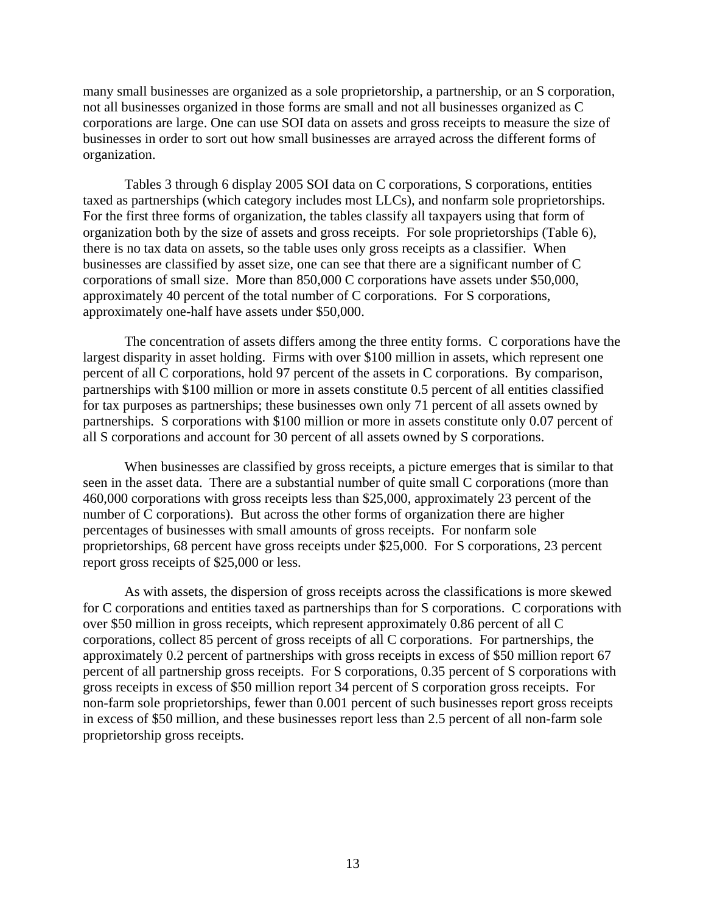many small businesses are organized as a sole proprietorship, a partnership, or an S corporation, not all businesses organized in those forms are small and not all businesses organized as C corporations are large. One can use SOI data on assets and gross receipts to measure the size of businesses in order to sort out how small businesses are arrayed across the different forms of organization.

Tables 3 through 6 display 2005 SOI data on C corporations, S corporations, entities taxed as partnerships (which category includes most LLCs), and nonfarm sole proprietorships. For the first three forms of organization, the tables classify all taxpayers using that form of organization both by the size of assets and gross receipts. For sole proprietorships (Table 6), there is no tax data on assets, so the table uses only gross receipts as a classifier. When businesses are classified by asset size, one can see that there are a significant number of C corporations of small size. More than 850,000 C corporations have assets under \$50,000, approximately 40 percent of the total number of C corporations. For S corporations, approximately one-half have assets under \$50,000.

The concentration of assets differs among the three entity forms. C corporations have the largest disparity in asset holding. Firms with over \$100 million in assets, which represent one percent of all C corporations, hold 97 percent of the assets in C corporations. By comparison, partnerships with \$100 million or more in assets constitute 0.5 percent of all entities classified for tax purposes as partnerships; these businesses own only 71 percent of all assets owned by partnerships. S corporations with \$100 million or more in assets constitute only 0.07 percent of all S corporations and account for 30 percent of all assets owned by S corporations.

When businesses are classified by gross receipts, a picture emerges that is similar to that seen in the asset data. There are a substantial number of quite small C corporations (more than 460,000 corporations with gross receipts less than \$25,000, approximately 23 percent of the number of C corporations). But across the other forms of organization there are higher percentages of businesses with small amounts of gross receipts. For nonfarm sole proprietorships, 68 percent have gross receipts under \$25,000. For S corporations, 23 percent report gross receipts of \$25,000 or less.

As with assets, the dispersion of gross receipts across the classifications is more skewed for C corporations and entities taxed as partnerships than for S corporations. C corporations with over \$50 million in gross receipts, which represent approximately 0.86 percent of all C corporations, collect 85 percent of gross receipts of all C corporations. For partnerships, the approximately 0.2 percent of partnerships with gross receipts in excess of \$50 million report 67 percent of all partnership gross receipts. For S corporations, 0.35 percent of S corporations with gross receipts in excess of \$50 million report 34 percent of S corporation gross receipts. For non-farm sole proprietorships, fewer than 0.001 percent of such businesses report gross receipts in excess of \$50 million, and these businesses report less than 2.5 percent of all non-farm sole proprietorship gross receipts.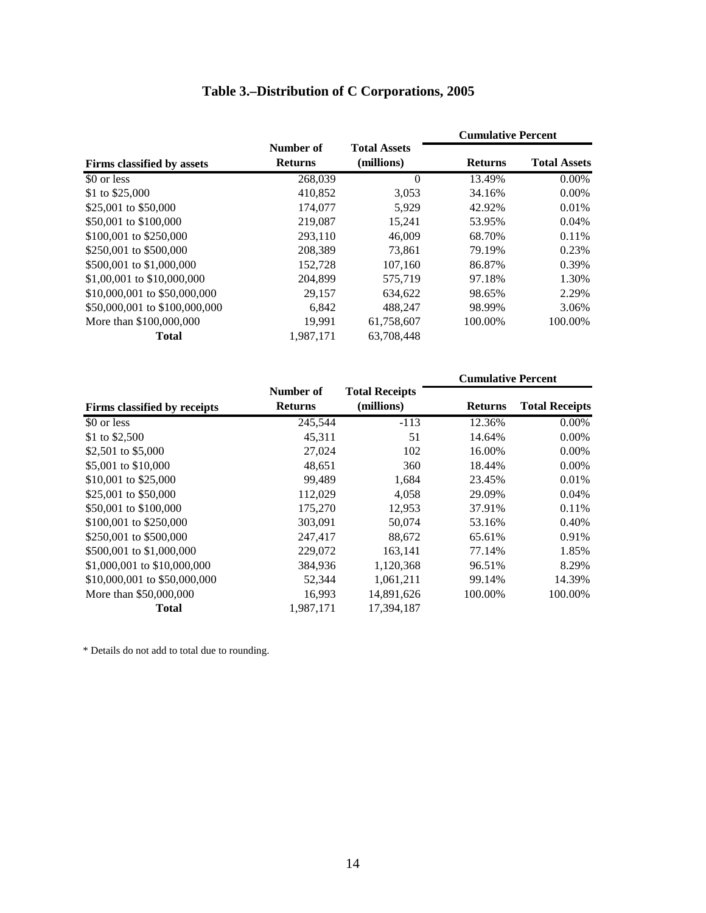# **Table 3.–Distribution of C Corporations, 2005**

|                               |                             |                                   | <b>Cumulative Percent</b> |                     |  |
|-------------------------------|-----------------------------|-----------------------------------|---------------------------|---------------------|--|
| Firms classified by assets    | Number of<br><b>Returns</b> | <b>Total Assets</b><br>(millions) | <b>Returns</b>            | <b>Total Assets</b> |  |
| \$0 or less                   | 268.039                     | $\theta$                          | 13.49%                    | $0.00\%$            |  |
| \$1 to \$25,000               | 410,852                     | 3,053                             | 34.16%                    | $0.00\%$            |  |
| \$25,001 to \$50,000          | 174,077                     | 5.929                             | 42.92%                    | 0.01%               |  |
| \$50,001 to \$100,000         | 219,087                     | 15.241                            | 53.95%                    | 0.04%               |  |
| \$100,001 to \$250,000        | 293,110                     | 46,009                            | 68.70%                    | 0.11%               |  |
| \$250,001 to \$500,000        | 208,389                     | 73.861                            | 79.19%                    | 0.23%               |  |
| \$500,001 to \$1,000,000      | 152,728                     | 107,160                           | 86.87%                    | 0.39%               |  |
| \$1,00,001 to \$10,000,000    | 204,899                     | 575,719                           | 97.18%                    | 1.30%               |  |
| \$10,000,001 to \$50,000,000  | 29,157                      | 634.622                           | 98.65%                    | 2.29%               |  |
| \$50,000,001 to \$100,000,000 | 6,842                       | 488.247                           | 98.99%                    | 3.06%               |  |
| More than \$100,000,000       | 19,991                      | 61,758,607                        | 100.00%                   | 100.00%             |  |
| <b>Total</b>                  | 1.987.171                   | 63.708.448                        |                           |                     |  |

|                              |                             |                                     | <b>Cumulative Percent</b> |                       |
|------------------------------|-----------------------------|-------------------------------------|---------------------------|-----------------------|
| Firms classified by receipts | Number of<br><b>Returns</b> | <b>Total Receipts</b><br>(millions) | <b>Returns</b>            | <b>Total Receipts</b> |
| \$0 or less                  | 245,544                     | $-113$                              | 12.36%                    | 0.00%                 |
| \$1 to \$2,500               | 45,311                      | 51                                  | 14.64%                    | $0.00\%$              |
| \$2,501 to \$5,000           | 27,024                      | 102                                 | 16.00%                    | $0.00\%$              |
| \$5,001 to \$10,000          | 48,651                      | 360                                 | 18.44%                    | $0.00\%$              |
| \$10,001 to \$25,000         | 99,489                      | 1,684                               | 23.45%                    | 0.01%                 |
| \$25,001 to \$50,000         | 112,029                     | 4,058                               | 29.09%                    | 0.04%                 |
| \$50,001 to \$100,000        | 175,270                     | 12,953                              | 37.91%                    | 0.11%                 |
| \$100,001 to \$250,000       | 303,091                     | 50,074                              | 53.16%                    | 0.40%                 |
| \$250,001 to \$500,000       | 247,417                     | 88.672                              | 65.61%                    | 0.91%                 |
| \$500,001 to \$1,000,000     | 229,072                     | 163,141                             | 77.14%                    | 1.85%                 |
| \$1,000,001 to \$10,000,000  | 384,936                     | 1,120,368                           | 96.51%                    | 8.29%                 |
| \$10,000,001 to \$50,000,000 | 52,344                      | 1,061,211                           | 99.14%                    | 14.39%                |
| More than \$50,000,000       | 16,993                      | 14,891,626                          | 100.00%                   | 100.00%               |
| Total                        | 1.987.171                   | 17.394.187                          |                           |                       |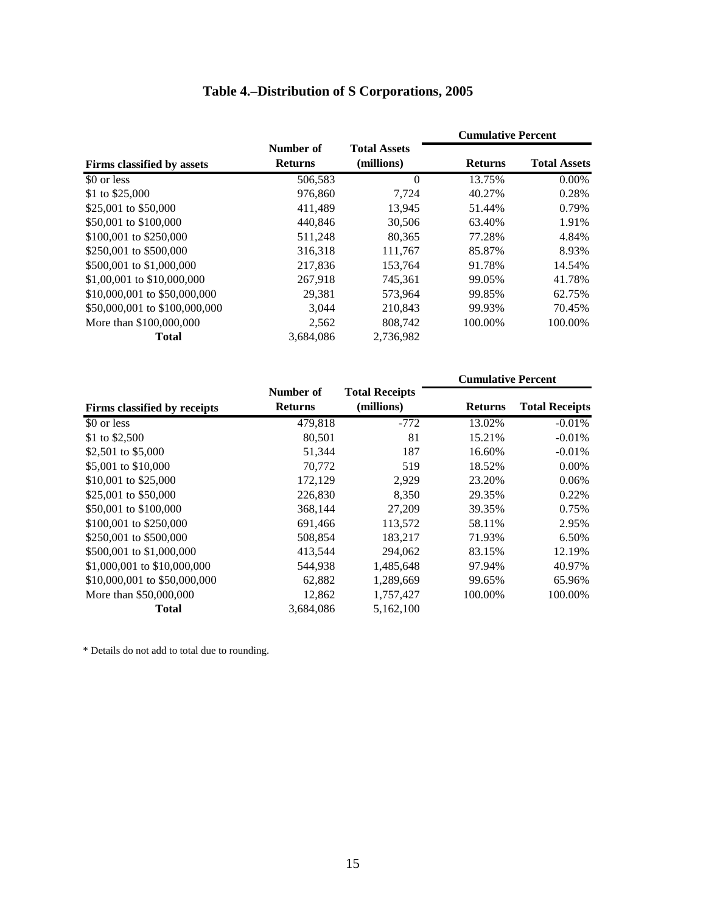# **Table 4.–Distribution of S Corporations, 2005**

|                               |                             |                                   | <b>Cumulative Percent</b> |                     |  |
|-------------------------------|-----------------------------|-----------------------------------|---------------------------|---------------------|--|
| Firms classified by assets    | Number of<br><b>Returns</b> | <b>Total Assets</b><br>(millions) | <b>Returns</b>            | <b>Total Assets</b> |  |
| \$0 or less                   | 506,583                     | $\Omega$                          | 13.75%                    | $0.00\%$            |  |
| \$1 to \$25,000               | 976,860                     | 7,724                             | 40.27%                    | 0.28%               |  |
| \$25,001 to \$50,000          | 411,489                     | 13.945                            | 51.44%                    | 0.79%               |  |
| \$50,001 to \$100,000         | 440,846                     | 30,506                            | 63.40%                    | 1.91%               |  |
| \$100,001 to \$250,000        | 511,248                     | 80,365                            | 77.28%                    | 4.84%               |  |
| \$250,001 to \$500,000        | 316,318                     | 111,767                           | 85.87%                    | 8.93%               |  |
| \$500,001 to \$1,000,000      | 217,836                     | 153,764                           | 91.78%                    | 14.54%              |  |
| \$1,00,001 to \$10,000,000    | 267.918                     | 745.361                           | 99.05%                    | 41.78%              |  |
| \$10,000,001 to \$50,000,000  | 29,381                      | 573.964                           | 99.85%                    | 62.75%              |  |
| \$50,000,001 to \$100,000,000 | 3,044                       | 210,843                           | 99.93%                    | 70.45%              |  |
| More than \$100,000,000       | 2,562                       | 808,742                           | 100.00%                   | 100.00%             |  |
| <b>Total</b>                  | 3.684.086                   | 2.736.982                         |                           |                     |  |

|                              |                             |                                     | <b>Cumulative Percent</b> |                       |
|------------------------------|-----------------------------|-------------------------------------|---------------------------|-----------------------|
| Firms classified by receipts | Number of<br><b>Returns</b> | <b>Total Receipts</b><br>(millions) | <b>Returns</b>            | <b>Total Receipts</b> |
| \$0 or less                  | 479,818                     | $-772$                              | 13.02%                    | $-0.01%$              |
| \$1 to \$2,500               | 80,501                      | 81                                  | 15.21%                    | $-0.01%$              |
| \$2,501 to \$5,000           | 51,344                      | 187                                 | 16.60%                    | $-0.01%$              |
| \$5,001 to \$10,000          | 70.772                      | 519                                 | 18.52%                    | $0.00\%$              |
| \$10,001 to \$25,000         | 172,129                     | 2,929                               | 23.20%                    | 0.06%                 |
| \$25,001 to \$50,000         | 226,830                     | 8,350                               | 29.35%                    | 0.22%                 |
| \$50,001 to \$100,000        | 368,144                     | 27,209                              | 39.35%                    | 0.75%                 |
| \$100,001 to \$250,000       | 691,466                     | 113,572                             | 58.11%                    | 2.95%                 |
| \$250,001 to \$500,000       | 508,854                     | 183.217                             | 71.93%                    | 6.50%                 |
| \$500,001 to \$1,000,000     | 413,544                     | 294,062                             | 83.15%                    | 12.19%                |
| \$1,000,001 to \$10,000,000  | 544,938                     | 1,485,648                           | 97.94%                    | 40.97%                |
| \$10,000,001 to \$50,000,000 | 62,882                      | 1,289,669                           | 99.65%                    | 65.96%                |
| More than \$50,000,000       | 12,862                      | 1,757,427                           | 100.00%                   | 100.00%               |
| <b>Total</b>                 | 3,684,086                   | 5,162,100                           |                           |                       |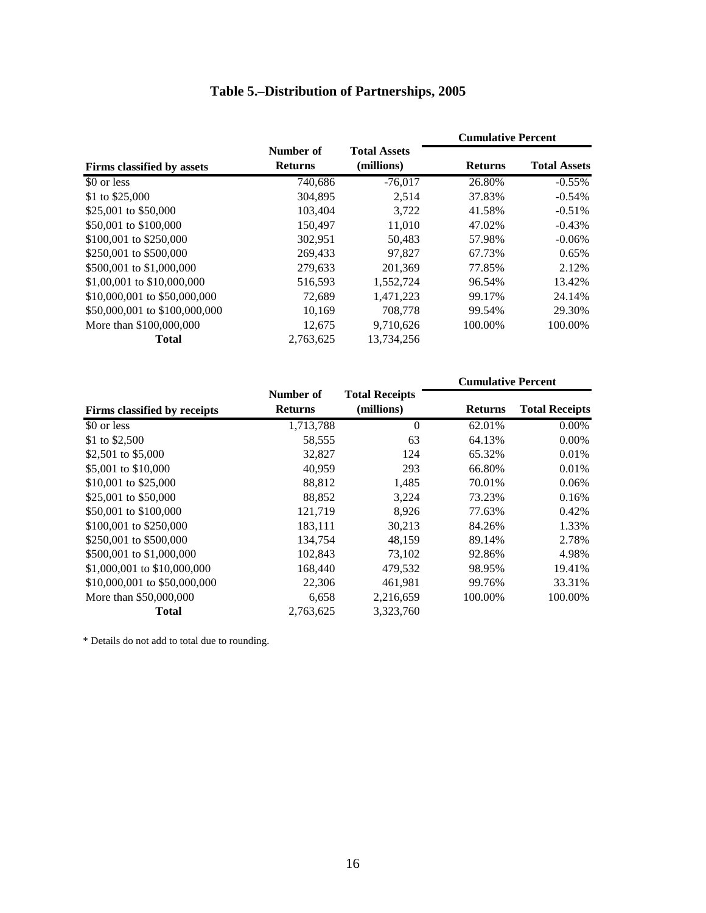# **Table 5.–Distribution of Partnerships, 2005**

|                               |                |                     | <b>Cumulative Percent</b> |                     |
|-------------------------------|----------------|---------------------|---------------------------|---------------------|
|                               | Number of      | <b>Total Assets</b> |                           |                     |
| Firms classified by assets    | <b>Returns</b> | (millions)          | <b>Returns</b>            | <b>Total Assets</b> |
| \$0 or less                   | 740,686        | $-76,017$           | 26.80%                    | $-0.55%$            |
| \$1 to \$25,000               | 304,895        | 2,514               | 37.83%                    | $-0.54%$            |
| \$25,001 to \$50,000          | 103,404        | 3,722               | 41.58%                    | $-0.51%$            |
| \$50,001 to \$100,000         | 150,497        | 11,010              | 47.02%                    | $-0.43%$            |
| \$100,001 to \$250,000        | 302,951        | 50,483              | 57.98%                    | $-0.06\%$           |
| \$250,001 to \$500,000        | 269,433        | 97.827              | 67.73%                    | 0.65%               |
| \$500,001 to \$1,000,000      | 279,633        | 201.369             | 77.85%                    | 2.12%               |
| \$1,00,001 to \$10,000,000    | 516,593        | 1,552,724           | 96.54%                    | 13.42%              |
| \$10,000,001 to \$50,000,000  | 72,689         | 1,471,223           | 99.17%                    | 24.14%              |
| \$50,000,001 to \$100,000,000 | 10,169         | 708,778             | 99.54%                    | 29.30%              |
| More than \$100,000,000       | 12,675         | 9,710,626           | 100.00%                   | 100.00%             |
| <b>Total</b>                  | 2,763,625      | 13,734,256          |                           |                     |

|                              |                             |                                     | <b>Cumulative Percent</b> |                       |
|------------------------------|-----------------------------|-------------------------------------|---------------------------|-----------------------|
| Firms classified by receipts | Number of<br><b>Returns</b> | <b>Total Receipts</b><br>(millions) | <b>Returns</b>            | <b>Total Receipts</b> |
| \$0 or less                  | 1,713,788                   | $\theta$                            | 62.01%                    | $0.00\%$              |
| \$1 to \$2,500               | 58,555                      | 63                                  | 64.13%                    | $0.00\%$              |
| \$2,501 to \$5,000           | 32,827                      | 124                                 | 65.32%                    | 0.01%                 |
| \$5,001 to \$10,000          | 40,959                      | 293                                 | 66.80%                    | 0.01%                 |
| \$10,001 to \$25,000         | 88,812                      | 1,485                               | 70.01%                    | 0.06%                 |
| \$25,001 to \$50,000         | 88,852                      | 3,224                               | 73.23%                    | 0.16%                 |
| \$50,001 to \$100,000        | 121,719                     | 8.926                               | 77.63%                    | 0.42%                 |
| \$100,001 to \$250,000       | 183,111                     | 30,213                              | 84.26%                    | 1.33%                 |
| \$250,001 to \$500,000       | 134,754                     | 48,159                              | 89.14%                    | 2.78%                 |
| \$500,001 to \$1,000,000     | 102,843                     | 73,102                              | 92.86%                    | 4.98%                 |
| \$1,000,001 to \$10,000,000  | 168,440                     | 479,532                             | 98.95%                    | 19.41%                |
| \$10,000,001 to \$50,000,000 | 22,306                      | 461,981                             | 99.76%                    | 33.31%                |
| More than \$50,000,000       | 6,658                       | 2,216,659                           | 100.00%                   | 100.00%               |
| Total                        | 2,763,625                   | 3,323,760                           |                           |                       |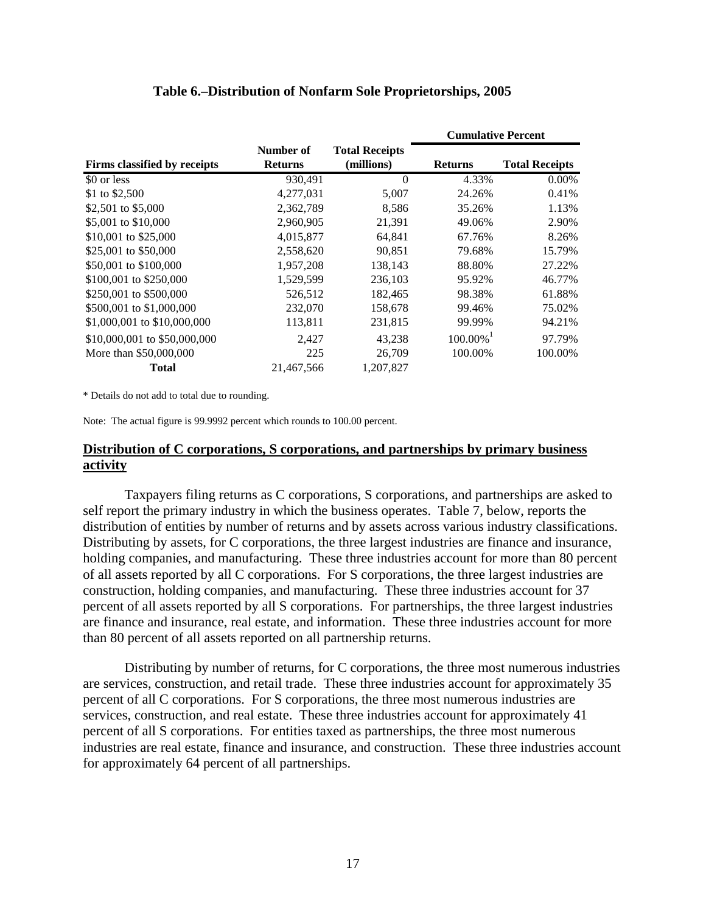|                              |                             |                                     | <b>Cumulative Percent</b> |                       |
|------------------------------|-----------------------------|-------------------------------------|---------------------------|-----------------------|
| Firms classified by receipts | Number of<br><b>Returns</b> | <b>Total Receipts</b><br>(millions) | <b>Returns</b>            | <b>Total Receipts</b> |
| \$0 or less                  | 930,491                     | $\Omega$                            | 4.33%                     | $0.00\%$              |
| \$1 to \$2,500               | 4,277,031                   | 5,007                               | 24.26%                    | 0.41%                 |
| \$2,501 to \$5,000           | 2,362,789                   | 8,586                               | 35.26%                    | 1.13%                 |
| \$5,001 to \$10,000          | 2,960,905                   | 21,391                              | 49.06%                    | 2.90%                 |
| \$10,001 to \$25,000         | 4,015,877                   | 64,841                              | 67.76%                    | 8.26%                 |
| \$25,001 to \$50,000         | 2,558,620                   | 90,851                              | 79.68%                    | 15.79%                |
| \$50,001 to \$100,000        | 1,957,208                   | 138,143                             | 88.80%                    | 27.22%                |
| \$100,001 to \$250,000       | 1,529,599                   | 236,103                             | 95.92%                    | 46.77%                |
| \$250,001 to \$500,000       | 526,512                     | 182,465                             | 98.38%                    | 61.88%                |
| \$500,001 to \$1,000,000     | 232,070                     | 158,678                             | 99.46%                    | 75.02%                |
| \$1,000,001 to \$10,000,000  | 113,811                     | 231,815                             | 99.99%                    | 94.21%                |
| \$10,000,001 to \$50,000,000 | 2,427                       | 43,238                              | $100.00\%$                | 97.79%                |
| More than \$50,000,000       | 225                         | 26,709                              | 100.00%                   | 100.00%               |
| <b>Total</b>                 | 21,467,566                  | 1,207,827                           |                           |                       |

#### **Table 6.–Distribution of Nonfarm Sole Proprietorships, 2005**

\* Details do not add to total due to rounding.

Note: The actual figure is 99.9992 percent which rounds to 100.00 percent.

#### **Distribution of C corporations, S corporations, and partnerships by primary business activity**

Taxpayers filing returns as C corporations, S corporations, and partnerships are asked to self report the primary industry in which the business operates. Table 7, below, reports the distribution of entities by number of returns and by assets across various industry classifications. Distributing by assets, for C corporations, the three largest industries are finance and insurance, holding companies, and manufacturing. These three industries account for more than 80 percent of all assets reported by all C corporations. For S corporations, the three largest industries are construction, holding companies, and manufacturing. These three industries account for 37 percent of all assets reported by all S corporations. For partnerships, the three largest industries are finance and insurance, real estate, and information. These three industries account for more than 80 percent of all assets reported on all partnership returns.

Distributing by number of returns, for C corporations, the three most numerous industries are services, construction, and retail trade. These three industries account for approximately 35 percent of all C corporations. For S corporations, the three most numerous industries are services, construction, and real estate. These three industries account for approximately 41 percent of all S corporations. For entities taxed as partnerships, the three most numerous industries are real estate, finance and insurance, and construction. These three industries account for approximately 64 percent of all partnerships.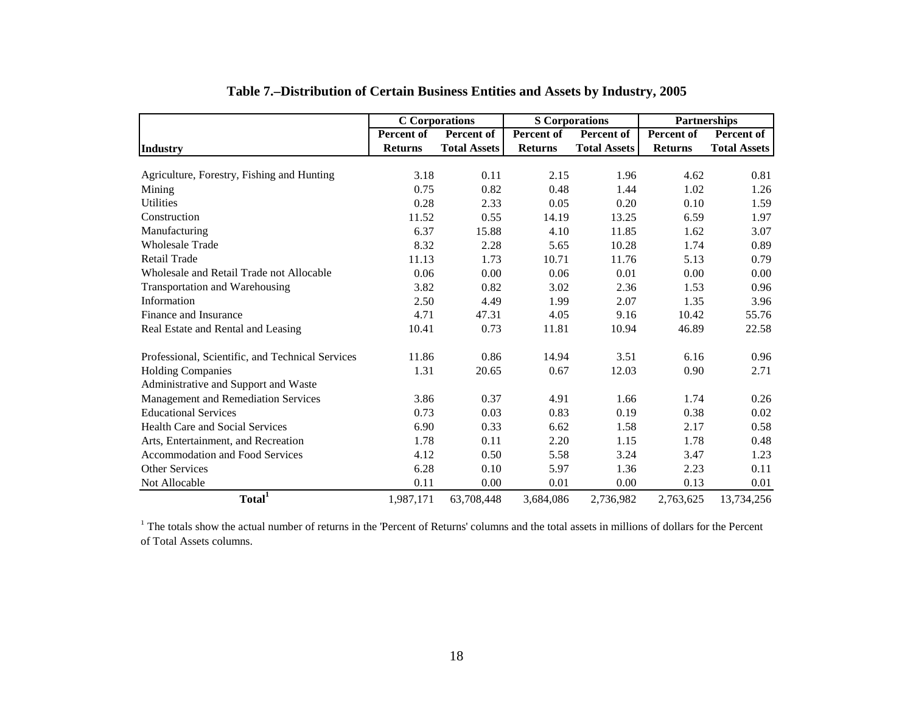|                                                  | <b>C</b> Corporations |                     | <b>S</b> Corporations |                     | <b>Partnerships</b> |                     |
|--------------------------------------------------|-----------------------|---------------------|-----------------------|---------------------|---------------------|---------------------|
|                                                  | Percent of            | Percent of          | Percent of            | Percent of          | Percent of          | Percent of          |
| Industry                                         | <b>Returns</b>        | <b>Total Assets</b> | <b>Returns</b>        | <b>Total Assets</b> | <b>Returns</b>      | <b>Total Assets</b> |
|                                                  |                       |                     |                       |                     |                     |                     |
| Agriculture, Forestry, Fishing and Hunting       | 3.18                  | 0.11                | 2.15                  | 1.96                | 4.62                | 0.81                |
| Mining                                           | 0.75                  | 0.82                | 0.48                  | 1.44                | 1.02                | 1.26                |
| <b>Utilities</b>                                 | 0.28                  | 2.33                | 0.05                  | 0.20                | 0.10                | 1.59                |
| Construction                                     | 11.52                 | 0.55                | 14.19                 | 13.25               | 6.59                | 1.97                |
| Manufacturing                                    | 6.37                  | 15.88               | 4.10                  | 11.85               | 1.62                | 3.07                |
| <b>Wholesale Trade</b>                           | 8.32                  | 2.28                | 5.65                  | 10.28               | 1.74                | 0.89                |
| <b>Retail Trade</b>                              | 11.13                 | 1.73                | 10.71                 | 11.76               | 5.13                | 0.79                |
| Wholesale and Retail Trade not Allocable         | 0.06                  | 0.00                | 0.06                  | 0.01                | 0.00                | 0.00                |
| Transportation and Warehousing                   | 3.82                  | 0.82                | 3.02                  | 2.36                | 1.53                | 0.96                |
| Information                                      | 2.50                  | 4.49                | 1.99                  | 2.07                | 1.35                | 3.96                |
| Finance and Insurance                            | 4.71                  | 47.31               | 4.05                  | 9.16                | 10.42               | 55.76               |
| Real Estate and Rental and Leasing               | 10.41                 | 0.73                | 11.81                 | 10.94               | 46.89               | 22.58               |
| Professional, Scientific, and Technical Services | 11.86                 | 0.86                | 14.94                 | 3.51                | 6.16                | 0.96                |
| <b>Holding Companies</b>                         | 1.31                  | 20.65               | 0.67                  | 12.03               | 0.90                | 2.71                |
| Administrative and Support and Waste             |                       |                     |                       |                     |                     |                     |
| Management and Remediation Services              | 3.86                  | 0.37                | 4.91                  | 1.66                | 1.74                | 0.26                |
| <b>Educational Services</b>                      | 0.73                  | 0.03                | 0.83                  | 0.19                | 0.38                | 0.02                |
| Health Care and Social Services                  | 6.90                  | 0.33                | 6.62                  | 1.58                | 2.17                | 0.58                |
| Arts, Entertainment, and Recreation              | 1.78                  | 0.11                | 2.20                  | 1.15                | 1.78                | 0.48                |
| Accommodation and Food Services                  | 4.12                  | 0.50                | 5.58                  | 3.24                | 3.47                | 1.23                |
| Other Services                                   | 6.28                  | 0.10                | 5.97                  | 1.36                | 2.23                | 0.11                |
| Not Allocable                                    | 0.11                  | 0.00                | 0.01                  | 0.00                | 0.13                | 0.01                |
| Total <sup>1</sup>                               | 1,987,171             | 63,708,448          | 3,684,086             | 2,736,982           | 2,763,625           | 13,734,256          |

# **Table 7.–Distribution of Certain Business Entities and Assets by Industry, 2005**

 $1$ <sup>1</sup> The totals show the actual number of returns in the 'Percent of Returns' columns and the total assets in millions of dollars for the Percent of Total Assets columns.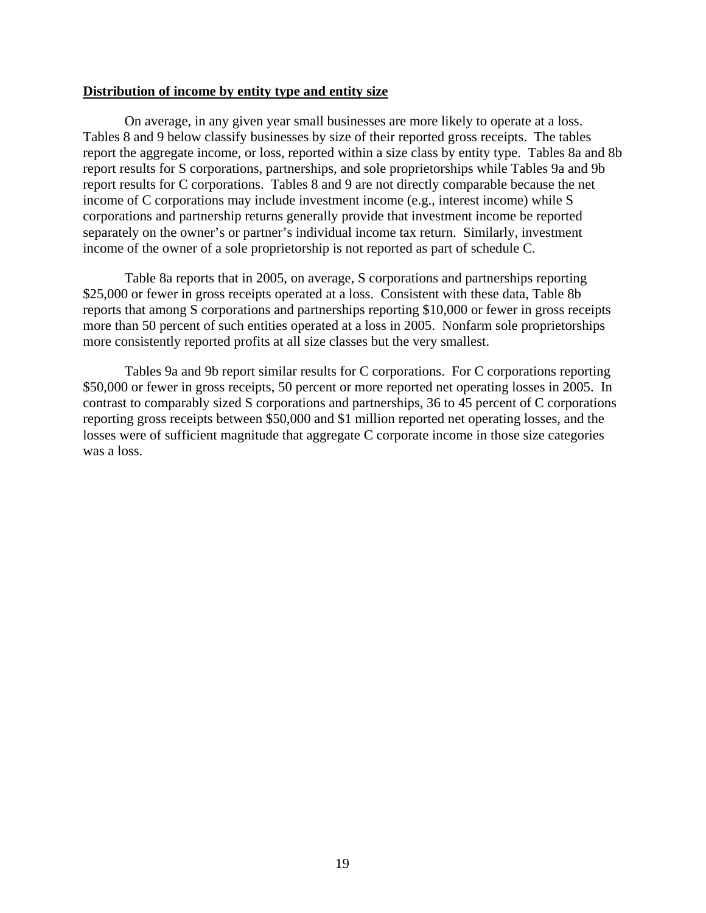#### **Distribution of income by entity type and entity size**

On average, in any given year small businesses are more likely to operate at a loss. Tables 8 and 9 below classify businesses by size of their reported gross receipts. The tables report the aggregate income, or loss, reported within a size class by entity type. Tables 8a and 8b report results for S corporations, partnerships, and sole proprietorships while Tables 9a and 9b report results for C corporations. Tables 8 and 9 are not directly comparable because the net income of C corporations may include investment income (e.g., interest income) while S corporations and partnership returns generally provide that investment income be reported separately on the owner's or partner's individual income tax return. Similarly, investment income of the owner of a sole proprietorship is not reported as part of schedule C.

Table 8a reports that in 2005, on average, S corporations and partnerships reporting \$25,000 or fewer in gross receipts operated at a loss. Consistent with these data, Table 8b reports that among S corporations and partnerships reporting \$10,000 or fewer in gross receipts more than 50 percent of such entities operated at a loss in 2005. Nonfarm sole proprietorships more consistently reported profits at all size classes but the very smallest.

Tables 9a and 9b report similar results for C corporations. For C corporations reporting \$50,000 or fewer in gross receipts, 50 percent or more reported net operating losses in 2005. In contrast to comparably sized S corporations and partnerships, 36 to 45 percent of C corporations reporting gross receipts between \$50,000 and \$1 million reported net operating losses, and the losses were of sufficient magnitude that aggregate C corporate income in those size categories was a loss.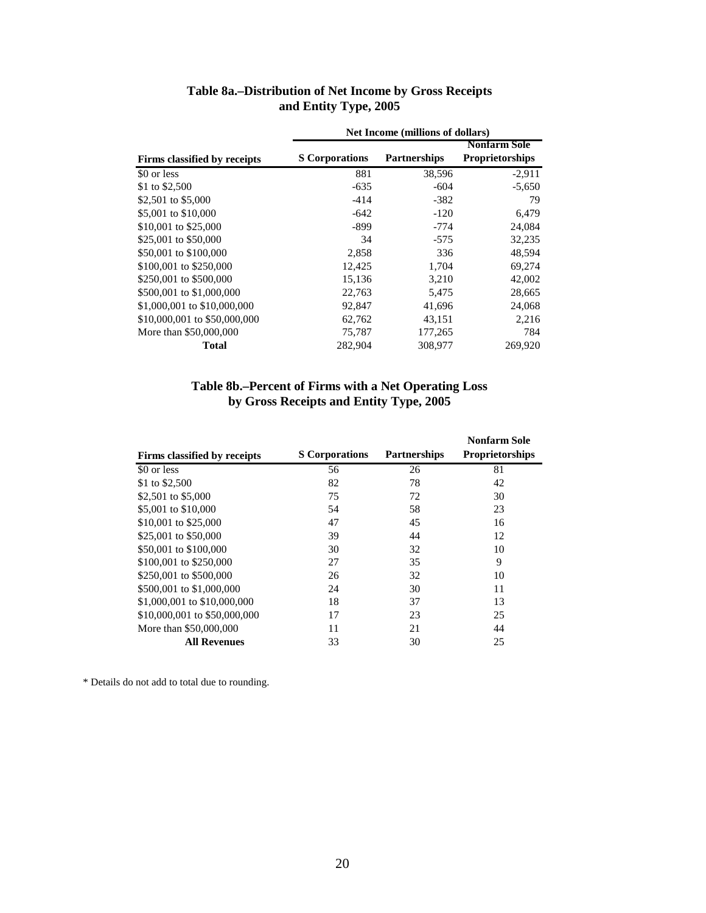| and Entity Type, 2005        |                       |                                  |                        |  |  |  |
|------------------------------|-----------------------|----------------------------------|------------------------|--|--|--|
|                              |                       | Net Income (millions of dollars) |                        |  |  |  |
|                              |                       |                                  | <b>Nonfarm Sole</b>    |  |  |  |
| Firms classified by receipts | <b>S</b> Corporations | <b>Partnerships</b>              | <b>Proprietorships</b> |  |  |  |
| \$0 or less                  | 881                   | 38.596                           | $-2.911$               |  |  |  |

# **Table 8a.–Distribution of Net Income by Gross Receipts**

| Total                        | 282,904 | 308,977 | 269,920  |
|------------------------------|---------|---------|----------|
| More than \$50,000,000       | 75,787  | 177,265 | 784      |
| \$10,000,001 to \$50,000,000 | 62.762  | 43,151  | 2,216    |
| \$1,000,001 to \$10,000,000  | 92,847  | 41,696  | 24,068   |
| \$500,001 to \$1,000,000     | 22,763  | 5,475   | 28,665   |
| \$250,001 to \$500,000       | 15,136  | 3.210   | 42,002   |
| \$100,001 to \$250,000       | 12,425  | 1,704   | 69,274   |
| \$50,001 to \$100,000        | 2,858   | 336     | 48,594   |
| \$25,001 to \$50,000         | 34      | $-575$  | 32,235   |
| \$10,001 to \$25,000         | $-899$  | $-774$  | 24,084   |
| \$5,001 to \$10,000          | $-642$  | $-120$  | 6,479    |
| \$2,501 to \$5,000           | $-414$  | $-382$  | 79       |
| \$1 to \$2,500               | $-635$  | $-604$  | $-5,650$ |

## **by Gross Receipts and Entity Type, 2005 Table 8b.–Percent of Firms with a Net Operating Loss**

|                              |                       |                     | <b>Nonfarm Sole</b>    |
|------------------------------|-----------------------|---------------------|------------------------|
| Firms classified by receipts | <b>S</b> Corporations | <b>Partnerships</b> | <b>Proprietorships</b> |
| \$0 or less                  | 56                    | 26                  | 81                     |
| \$1 to \$2,500               | 82                    | 78                  | 42                     |
| \$2,501 to \$5,000           | 75                    | 72                  | 30                     |
| \$5,001 to \$10,000          | 54                    | 58                  | 23                     |
| \$10,001 to \$25,000         | 47                    | 45                  | 16                     |
| \$25,001 to \$50,000         | 39                    | 44                  | 12                     |
| \$50,001 to \$100,000        | 30                    | 32                  | 10                     |
| \$100,001 to \$250,000       | 27                    | 35                  | 9                      |
| \$250,001 to \$500,000       | 26                    | 32                  | 10                     |
| \$500,001 to \$1,000,000     | 24                    | 30                  | 11                     |
| \$1,000,001 to \$10,000,000  | 18                    | 37                  | 13                     |
| \$10,000,001 to \$50,000,000 | 17                    | 23                  | 25                     |
| More than \$50,000,000       | 11                    | 21                  | 44                     |
| <b>All Revenues</b>          | 33                    | 30                  | 25                     |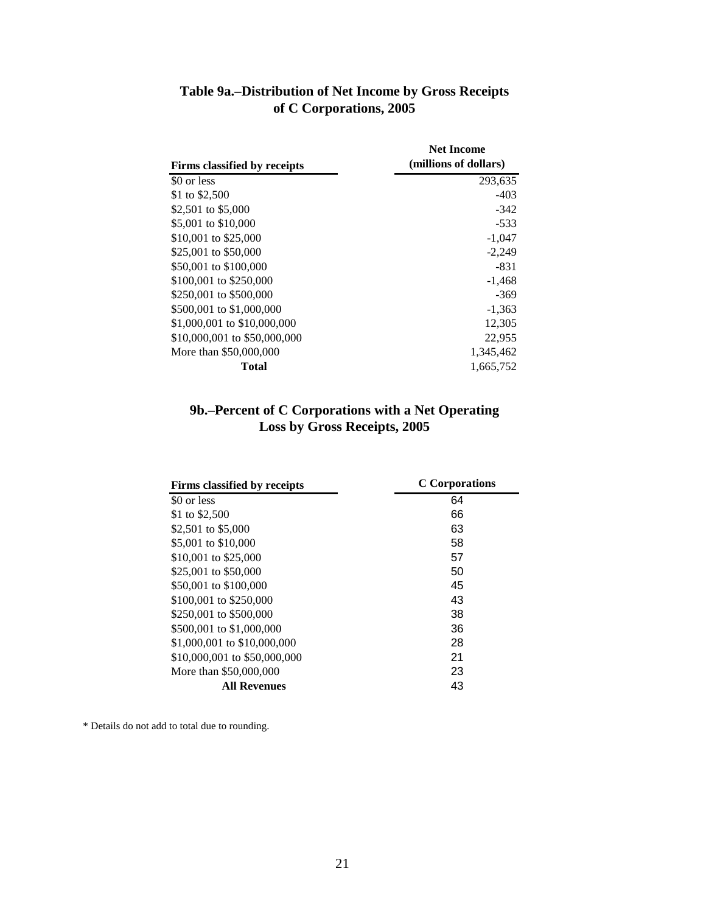| Firms classified by receipts | <b>Net Income</b><br>(millions of dollars) |
|------------------------------|--------------------------------------------|
| \$0 or less                  | 293,635                                    |
| \$1 to \$2,500               | $-403$                                     |
| \$2,501 to \$5,000           | $-342$                                     |
| \$5,001 to \$10,000          | $-533$                                     |
| \$10,001 to \$25,000         | $-1,047$                                   |
| \$25,001 to \$50,000         | $-2,249$                                   |
| \$50,001 to \$100,000        | $-831$                                     |
| \$100,001 to \$250,000       | $-1,468$                                   |
| \$250,001 to \$500,000       | $-369$                                     |
| \$500,001 to \$1,000,000     | $-1,363$                                   |
| \$1,000,001 to \$10,000,000  | 12,305                                     |
| \$10,000,001 to \$50,000,000 | 22,955                                     |
| More than \$50,000,000       | 1,345,462                                  |
| Total                        | 1.665.752                                  |

# **Table 9a.–Distribution of Net Income by Gross Receipts of C Corporations, 2005**

# **9b.–Percent of C Corporations with a Net Operating Loss by Gross Receipts, 2005**

| Firms classified by receipts | <b>C</b> Corporations |
|------------------------------|-----------------------|
| \$0 or less                  | 64                    |
| \$1 to \$2,500               | 66                    |
| \$2,501 to \$5,000           | 63                    |
| \$5,001 to \$10,000          | 58                    |
| \$10,001 to \$25,000         | 57                    |
| \$25,001 to \$50,000         | 50                    |
| \$50,001 to \$100,000        | 45                    |
| \$100,001 to \$250,000       | 43                    |
| \$250,001 to \$500,000       | 38                    |
| \$500,001 to \$1,000,000     | 36                    |
| \$1,000,001 to \$10,000,000  | 28                    |
| \$10,000,001 to \$50,000,000 | 21                    |
| More than \$50,000,000       | 23                    |
| All Revenues                 | 43                    |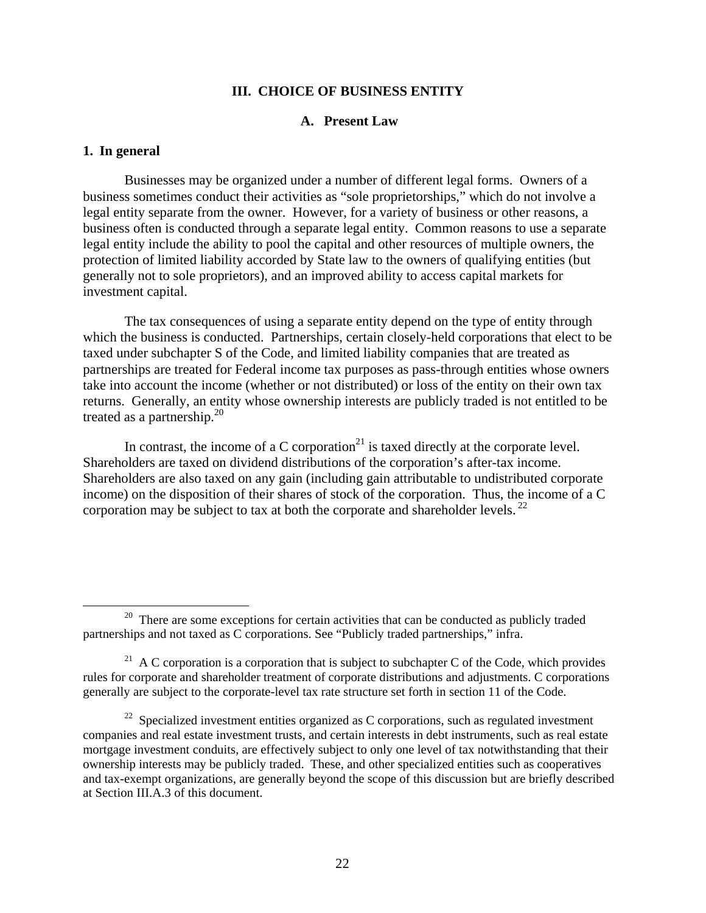#### **III. CHOICE OF BUSINESS ENTITY**

### **A. Present Law**

#### **1. In general**

Businesses may be organized under a number of different legal forms. Owners of a business sometimes conduct their activities as "sole proprietorships," which do not involve a legal entity separate from the owner. However, for a variety of business or other reasons, a business often is conducted through a separate legal entity. Common reasons to use a separate legal entity include the ability to pool the capital and other resources of multiple owners, the protection of limited liability accorded by State law to the owners of qualifying entities (but generally not to sole proprietors), and an improved ability to access capital markets for investment capital.

The tax consequences of using a separate entity depend on the type of entity through which the business is conducted. Partnerships, certain closely-held corporations that elect to be taxed under subchapter S of the Code, and limited liability companies that are treated as partnerships are treated for Federal income tax purposes as pass-through entities whose owners take into account the income (whether or not distributed) or loss of the entity on their own tax returns. Generally, an entity whose ownership interests are publicly traded is not entitled to be treated as a partnership. $2^{0}$ 

In contrast, the income of a C corporation<sup>21</sup> is taxed directly at the corporate level. Shareholders are taxed on dividend distributions of the corporation's after-tax income. Shareholders are also taxed on any gain (including gain attributable to undistributed corporate income) on the disposition of their shares of stock of the corporation. Thus, the income of a C corporation may be subject to tax at both the corporate and shareholder levels.  $^{22}$ 

<sup>&</sup>lt;sup>20</sup> There are some exceptions for certain activities that can be conducted as publicly traded partnerships and not taxed as C corporations. See "Publicly traded partnerships," infra.

<sup>&</sup>lt;sup>21</sup> A C corporation is a corporation that is subject to subchapter C of the Code, which provides rules for corporate and shareholder treatment of corporate distributions and adjustments. C corporations generally are subject to the corporate-level tax rate structure set forth in section 11 of the Code.

 $22$  Specialized investment entities organized as C corporations, such as regulated investment companies and real estate investment trusts, and certain interests in debt instruments, such as real estate mortgage investment conduits, are effectively subject to only one level of tax notwithstanding that their ownership interests may be publicly traded. These, and other specialized entities such as cooperatives and tax-exempt organizations, are generally beyond the scope of this discussion but are briefly described at Section III.A.3 of this document.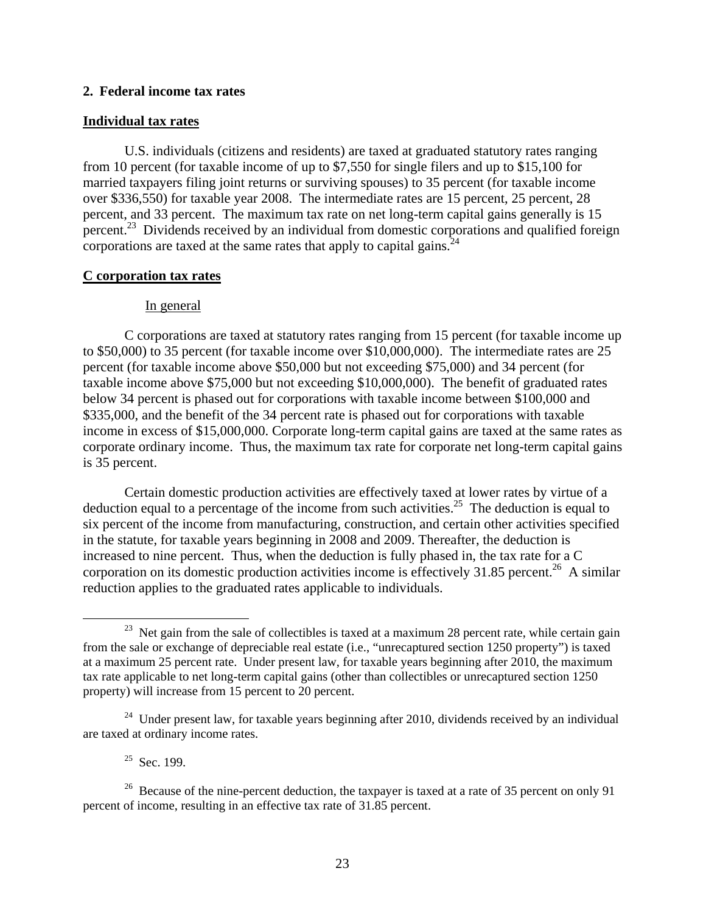#### **2. Federal income tax rates**

#### **Individual tax rates**

U.S. individuals (citizens and residents) are taxed at graduated statutory rates ranging from 10 percent (for taxable income of up to \$7,550 for single filers and up to \$15,100 for married taxpayers filing joint returns or surviving spouses) to 35 percent (for taxable income over \$336,550) for taxable year 2008. The intermediate rates are 15 percent, 25 percent, 28 percent, and 33 percent. The maximum tax rate on net long-term capital gains generally is 15 percent.<sup>23</sup> Dividends received by an individual from domestic corporations and qualified foreign corporations are taxed at the same rates that apply to capital gains.<sup>24</sup>

#### **C corporation tax rates**

#### In general

C corporations are taxed at statutory rates ranging from 15 percent (for taxable income up to \$50,000) to 35 percent (for taxable income over \$10,000,000). The intermediate rates are 25 percent (for taxable income above \$50,000 but not exceeding \$75,000) and 34 percent (for taxable income above \$75,000 but not exceeding \$10,000,000). The benefit of graduated rates below 34 percent is phased out for corporations with taxable income between \$100,000 and \$335,000, and the benefit of the 34 percent rate is phased out for corporations with taxable income in excess of \$15,000,000. Corporate long-term capital gains are taxed at the same rates as corporate ordinary income. Thus, the maximum tax rate for corporate net long-term capital gains is 35 percent.

Certain domestic production activities are effectively taxed at lower rates by virtue of a deduction equal to a percentage of the income from such activities.<sup>25</sup> The deduction is equal to six percent of the income from manufacturing, construction, and certain other activities specified in the statute, for taxable years beginning in 2008 and 2009. Thereafter, the deduction is increased to nine percent. Thus, when the deduction is fully phased in, the tax rate for a C corporation on its domestic production activities income is effectively 31.85 percent.<sup>26</sup> A similar reduction applies to the graduated rates applicable to individuals.

 $23$  Net gain from the sale of collectibles is taxed at a maximum 28 percent rate, while certain gain from the sale or exchange of depreciable real estate (i.e., "unrecaptured section 1250 property") is taxed at a maximum 25 percent rate. Under present law, for taxable years beginning after 2010, the maximum tax rate applicable to net long-term capital gains (other than collectibles or unrecaptured section 1250 property) will increase from 15 percent to 20 percent.

 $24$  Under present law, for taxable years beginning after 2010, dividends received by an individual are taxed at ordinary income rates.

 $25$  Sec. 199.

<sup>&</sup>lt;sup>26</sup> Because of the nine-percent deduction, the taxpayer is taxed at a rate of 35 percent on only 91 percent of income, resulting in an effective tax rate of 31.85 percent.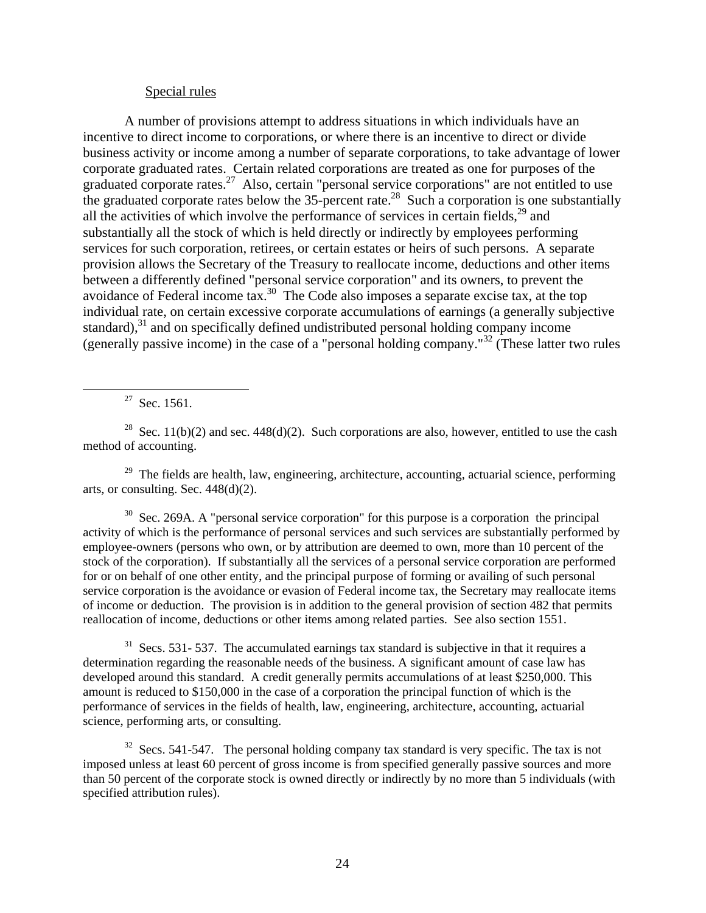#### Special rules

A number of provisions attempt to address situations in which individuals have an incentive to direct income to corporations, or where there is an incentive to direct or divide business activity or income among a number of separate corporations, to take advantage of lower corporate graduated rates. Certain related corporations are treated as one for purposes of the graduated corporate rates.<sup>27</sup> Also, certain "personal service corporations" are not entitled to use the graduated corporate rates below the  $35$ -percent rate.<sup>28</sup> Such a corporation is one substantially all the activities of which involve the performance of services in certain fields,  $2^9$  and substantially all the stock of which is held directly or indirectly by employees performing services for such corporation, retirees, or certain estates or heirs of such persons. A separate provision allows the Secretary of the Treasury to reallocate income, deductions and other items between a differently defined "personal service corporation" and its owners, to prevent the avoidance of Federal income tax.30 The Code also imposes a separate excise tax, at the top individual rate, on certain excessive corporate accumulations of earnings (a generally subjective standard), $31$  and on specifically defined undistributed personal holding company income (generally passive income) in the case of a "personal holding company."32 (These latter two rules

 $27$  Sec. 1561.

<sup>28</sup> Sec. 11(b)(2) and sec. 448(d)(2). Such corporations are also, however, entitled to use the cash method of accounting.

 $29$  The fields are health, law, engineering, architecture, accounting, actuarial science, performing arts, or consulting. Sec. 448(d)(2).

<sup>30</sup> Sec. 269A. A "personal service corporation" for this purpose is a corporation the principal activity of which is the performance of personal services and such services are substantially performed by employee-owners (persons who own, or by attribution are deemed to own, more than 10 percent of the stock of the corporation). If substantially all the services of a personal service corporation are performed for or on behalf of one other entity, and the principal purpose of forming or availing of such personal service corporation is the avoidance or evasion of Federal income tax, the Secretary may reallocate items of income or deduction. The provision is in addition to the general provision of section 482 that permits reallocation of income, deductions or other items among related parties. See also section 1551.

 $31$  Secs. 531- 537. The accumulated earnings tax standard is subjective in that it requires a determination regarding the reasonable needs of the business. A significant amount of case law has developed around this standard. A credit generally permits accumulations of at least \$250,000. This amount is reduced to \$150,000 in the case of a corporation the principal function of which is the performance of services in the fields of health, law, engineering, architecture, accounting, actuarial science, performing arts, or consulting.

 $32$  Secs. 541-547. The personal holding company tax standard is very specific. The tax is not imposed unless at least 60 percent of gross income is from specified generally passive sources and more than 50 percent of the corporate stock is owned directly or indirectly by no more than 5 individuals (with specified attribution rules).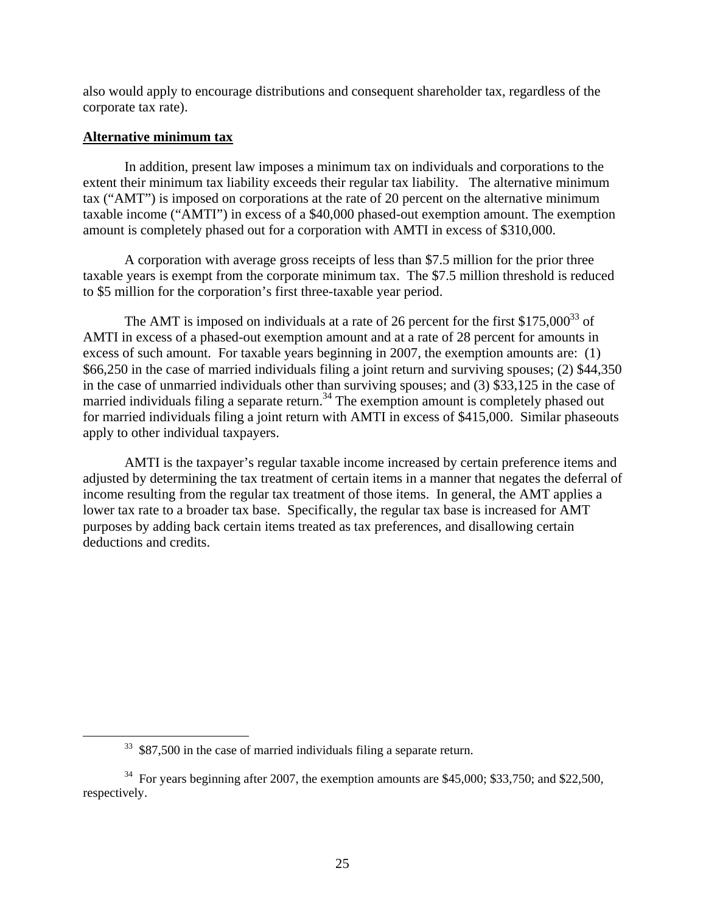also would apply to encourage distributions and consequent shareholder tax, regardless of the corporate tax rate).

#### **Alternative minimum tax**

In addition, present law imposes a minimum tax on individuals and corporations to the extent their minimum tax liability exceeds their regular tax liability. The alternative minimum tax ("AMT") is imposed on corporations at the rate of 20 percent on the alternative minimum taxable income ("AMTI") in excess of a \$40,000 phased-out exemption amount. The exemption amount is completely phased out for a corporation with AMTI in excess of \$310,000.

A corporation with average gross receipts of less than \$7.5 million for the prior three taxable years is exempt from the corporate minimum tax. The \$7.5 million threshold is reduced to \$5 million for the corporation's first three-taxable year period.

The AMT is imposed on individuals at a rate of 26 percent for the first  $$175,000^{33}$  of AMTI in excess of a phased-out exemption amount and at a rate of 28 percent for amounts in excess of such amount. For taxable years beginning in 2007, the exemption amounts are: (1) \$66,250 in the case of married individuals filing a joint return and surviving spouses; (2) \$44,350 in the case of unmarried individuals other than surviving spouses; and (3) \$33,125 in the case of married individuals filing a separate return.<sup>34</sup> The exemption amount is completely phased out for married individuals filing a joint return with AMTI in excess of \$415,000. Similar phaseouts apply to other individual taxpayers.

AMTI is the taxpayer's regular taxable income increased by certain preference items and adjusted by determining the tax treatment of certain items in a manner that negates the deferral of income resulting from the regular tax treatment of those items. In general, the AMT applies a lower tax rate to a broader tax base. Specifically, the regular tax base is increased for AMT purposes by adding back certain items treated as tax preferences, and disallowing certain deductions and credits.

<sup>&</sup>lt;sup>33</sup> \$87,500 in the case of married individuals filing a separate return.

 $34$  For years beginning after 2007, the exemption amounts are \$45,000; \$33,750; and \$22,500, respectively.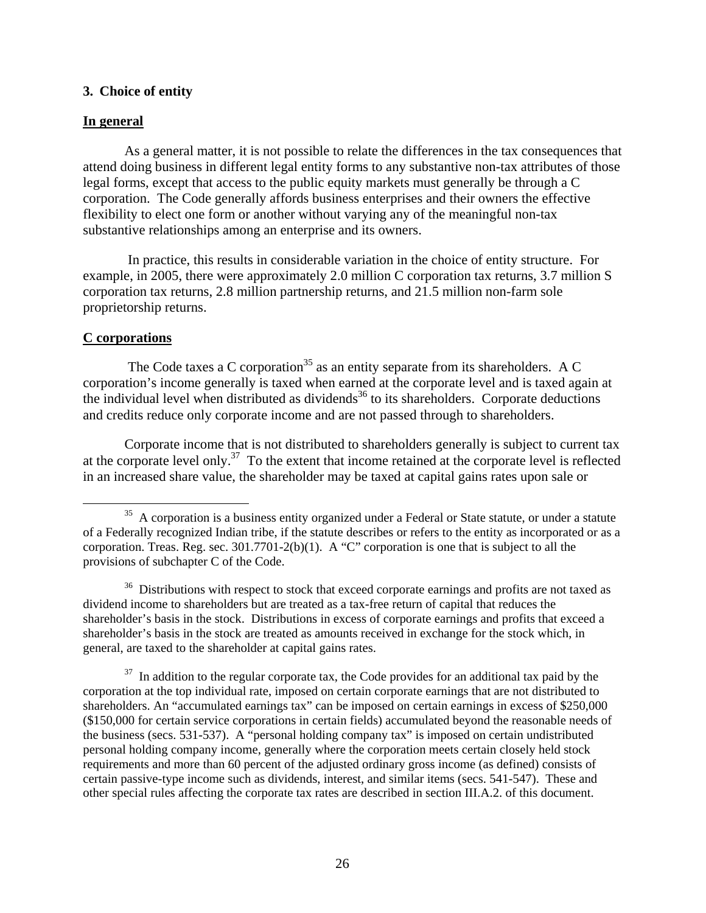#### **3. Choice of entity**

#### **In general**

As a general matter, it is not possible to relate the differences in the tax consequences that attend doing business in different legal entity forms to any substantive non-tax attributes of those legal forms, except that access to the public equity markets must generally be through a C corporation. The Code generally affords business enterprises and their owners the effective flexibility to elect one form or another without varying any of the meaningful non-tax substantive relationships among an enterprise and its owners.

 In practice, this results in considerable variation in the choice of entity structure. For example, in 2005, there were approximately 2.0 million C corporation tax returns, 3.7 million S corporation tax returns, 2.8 million partnership returns, and 21.5 million non-farm sole proprietorship returns.

#### **C corporations**

The Code taxes a C corporation<sup>35</sup> as an entity separate from its shareholders. A C corporation's income generally is taxed when earned at the corporate level and is taxed again at the individual level when distributed as dividends<sup>36</sup> to its shareholders. Corporate deductions and credits reduce only corporate income and are not passed through to shareholders.

Corporate income that is not distributed to shareholders generally is subject to current tax at the corporate level only.37 To the extent that income retained at the corporate level is reflected in an increased share value, the shareholder may be taxed at capital gains rates upon sale or

<sup>36</sup> Distributions with respect to stock that exceed corporate earnings and profits are not taxed as dividend income to shareholders but are treated as a tax-free return of capital that reduces the shareholder's basis in the stock. Distributions in excess of corporate earnings and profits that exceed a shareholder's basis in the stock are treated as amounts received in exchange for the stock which, in general, are taxed to the shareholder at capital gains rates.

 $37$  In addition to the regular corporate tax, the Code provides for an additional tax paid by the corporation at the top individual rate, imposed on certain corporate earnings that are not distributed to shareholders. An "accumulated earnings tax" can be imposed on certain earnings in excess of \$250,000 (\$150,000 for certain service corporations in certain fields) accumulated beyond the reasonable needs of the business (secs. 531-537). A "personal holding company tax" is imposed on certain undistributed personal holding company income, generally where the corporation meets certain closely held stock requirements and more than 60 percent of the adjusted ordinary gross income (as defined) consists of certain passive-type income such as dividends, interest, and similar items (secs. 541-547). These and other special rules affecting the corporate tax rates are described in section III.A.2. of this document.

<sup>&</sup>lt;sup>35</sup> A corporation is a business entity organized under a Federal or State statute, or under a statute of a Federally recognized Indian tribe, if the statute describes or refers to the entity as incorporated or as a corporation. Treas. Reg. sec. 301.7701-2(b)(1). A "C" corporation is one that is subject to all the provisions of subchapter C of the Code.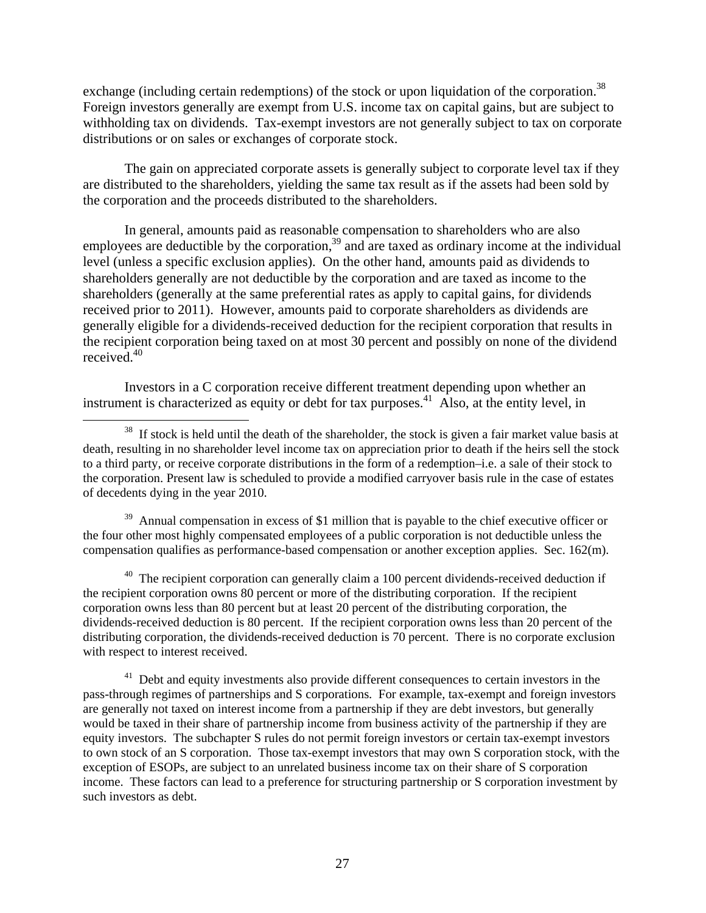exchange (including certain redemptions) of the stock or upon liquidation of the corporation.<sup>38</sup> Foreign investors generally are exempt from U.S. income tax on capital gains, but are subject to withholding tax on dividends. Tax-exempt investors are not generally subject to tax on corporate distributions or on sales or exchanges of corporate stock.

The gain on appreciated corporate assets is generally subject to corporate level tax if they are distributed to the shareholders, yielding the same tax result as if the assets had been sold by the corporation and the proceeds distributed to the shareholders.

In general, amounts paid as reasonable compensation to shareholders who are also employees are deductible by the corporation,<sup>39</sup> and are taxed as ordinary income at the individual level (unless a specific exclusion applies). On the other hand, amounts paid as dividends to shareholders generally are not deductible by the corporation and are taxed as income to the shareholders (generally at the same preferential rates as apply to capital gains, for dividends received prior to 2011). However, amounts paid to corporate shareholders as dividends are generally eligible for a dividends-received deduction for the recipient corporation that results in the recipient corporation being taxed on at most 30 percent and possibly on none of the dividend received.40

Investors in a C corporation receive different treatment depending upon whether an instrument is characterized as equity or debt for tax purposes.<sup>41</sup> Also, at the entity level, in

 $39$  Annual compensation in excess of \$1 million that is payable to the chief executive officer or the four other most highly compensated employees of a public corporation is not deductible unless the compensation qualifies as performance-based compensation or another exception applies. Sec. 162(m).

 $40$  The recipient corporation can generally claim a 100 percent dividends-received deduction if the recipient corporation owns 80 percent or more of the distributing corporation. If the recipient corporation owns less than 80 percent but at least 20 percent of the distributing corporation, the dividends-received deduction is 80 percent. If the recipient corporation owns less than 20 percent of the distributing corporation, the dividends-received deduction is 70 percent. There is no corporate exclusion with respect to interest received.

 $41$  Debt and equity investments also provide different consequences to certain investors in the pass-through regimes of partnerships and S corporations. For example, tax-exempt and foreign investors are generally not taxed on interest income from a partnership if they are debt investors, but generally would be taxed in their share of partnership income from business activity of the partnership if they are equity investors. The subchapter S rules do not permit foreign investors or certain tax-exempt investors to own stock of an S corporation. Those tax-exempt investors that may own S corporation stock, with the exception of ESOPs, are subject to an unrelated business income tax on their share of S corporation income. These factors can lead to a preference for structuring partnership or S corporation investment by such investors as debt.

<sup>&</sup>lt;sup>38</sup> If stock is held until the death of the shareholder, the stock is given a fair market value basis at death, resulting in no shareholder level income tax on appreciation prior to death if the heirs sell the stock to a third party, or receive corporate distributions in the form of a redemption–i.e. a sale of their stock to the corporation. Present law is scheduled to provide a modified carryover basis rule in the case of estates of decedents dying in the year 2010.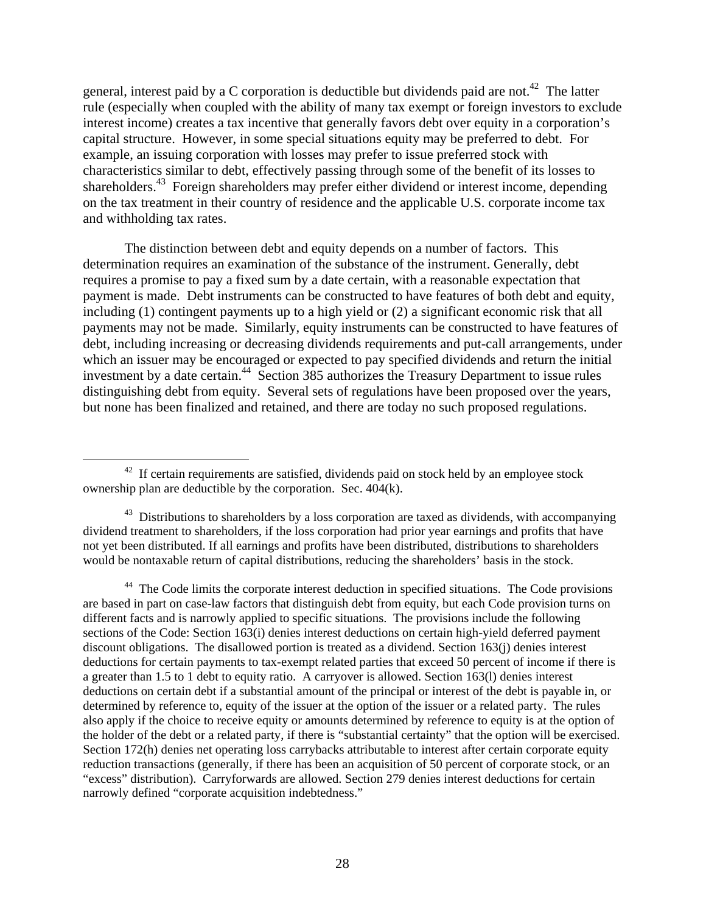general, interest paid by a C corporation is deductible but dividends paid are not.<sup>42</sup> The latter rule (especially when coupled with the ability of many tax exempt or foreign investors to exclude interest income) creates a tax incentive that generally favors debt over equity in a corporation's capital structure. However, in some special situations equity may be preferred to debt. For example, an issuing corporation with losses may prefer to issue preferred stock with characteristics similar to debt, effectively passing through some of the benefit of its losses to shareholders.<sup>43</sup> Foreign shareholders may prefer either dividend or interest income, depending on the tax treatment in their country of residence and the applicable U.S. corporate income tax and withholding tax rates.

The distinction between debt and equity depends on a number of factors. This determination requires an examination of the substance of the instrument. Generally, debt requires a promise to pay a fixed sum by a date certain, with a reasonable expectation that payment is made. Debt instruments can be constructed to have features of both debt and equity, including (1) contingent payments up to a high yield or (2) a significant economic risk that all payments may not be made. Similarly, equity instruments can be constructed to have features of debt, including increasing or decreasing dividends requirements and put-call arrangements, under which an issuer may be encouraged or expected to pay specified dividends and return the initial investment by a date certain.<sup>44</sup> Section 385 authorizes the Treasury Department to issue rules distinguishing debt from equity. Several sets of regulations have been proposed over the years, but none has been finalized and retained, and there are today no such proposed regulations.

<sup>44</sup> The Code limits the corporate interest deduction in specified situations. The Code provisions are based in part on case-law factors that distinguish debt from equity, but each Code provision turns on different facts and is narrowly applied to specific situations. The provisions include the following sections of the Code: Section 163(i) denies interest deductions on certain high-yield deferred payment discount obligations. The disallowed portion is treated as a dividend. Section 163(j) denies interest deductions for certain payments to tax-exempt related parties that exceed 50 percent of income if there is a greater than 1.5 to 1 debt to equity ratio. A carryover is allowed. Section 163(l) denies interest deductions on certain debt if a substantial amount of the principal or interest of the debt is payable in, or determined by reference to, equity of the issuer at the option of the issuer or a related party. The rules also apply if the choice to receive equity or amounts determined by reference to equity is at the option of the holder of the debt or a related party, if there is "substantial certainty" that the option will be exercised. Section 172(h) denies net operating loss carrybacks attributable to interest after certain corporate equity reduction transactions (generally, if there has been an acquisition of 50 percent of corporate stock, or an "excess" distribution). Carryforwards are allowed. Section 279 denies interest deductions for certain narrowly defined "corporate acquisition indebtedness."

 $42$  If certain requirements are satisfied, dividends paid on stock held by an employee stock ownership plan are deductible by the corporation. Sec. 404(k).

 $43$  Distributions to shareholders by a loss corporation are taxed as dividends, with accompanying dividend treatment to shareholders, if the loss corporation had prior year earnings and profits that have not yet been distributed. If all earnings and profits have been distributed, distributions to shareholders would be nontaxable return of capital distributions, reducing the shareholders' basis in the stock.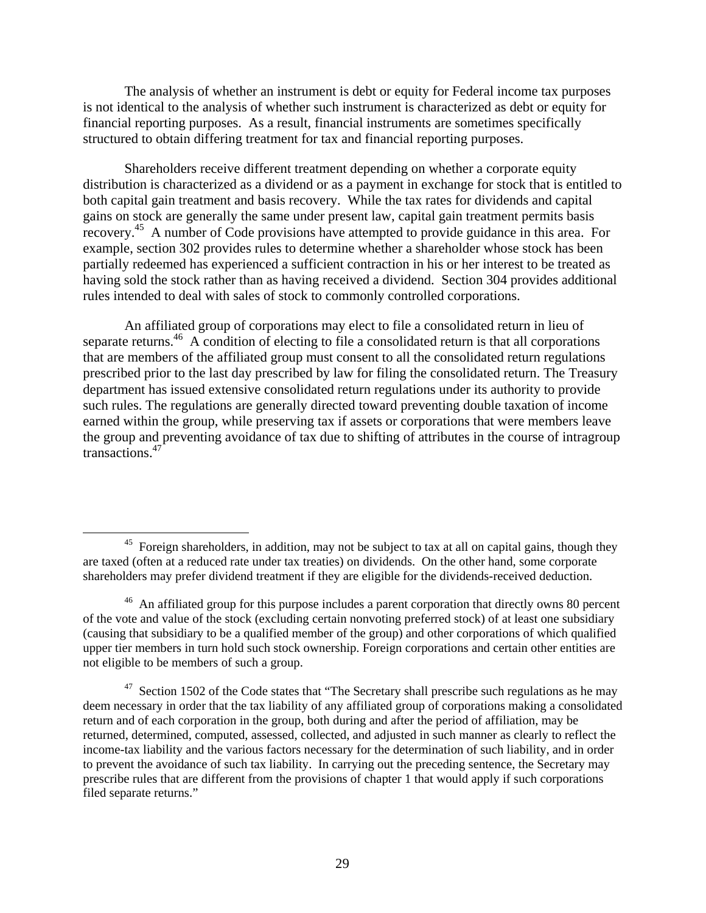The analysis of whether an instrument is debt or equity for Federal income tax purposes is not identical to the analysis of whether such instrument is characterized as debt or equity for financial reporting purposes. As a result, financial instruments are sometimes specifically structured to obtain differing treatment for tax and financial reporting purposes.

Shareholders receive different treatment depending on whether a corporate equity distribution is characterized as a dividend or as a payment in exchange for stock that is entitled to both capital gain treatment and basis recovery. While the tax rates for dividends and capital gains on stock are generally the same under present law, capital gain treatment permits basis recovery.<sup>45</sup> A number of Code provisions have attempted to provide guidance in this area. For example, section 302 provides rules to determine whether a shareholder whose stock has been partially redeemed has experienced a sufficient contraction in his or her interest to be treated as having sold the stock rather than as having received a dividend. Section 304 provides additional rules intended to deal with sales of stock to commonly controlled corporations.

An affiliated group of corporations may elect to file a consolidated return in lieu of separate returns.<sup>46</sup> A condition of electing to file a consolidated return is that all corporations that are members of the affiliated group must consent to all the consolidated return regulations prescribed prior to the last day prescribed by law for filing the consolidated return. The Treasury department has issued extensive consolidated return regulations under its authority to provide such rules. The regulations are generally directed toward preventing double taxation of income earned within the group, while preserving tax if assets or corporations that were members leave the group and preventing avoidance of tax due to shifting of attributes in the course of intragroup transactions.47

 $45$  Foreign shareholders, in addition, may not be subject to tax at all on capital gains, though they are taxed (often at a reduced rate under tax treaties) on dividends. On the other hand, some corporate shareholders may prefer dividend treatment if they are eligible for the dividends-received deduction.

<sup>&</sup>lt;sup>46</sup> An affiliated group for this purpose includes a parent corporation that directly owns 80 percent of the vote and value of the stock (excluding certain nonvoting preferred stock) of at least one subsidiary (causing that subsidiary to be a qualified member of the group) and other corporations of which qualified upper tier members in turn hold such stock ownership. Foreign corporations and certain other entities are not eligible to be members of such a group.

 $47$  Section 1502 of the Code states that "The Secretary shall prescribe such regulations as he may deem necessary in order that the tax liability of any affiliated group of corporations making a consolidated return and of each corporation in the group, both during and after the period of affiliation, may be returned, determined, computed, assessed, collected, and adjusted in such manner as clearly to reflect the income-tax liability and the various factors necessary for the determination of such liability, and in order to prevent the avoidance of such tax liability. In carrying out the preceding sentence, the Secretary may prescribe rules that are different from the provisions of chapter 1 that would apply if such corporations filed separate returns."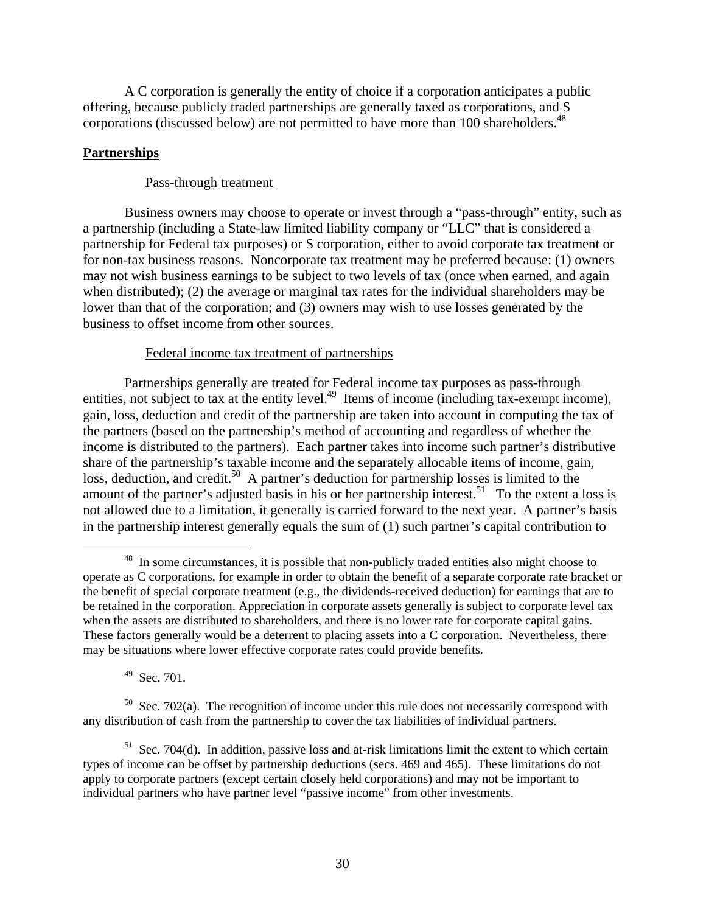A C corporation is generally the entity of choice if a corporation anticipates a public offering, because publicly traded partnerships are generally taxed as corporations, and S corporations (discussed below) are not permitted to have more than 100 shareholders.<sup>48</sup>

# **Partnerships**

## Pass-through treatment

Business owners may choose to operate or invest through a "pass-through" entity, such as a partnership (including a State-law limited liability company or "LLC" that is considered a partnership for Federal tax purposes) or S corporation, either to avoid corporate tax treatment or for non-tax business reasons. Noncorporate tax treatment may be preferred because: (1) owners may not wish business earnings to be subject to two levels of tax (once when earned, and again when distributed); (2) the average or marginal tax rates for the individual shareholders may be lower than that of the corporation; and (3) owners may wish to use losses generated by the business to offset income from other sources.

# Federal income tax treatment of partnerships

Partnerships generally are treated for Federal income tax purposes as pass-through entities, not subject to tax at the entity level.<sup>49</sup> Items of income (including tax-exempt income), gain, loss, deduction and credit of the partnership are taken into account in computing the tax of the partners (based on the partnership's method of accounting and regardless of whether the income is distributed to the partners). Each partner takes into income such partner's distributive share of the partnership's taxable income and the separately allocable items of income, gain, loss, deduction, and credit.<sup>50</sup> A partner's deduction for partnership losses is limited to the amount of the partner's adjusted basis in his or her partnership interest.<sup>51</sup> To the extent a loss is not allowed due to a limitation, it generally is carried forward to the next year. A partner's basis in the partnership interest generally equals the sum of (1) such partner's capital contribution to

<sup>49</sup> Sec. 701.

<sup>&</sup>lt;sup>48</sup> In some circumstances, it is possible that non-publicly traded entities also might choose to operate as C corporations, for example in order to obtain the benefit of a separate corporate rate bracket or the benefit of special corporate treatment (e.g., the dividends-received deduction) for earnings that are to be retained in the corporation. Appreciation in corporate assets generally is subject to corporate level tax when the assets are distributed to shareholders, and there is no lower rate for corporate capital gains. These factors generally would be a deterrent to placing assets into a C corporation. Nevertheless, there may be situations where lower effective corporate rates could provide benefits.

 $50$  Sec. 702(a). The recognition of income under this rule does not necessarily correspond with any distribution of cash from the partnership to cover the tax liabilities of individual partners.

 $51$  Sec. 704(d). In addition, passive loss and at-risk limitations limit the extent to which certain types of income can be offset by partnership deductions (secs. 469 and 465). These limitations do not apply to corporate partners (except certain closely held corporations) and may not be important to individual partners who have partner level "passive income" from other investments.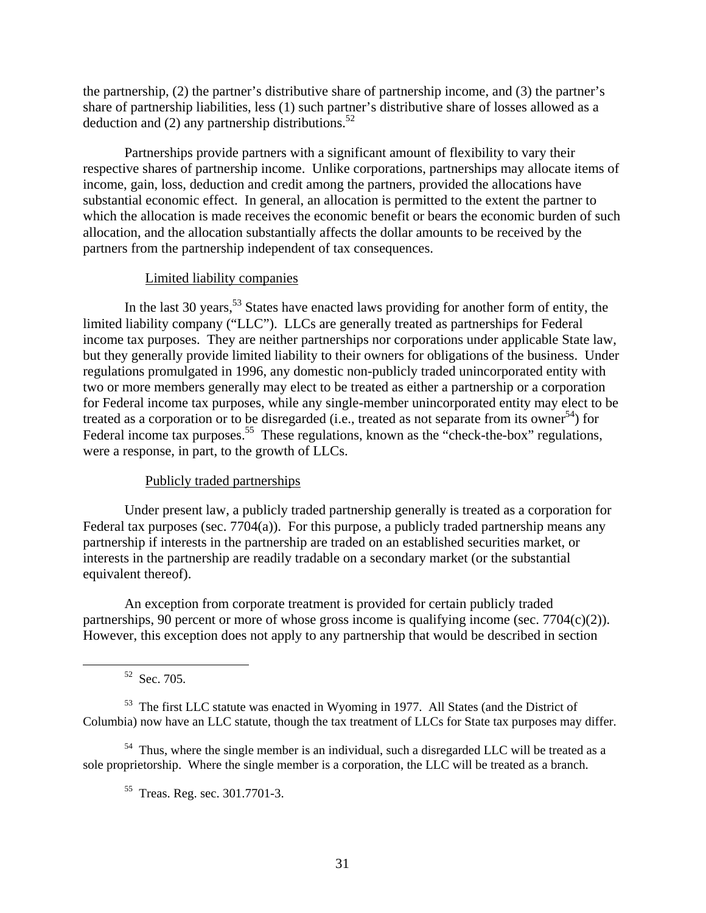the partnership, (2) the partner's distributive share of partnership income, and (3) the partner's share of partnership liabilities, less (1) such partner's distributive share of losses allowed as a deduction and (2) any partnership distributions.<sup>52</sup>

Partnerships provide partners with a significant amount of flexibility to vary their respective shares of partnership income. Unlike corporations, partnerships may allocate items of income, gain, loss, deduction and credit among the partners, provided the allocations have substantial economic effect. In general, an allocation is permitted to the extent the partner to which the allocation is made receives the economic benefit or bears the economic burden of such allocation, and the allocation substantially affects the dollar amounts to be received by the partners from the partnership independent of tax consequences.

#### Limited liability companies

In the last 30 years,  $53$  States have enacted laws providing for another form of entity, the limited liability company ("LLC"). LLCs are generally treated as partnerships for Federal income tax purposes. They are neither partnerships nor corporations under applicable State law, but they generally provide limited liability to their owners for obligations of the business. Under regulations promulgated in 1996, any domestic non-publicly traded unincorporated entity with two or more members generally may elect to be treated as either a partnership or a corporation for Federal income tax purposes, while any single-member unincorporated entity may elect to be treated as a corporation or to be disregarded (i.e., treated as not separate from its owner<sup>54</sup>) for Federal income tax purposes.<sup>55</sup> These regulations, known as the "check-the-box" regulations, were a response, in part, to the growth of LLCs.

#### Publicly traded partnerships

Under present law, a publicly traded partnership generally is treated as a corporation for Federal tax purposes (sec. 7704(a)). For this purpose, a publicly traded partnership means any partnership if interests in the partnership are traded on an established securities market, or interests in the partnership are readily tradable on a secondary market (or the substantial equivalent thereof).

An exception from corporate treatment is provided for certain publicly traded partnerships, 90 percent or more of whose gross income is qualifying income (sec.  $7704(c)(2)$ ). However, this exception does not apply to any partnership that would be described in section

52 Sec. 705.

<sup>53</sup> The first LLC statute was enacted in Wyoming in 1977. All States (and the District of Columbia) now have an LLC statute, though the tax treatment of LLCs for State tax purposes may differ.

<sup>54</sup> Thus, where the single member is an individual, such a disregarded LLC will be treated as a sole proprietorship. Where the single member is a corporation, the LLC will be treated as a branch.

<sup>55</sup> Treas. Reg. sec. 301.7701-3.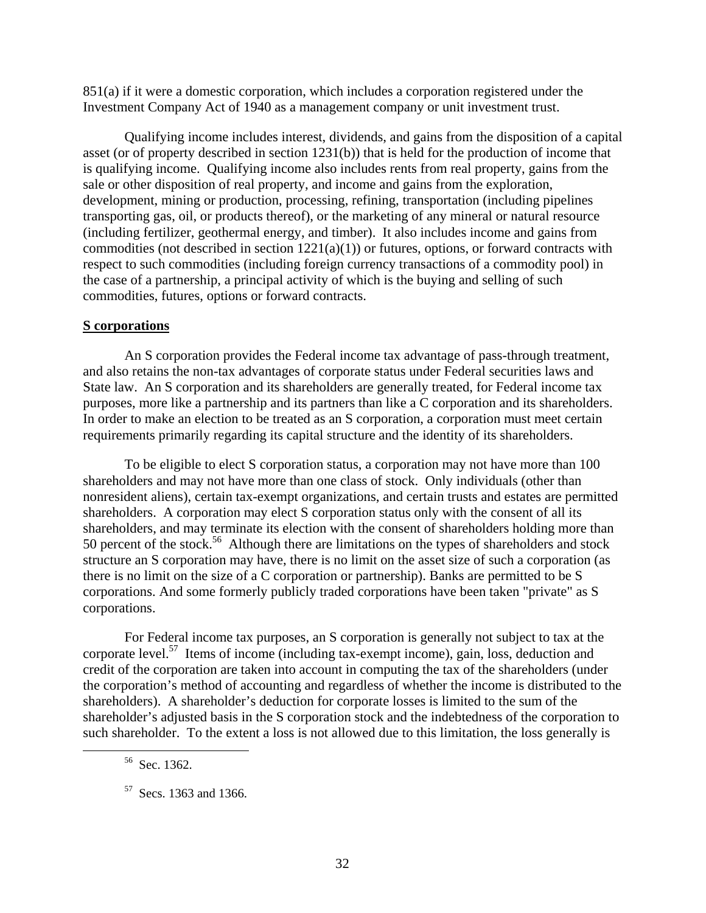851(a) if it were a domestic corporation, which includes a corporation registered under the Investment Company Act of 1940 as a management company or unit investment trust.

Qualifying income includes interest, dividends, and gains from the disposition of a capital asset (or of property described in section 1231(b)) that is held for the production of income that is qualifying income. Qualifying income also includes rents from real property, gains from the sale or other disposition of real property, and income and gains from the exploration, development, mining or production, processing, refining, transportation (including pipelines transporting gas, oil, or products thereof), or the marketing of any mineral or natural resource (including fertilizer, geothermal energy, and timber). It also includes income and gains from commodities (not described in section 1221(a)(1)) or futures, options, or forward contracts with respect to such commodities (including foreign currency transactions of a commodity pool) in the case of a partnership, a principal activity of which is the buying and selling of such commodities, futures, options or forward contracts.

#### **S corporations**

An S corporation provides the Federal income tax advantage of pass-through treatment, and also retains the non-tax advantages of corporate status under Federal securities laws and State law. An S corporation and its shareholders are generally treated, for Federal income tax purposes, more like a partnership and its partners than like a C corporation and its shareholders. In order to make an election to be treated as an S corporation, a corporation must meet certain requirements primarily regarding its capital structure and the identity of its shareholders.

To be eligible to elect S corporation status, a corporation may not have more than 100 shareholders and may not have more than one class of stock. Only individuals (other than nonresident aliens), certain tax-exempt organizations, and certain trusts and estates are permitted shareholders. A corporation may elect S corporation status only with the consent of all its shareholders, and may terminate its election with the consent of shareholders holding more than 50 percent of the stock.<sup>56</sup> Although there are limitations on the types of shareholders and stock structure an S corporation may have, there is no limit on the asset size of such a corporation (as there is no limit on the size of a C corporation or partnership). Banks are permitted to be S corporations. And some formerly publicly traded corporations have been taken "private" as S corporations.

For Federal income tax purposes, an S corporation is generally not subject to tax at the corporate level.<sup>57</sup> Items of income (including tax-exempt income), gain, loss, deduction and credit of the corporation are taken into account in computing the tax of the shareholders (under the corporation's method of accounting and regardless of whether the income is distributed to the shareholders). A shareholder's deduction for corporate losses is limited to the sum of the shareholder's adjusted basis in the S corporation stock and the indebtedness of the corporation to such shareholder. To the extent a loss is not allowed due to this limitation, the loss generally is

 <sup>56</sup> Sec. 1362.

<sup>57</sup> Secs. 1363 and 1366.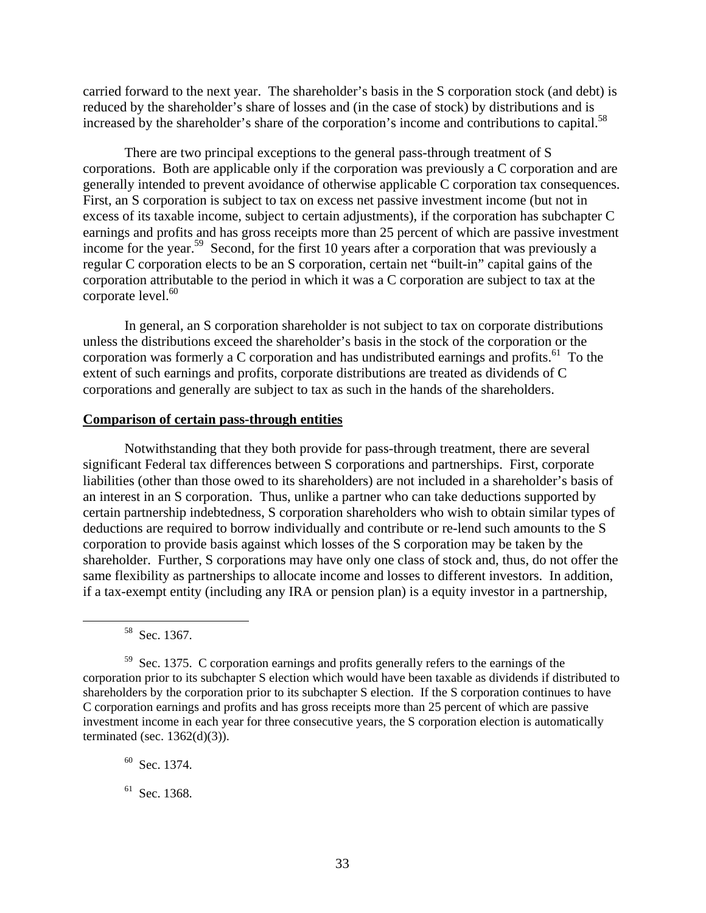carried forward to the next year. The shareholder's basis in the S corporation stock (and debt) is reduced by the shareholder's share of losses and (in the case of stock) by distributions and is increased by the shareholder's share of the corporation's income and contributions to capital.<sup>58</sup>

There are two principal exceptions to the general pass-through treatment of S corporations. Both are applicable only if the corporation was previously a C corporation and are generally intended to prevent avoidance of otherwise applicable C corporation tax consequences. First, an S corporation is subject to tax on excess net passive investment income (but not in excess of its taxable income, subject to certain adjustments), if the corporation has subchapter C earnings and profits and has gross receipts more than 25 percent of which are passive investment income for the year.<sup>59</sup> Second, for the first 10 years after a corporation that was previously a regular C corporation elects to be an S corporation, certain net "built-in" capital gains of the corporation attributable to the period in which it was a C corporation are subject to tax at the corporate level. $60$ 

In general, an S corporation shareholder is not subject to tax on corporate distributions unless the distributions exceed the shareholder's basis in the stock of the corporation or the corporation was formerly a C corporation and has undistributed earnings and profits.<sup>61</sup> To the extent of such earnings and profits, corporate distributions are treated as dividends of C corporations and generally are subject to tax as such in the hands of the shareholders.

#### **Comparison of certain pass-through entities**

Notwithstanding that they both provide for pass-through treatment, there are several significant Federal tax differences between S corporations and partnerships. First, corporate liabilities (other than those owed to its shareholders) are not included in a shareholder's basis of an interest in an S corporation. Thus, unlike a partner who can take deductions supported by certain partnership indebtedness, S corporation shareholders who wish to obtain similar types of deductions are required to borrow individually and contribute or re-lend such amounts to the S corporation to provide basis against which losses of the S corporation may be taken by the shareholder. Further, S corporations may have only one class of stock and, thus, do not offer the same flexibility as partnerships to allocate income and losses to different investors. In addition, if a tax-exempt entity (including any IRA or pension plan) is a equity investor in a partnership,

 $60$  Sec. 1374.

 $61$  Sec. 1368.

 <sup>58</sup> Sec. 1367.

<sup>&</sup>lt;sup>59</sup> Sec. 1375. C corporation earnings and profits generally refers to the earnings of the corporation prior to its subchapter S election which would have been taxable as dividends if distributed to shareholders by the corporation prior to its subchapter S election. If the S corporation continues to have C corporation earnings and profits and has gross receipts more than 25 percent of which are passive investment income in each year for three consecutive years, the S corporation election is automatically terminated (sec.  $1362(d)(3)$ ).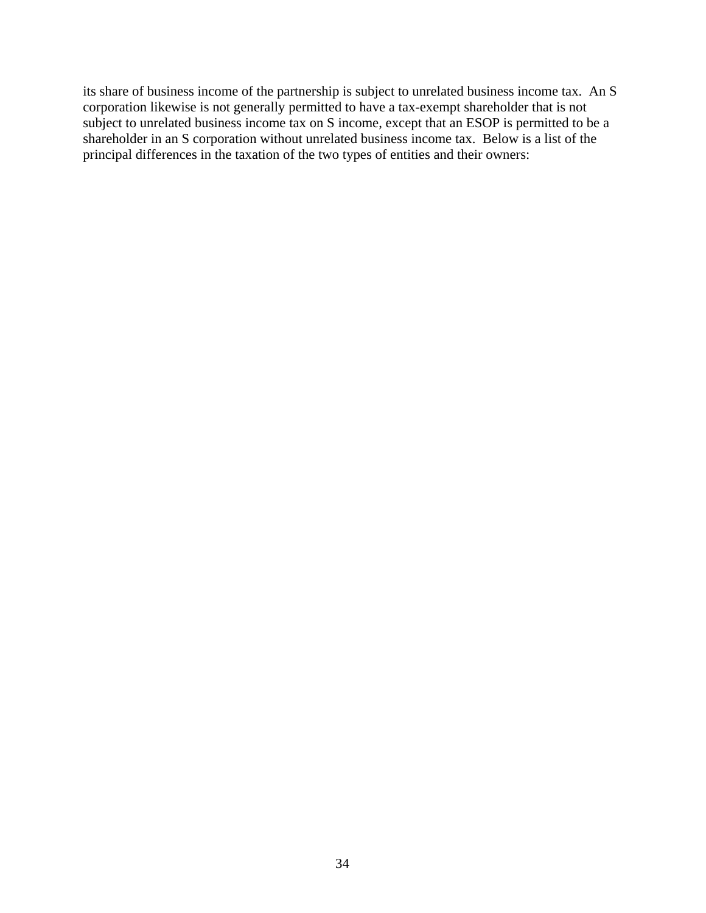its share of business income of the partnership is subject to unrelated business income tax. An S corporation likewise is not generally permitted to have a tax-exempt shareholder that is not subject to unrelated business income tax on S income, except that an ESOP is permitted to be a shareholder in an S corporation without unrelated business income tax. Below is a list of the principal differences in the taxation of the two types of entities and their owners: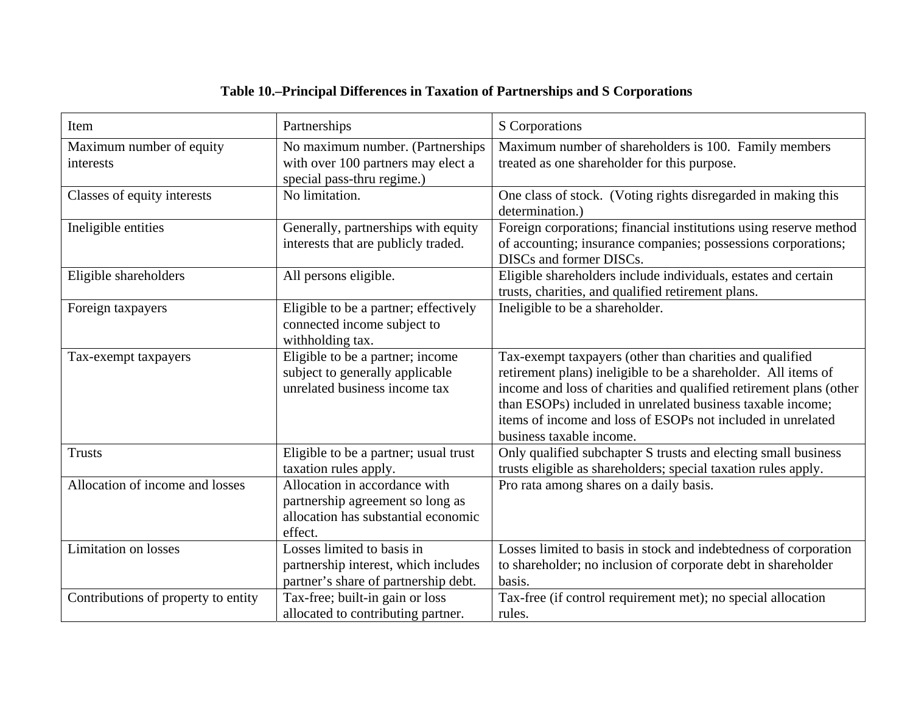# **Table 10.–Principal Differences in Taxation of Partnerships and S Corporations**

| Item                                  | Partnerships                                                                                                        | S Corporations                                                                                                                                                                                                                                                                                                                                            |
|---------------------------------------|---------------------------------------------------------------------------------------------------------------------|-----------------------------------------------------------------------------------------------------------------------------------------------------------------------------------------------------------------------------------------------------------------------------------------------------------------------------------------------------------|
| Maximum number of equity<br>interests | No maximum number. (Partnerships<br>with over 100 partners may elect a<br>special pass-thru regime.)                | Maximum number of shareholders is 100. Family members<br>treated as one shareholder for this purpose.                                                                                                                                                                                                                                                     |
| Classes of equity interests           | No limitation.                                                                                                      | One class of stock. (Voting rights disregarded in making this<br>determination.)                                                                                                                                                                                                                                                                          |
| Ineligible entities                   | Generally, partnerships with equity<br>interests that are publicly traded.                                          | Foreign corporations; financial institutions using reserve method<br>of accounting; insurance companies; possessions corporations;<br>DISCs and former DISCs.                                                                                                                                                                                             |
| Eligible shareholders                 | All persons eligible.                                                                                               | Eligible shareholders include individuals, estates and certain<br>trusts, charities, and qualified retirement plans.                                                                                                                                                                                                                                      |
| Foreign taxpayers                     | Eligible to be a partner; effectively<br>connected income subject to<br>withholding tax.                            | Ineligible to be a shareholder.                                                                                                                                                                                                                                                                                                                           |
| Tax-exempt taxpayers                  | Eligible to be a partner; income<br>subject to generally applicable<br>unrelated business income tax                | Tax-exempt taxpayers (other than charities and qualified<br>retirement plans) ineligible to be a shareholder. All items of<br>income and loss of charities and qualified retirement plans (other<br>than ESOPs) included in unrelated business taxable income;<br>items of income and loss of ESOPs not included in unrelated<br>business taxable income. |
| <b>Trusts</b>                         | Eligible to be a partner; usual trust<br>taxation rules apply.                                                      | Only qualified subchapter S trusts and electing small business<br>trusts eligible as shareholders; special taxation rules apply.                                                                                                                                                                                                                          |
| Allocation of income and losses       | Allocation in accordance with<br>partnership agreement so long as<br>allocation has substantial economic<br>effect. | Pro rata among shares on a daily basis.                                                                                                                                                                                                                                                                                                                   |
| <b>Limitation</b> on losses           | Losses limited to basis in<br>partnership interest, which includes<br>partner's share of partnership debt.          | Losses limited to basis in stock and indebtedness of corporation<br>to shareholder; no inclusion of corporate debt in shareholder<br>basis.                                                                                                                                                                                                               |
| Contributions of property to entity   | Tax-free; built-in gain or loss<br>allocated to contributing partner.                                               | Tax-free (if control requirement met); no special allocation<br>rules.                                                                                                                                                                                                                                                                                    |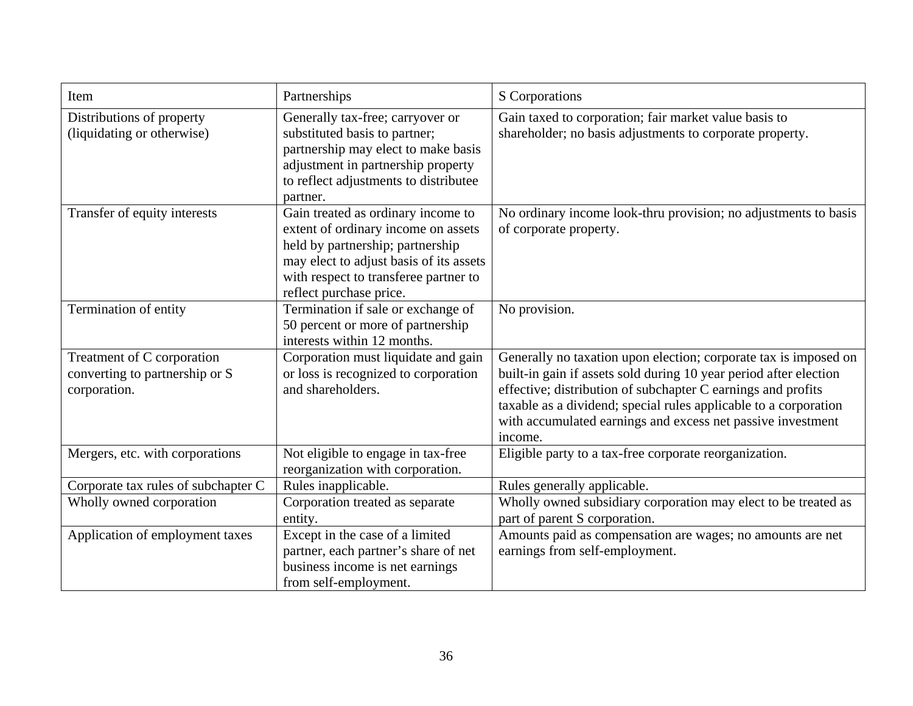| Item                                                                         | Partnerships                                                                                                                                                                                                                 | S Corporations                                                                                                                                                                                                                                                                                                                                      |
|------------------------------------------------------------------------------|------------------------------------------------------------------------------------------------------------------------------------------------------------------------------------------------------------------------------|-----------------------------------------------------------------------------------------------------------------------------------------------------------------------------------------------------------------------------------------------------------------------------------------------------------------------------------------------------|
| Distributions of property<br>(liquidating or otherwise)                      | Generally tax-free; carryover or<br>substituted basis to partner;<br>partnership may elect to make basis<br>adjustment in partnership property<br>to reflect adjustments to distributee<br>partner.                          | Gain taxed to corporation; fair market value basis to<br>shareholder; no basis adjustments to corporate property.                                                                                                                                                                                                                                   |
| Transfer of equity interests                                                 | Gain treated as ordinary income to<br>extent of ordinary income on assets<br>held by partnership; partnership<br>may elect to adjust basis of its assets<br>with respect to transferee partner to<br>reflect purchase price. | No ordinary income look-thru provision; no adjustments to basis<br>of corporate property.                                                                                                                                                                                                                                                           |
| Termination of entity                                                        | Termination if sale or exchange of<br>50 percent or more of partnership<br>interests within 12 months.                                                                                                                       | No provision.                                                                                                                                                                                                                                                                                                                                       |
| Treatment of C corporation<br>converting to partnership or S<br>corporation. | Corporation must liquidate and gain<br>or loss is recognized to corporation<br>and shareholders.                                                                                                                             | Generally no taxation upon election; corporate tax is imposed on<br>built-in gain if assets sold during 10 year period after election<br>effective; distribution of subchapter C earnings and profits<br>taxable as a dividend; special rules applicable to a corporation<br>with accumulated earnings and excess net passive investment<br>income. |
| Mergers, etc. with corporations                                              | Not eligible to engage in tax-free<br>reorganization with corporation.                                                                                                                                                       | Eligible party to a tax-free corporate reorganization.                                                                                                                                                                                                                                                                                              |
| Corporate tax rules of subchapter C                                          | Rules inapplicable.                                                                                                                                                                                                          | Rules generally applicable.                                                                                                                                                                                                                                                                                                                         |
| Wholly owned corporation                                                     | Corporation treated as separate<br>entity.                                                                                                                                                                                   | Wholly owned subsidiary corporation may elect to be treated as<br>part of parent S corporation.                                                                                                                                                                                                                                                     |
| Application of employment taxes                                              | Except in the case of a limited<br>partner, each partner's share of net<br>business income is net earnings<br>from self-employment.                                                                                          | Amounts paid as compensation are wages; no amounts are net<br>earnings from self-employment.                                                                                                                                                                                                                                                        |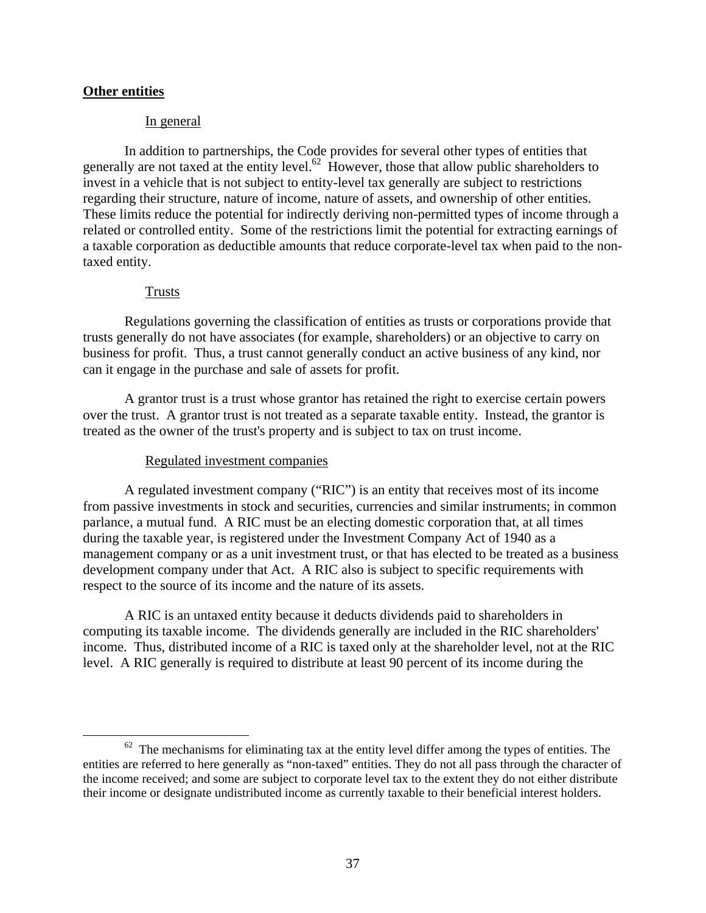# **Other entities**

#### In general

In addition to partnerships, the Code provides for several other types of entities that generally are not taxed at the entity level.<sup>62</sup> However, those that allow public shareholders to invest in a vehicle that is not subject to entity-level tax generally are subject to restrictions regarding their structure, nature of income, nature of assets, and ownership of other entities. These limits reduce the potential for indirectly deriving non-permitted types of income through a related or controlled entity. Some of the restrictions limit the potential for extracting earnings of a taxable corporation as deductible amounts that reduce corporate-level tax when paid to the nontaxed entity.

#### Trusts

Regulations governing the classification of entities as trusts or corporations provide that trusts generally do not have associates (for example, shareholders) or an objective to carry on business for profit. Thus, a trust cannot generally conduct an active business of any kind, nor can it engage in the purchase and sale of assets for profit.

A grantor trust is a trust whose grantor has retained the right to exercise certain powers over the trust. A grantor trust is not treated as a separate taxable entity. Instead, the grantor is treated as the owner of the trust's property and is subject to tax on trust income.

#### Regulated investment companies

A regulated investment company ("RIC") is an entity that receives most of its income from passive investments in stock and securities, currencies and similar instruments; in common parlance, a mutual fund. A RIC must be an electing domestic corporation that, at all times during the taxable year, is registered under the Investment Company Act of 1940 as a management company or as a unit investment trust, or that has elected to be treated as a business development company under that Act. A RIC also is subject to specific requirements with respect to the source of its income and the nature of its assets.

A RIC is an untaxed entity because it deducts dividends paid to shareholders in computing its taxable income. The dividends generally are included in the RIC shareholders' income. Thus, distributed income of a RIC is taxed only at the shareholder level, not at the RIC level. A RIC generally is required to distribute at least 90 percent of its income during the

 $62$  The mechanisms for eliminating tax at the entity level differ among the types of entities. The entities are referred to here generally as "non-taxed" entities. They do not all pass through the character of the income received; and some are subject to corporate level tax to the extent they do not either distribute their income or designate undistributed income as currently taxable to their beneficial interest holders.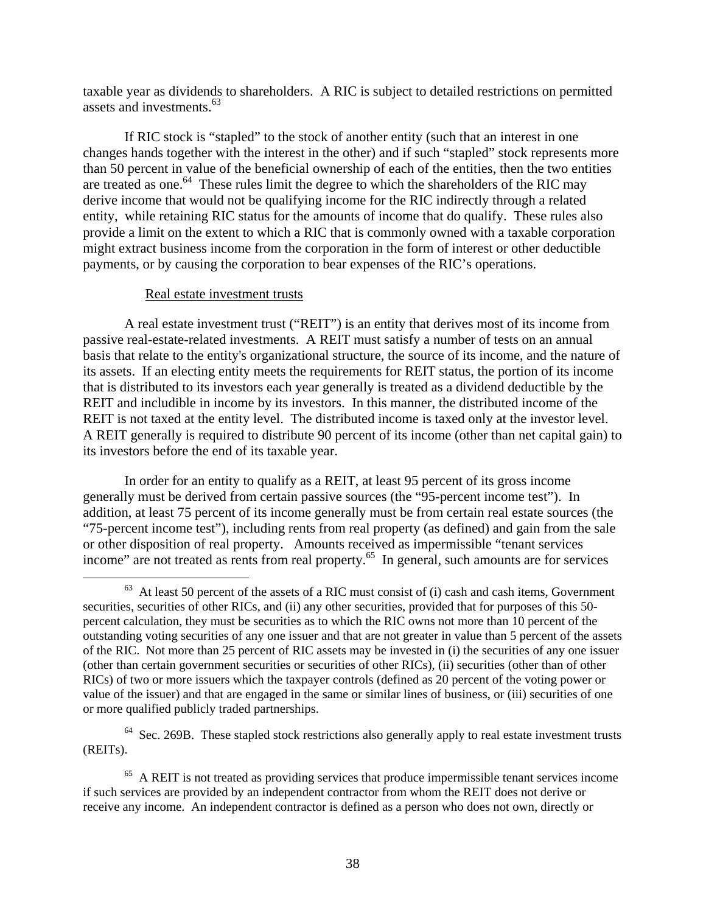taxable year as dividends to shareholders. A RIC is subject to detailed restrictions on permitted assets and investments.<sup>63</sup>

If RIC stock is "stapled" to the stock of another entity (such that an interest in one changes hands together with the interest in the other) and if such "stapled" stock represents more than 50 percent in value of the beneficial ownership of each of the entities, then the two entities are treated as one.<sup>64</sup> These rules limit the degree to which the shareholders of the RIC may derive income that would not be qualifying income for the RIC indirectly through a related entity, while retaining RIC status for the amounts of income that do qualify. These rules also provide a limit on the extent to which a RIC that is commonly owned with a taxable corporation might extract business income from the corporation in the form of interest or other deductible payments, or by causing the corporation to bear expenses of the RIC's operations.

#### Real estate investment trusts

A real estate investment trust ("REIT") is an entity that derives most of its income from passive real-estate-related investments. A REIT must satisfy a number of tests on an annual basis that relate to the entity's organizational structure, the source of its income, and the nature of its assets. If an electing entity meets the requirements for REIT status, the portion of its income that is distributed to its investors each year generally is treated as a dividend deductible by the REIT and includible in income by its investors. In this manner, the distributed income of the REIT is not taxed at the entity level. The distributed income is taxed only at the investor level. A REIT generally is required to distribute 90 percent of its income (other than net capital gain) to its investors before the end of its taxable year.

In order for an entity to qualify as a REIT, at least 95 percent of its gross income generally must be derived from certain passive sources (the "95-percent income test"). In addition, at least 75 percent of its income generally must be from certain real estate sources (the "75-percent income test"), including rents from real property (as defined) and gain from the sale or other disposition of real property. Amounts received as impermissible "tenant services income" are not treated as rents from real property.<sup>65</sup> In general, such amounts are for services

 $64$  Sec. 269B. These stapled stock restrictions also generally apply to real estate investment trusts (REITs).

 $63$  At least 50 percent of the assets of a RIC must consist of (i) cash and cash items, Government securities, securities of other RICs, and (ii) any other securities, provided that for purposes of this 50 percent calculation, they must be securities as to which the RIC owns not more than 10 percent of the outstanding voting securities of any one issuer and that are not greater in value than 5 percent of the assets of the RIC. Not more than 25 percent of RIC assets may be invested in (i) the securities of any one issuer (other than certain government securities or securities of other RICs), (ii) securities (other than of other RICs) of two or more issuers which the taxpayer controls (defined as 20 percent of the voting power or value of the issuer) and that are engaged in the same or similar lines of business, or (iii) securities of one or more qualified publicly traded partnerships.

<sup>&</sup>lt;sup>65</sup> A REIT is not treated as providing services that produce impermissible tenant services income if such services are provided by an independent contractor from whom the REIT does not derive or receive any income. An independent contractor is defined as a person who does not own, directly or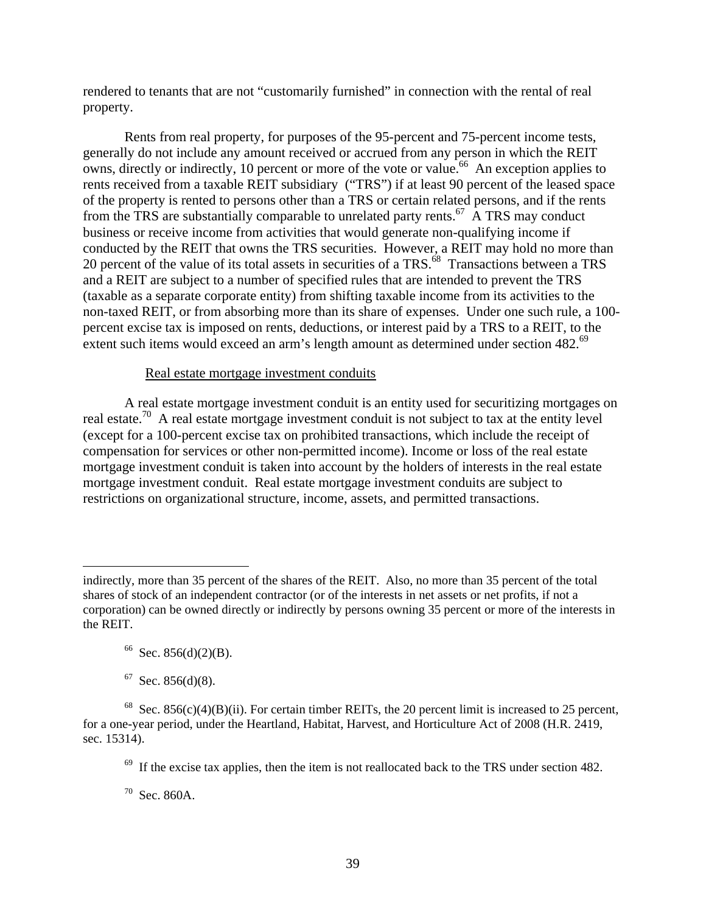rendered to tenants that are not "customarily furnished" in connection with the rental of real property.

Rents from real property, for purposes of the 95-percent and 75-percent income tests, generally do not include any amount received or accrued from any person in which the REIT owns, directly or indirectly, 10 percent or more of the vote or value.<sup>66</sup> An exception applies to rents received from a taxable REIT subsidiary ("TRS") if at least 90 percent of the leased space of the property is rented to persons other than a TRS or certain related persons, and if the rents from the TRS are substantially comparable to unrelated party rents.<sup>67</sup> A TRS may conduct business or receive income from activities that would generate non-qualifying income if conducted by the REIT that owns the TRS securities. However, a REIT may hold no more than 20 percent of the value of its total assets in securities of a TRS.<sup>68</sup> Transactions between a TRS and a REIT are subject to a number of specified rules that are intended to prevent the TRS (taxable as a separate corporate entity) from shifting taxable income from its activities to the non-taxed REIT, or from absorbing more than its share of expenses. Under one such rule, a 100 percent excise tax is imposed on rents, deductions, or interest paid by a TRS to a REIT, to the extent such items would exceed an arm's length amount as determined under section 482.<sup>69</sup>

# Real estate mortgage investment conduits

A real estate mortgage investment conduit is an entity used for securitizing mortgages on real estate.<sup>70</sup> A real estate mortgage investment conduit is not subject to tax at the entity level (except for a 100-percent excise tax on prohibited transactions, which include the receipt of compensation for services or other non-permitted income). Income or loss of the real estate mortgage investment conduit is taken into account by the holders of interests in the real estate mortgage investment conduit. Real estate mortgage investment conduits are subject to restrictions on organizational structure, income, assets, and permitted transactions.

 $\overline{a}$ 

 $69$  If the excise tax applies, then the item is not reallocated back to the TRS under section 482.

70 Sec. 860A.

indirectly, more than 35 percent of the shares of the REIT. Also, no more than 35 percent of the total shares of stock of an independent contractor (or of the interests in net assets or net profits, if not a corporation) can be owned directly or indirectly by persons owning 35 percent or more of the interests in the REIT.

 $66$  Sec. 856(d)(2)(B).

 $67$  Sec. 856(d)(8).

<sup>&</sup>lt;sup>68</sup> Sec. 856(c)(4)(B)(ii). For certain timber REITs, the 20 percent limit is increased to 25 percent, for a one-year period, under the Heartland, Habitat, Harvest, and Horticulture Act of 2008 (H.R. 2419, sec. 15314).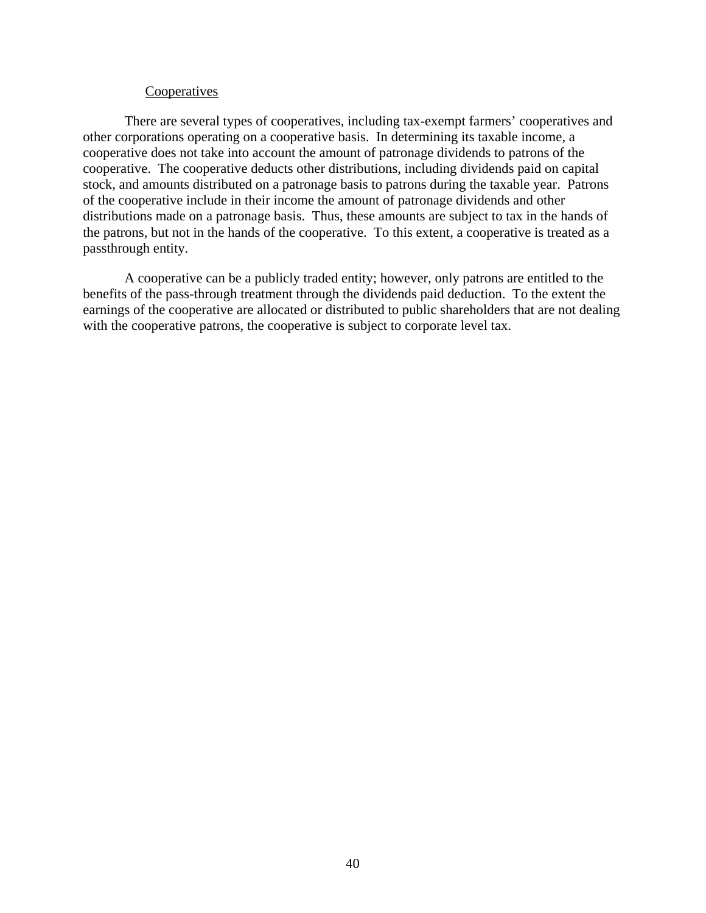#### **Cooperatives**

There are several types of cooperatives, including tax-exempt farmers' cooperatives and other corporations operating on a cooperative basis. In determining its taxable income, a cooperative does not take into account the amount of patronage dividends to patrons of the cooperative. The cooperative deducts other distributions, including dividends paid on capital stock, and amounts distributed on a patronage basis to patrons during the taxable year. Patrons of the cooperative include in their income the amount of patronage dividends and other distributions made on a patronage basis. Thus, these amounts are subject to tax in the hands of the patrons, but not in the hands of the cooperative. To this extent, a cooperative is treated as a passthrough entity.

A cooperative can be a publicly traded entity; however, only patrons are entitled to the benefits of the pass-through treatment through the dividends paid deduction. To the extent the earnings of the cooperative are allocated or distributed to public shareholders that are not dealing with the cooperative patrons, the cooperative is subject to corporate level tax.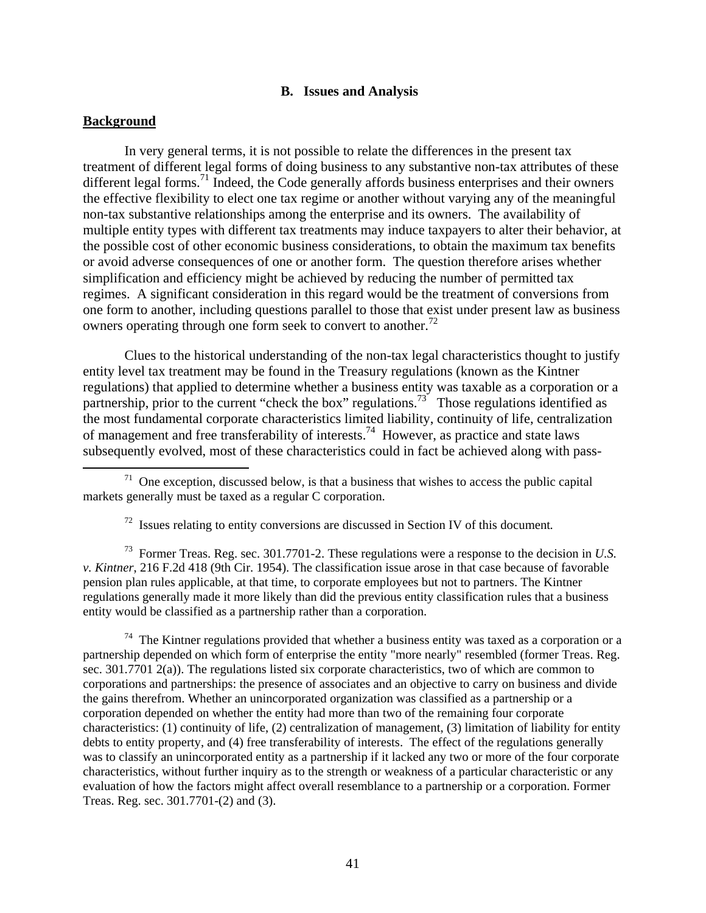#### **B. Issues and Analysis**

### **Background**

In very general terms, it is not possible to relate the differences in the present tax treatment of different legal forms of doing business to any substantive non-tax attributes of these different legal forms.<sup>71</sup> Indeed, the Code generally affords business enterprises and their owners the effective flexibility to elect one tax regime or another without varying any of the meaningful non-tax substantive relationships among the enterprise and its owners. The availability of multiple entity types with different tax treatments may induce taxpayers to alter their behavior, at the possible cost of other economic business considerations, to obtain the maximum tax benefits or avoid adverse consequences of one or another form. The question therefore arises whether simplification and efficiency might be achieved by reducing the number of permitted tax regimes. A significant consideration in this regard would be the treatment of conversions from one form to another, including questions parallel to those that exist under present law as business owners operating through one form seek to convert to another.<sup>72</sup>

Clues to the historical understanding of the non-tax legal characteristics thought to justify entity level tax treatment may be found in the Treasury regulations (known as the Kintner regulations) that applied to determine whether a business entity was taxable as a corporation or a partnership, prior to the current "check the box" regulations.<sup>73</sup> Those regulations identified as the most fundamental corporate characteristics limited liability, continuity of life, centralization of management and free transferability of interests.<sup>74</sup> However, as practice and state laws subsequently evolved, most of these characteristics could in fact be achieved along with pass-

73 Former Treas. Reg. sec. 301.7701-2. These regulations were a response to the decision in *U.S. v. Kintner*, 216 F.2d 418 (9th Cir. 1954). The classification issue arose in that case because of favorable pension plan rules applicable, at that time, to corporate employees but not to partners. The Kintner regulations generally made it more likely than did the previous entity classification rules that a business entity would be classified as a partnership rather than a corporation.

 $74$  The Kintner regulations provided that whether a business entity was taxed as a corporation or a partnership depended on which form of enterprise the entity "more nearly" resembled (former Treas. Reg. sec. 301.7701 2(a)). The regulations listed six corporate characteristics, two of which are common to corporations and partnerships: the presence of associates and an objective to carry on business and divide the gains therefrom. Whether an unincorporated organization was classified as a partnership or a corporation depended on whether the entity had more than two of the remaining four corporate characteristics: (1) continuity of life, (2) centralization of management, (3) limitation of liability for entity debts to entity property, and (4) free transferability of interests. The effect of the regulations generally was to classify an unincorporated entity as a partnership if it lacked any two or more of the four corporate characteristics, without further inquiry as to the strength or weakness of a particular characteristic or any evaluation of how the factors might affect overall resemblance to a partnership or a corporation. Former Treas. Reg. sec. 301.7701-(2) and (3).

 $71$  One exception, discussed below, is that a business that wishes to access the public capital markets generally must be taxed as a regular C corporation.

<sup>72</sup> Issues relating to entity conversions are discussed in Section IV of this document*.*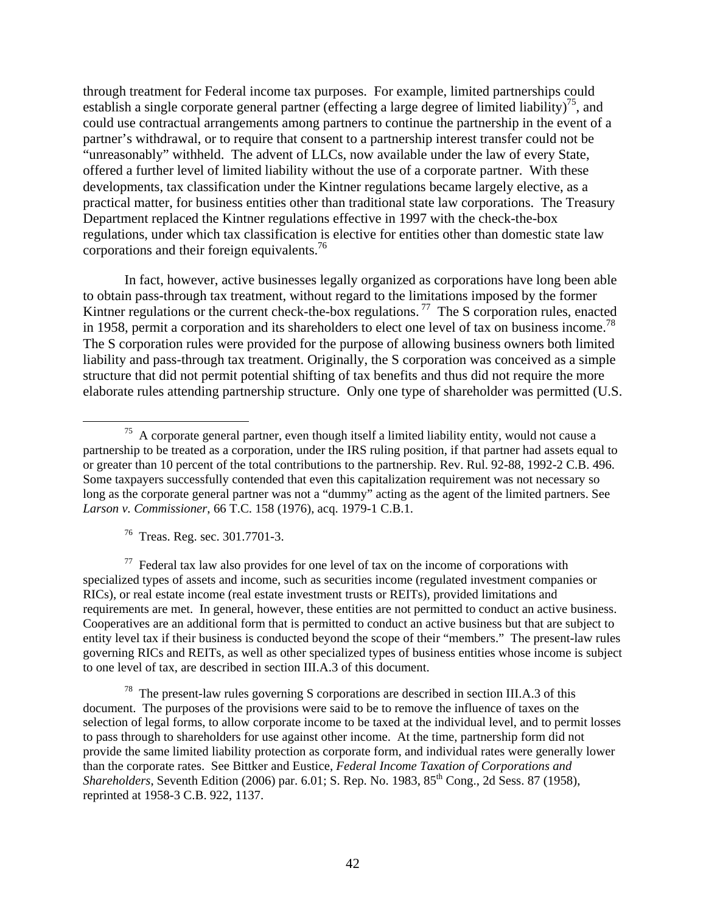through treatment for Federal income tax purposes. For example, limited partnerships could establish a single corporate general partner (effecting a large degree of limited liability)<sup>75</sup>, and could use contractual arrangements among partners to continue the partnership in the event of a partner's withdrawal, or to require that consent to a partnership interest transfer could not be "unreasonably" withheld. The advent of LLCs, now available under the law of every State, offered a further level of limited liability without the use of a corporate partner. With these developments, tax classification under the Kintner regulations became largely elective, as a practical matter, for business entities other than traditional state law corporations. The Treasury Department replaced the Kintner regulations effective in 1997 with the check-the-box regulations, under which tax classification is elective for entities other than domestic state law corporations and their foreign equivalents.<sup>76</sup>

In fact, however, active businesses legally organized as corporations have long been able to obtain pass-through tax treatment, without regard to the limitations imposed by the former Kintner regulations or the current check-the-box regulations.<sup>77</sup> The S corporation rules, enacted in 1958, permit a corporation and its shareholders to elect one level of tax on business income.<sup>78</sup> The S corporation rules were provided for the purpose of allowing business owners both limited liability and pass-through tax treatment. Originally, the S corporation was conceived as a simple structure that did not permit potential shifting of tax benefits and thus did not require the more elaborate rules attending partnership structure. Only one type of shareholder was permitted (U.S.

76 Treas. Reg. sec. 301.7701-3.

 $77$  Federal tax law also provides for one level of tax on the income of corporations with specialized types of assets and income, such as securities income (regulated investment companies or RICs), or real estate income (real estate investment trusts or REITs), provided limitations and requirements are met. In general, however, these entities are not permitted to conduct an active business. Cooperatives are an additional form that is permitted to conduct an active business but that are subject to entity level tax if their business is conducted beyond the scope of their "members." The present-law rules governing RICs and REITs, as well as other specialized types of business entities whose income is subject to one level of tax, are described in section III.A.3 of this document.

 $78$  The present-law rules governing S corporations are described in section III.A.3 of this document. The purposes of the provisions were said to be to remove the influence of taxes on the selection of legal forms, to allow corporate income to be taxed at the individual level, and to permit losses to pass through to shareholders for use against other income. At the time, partnership form did not provide the same limited liability protection as corporate form, and individual rates were generally lower than the corporate rates. See Bittker and Eustice, *Federal Income Taxation of Corporations and Shareholders*, Seventh Edition (2006) par. 6.01; S. Rep. No. 1983, 85<sup>th</sup> Cong., 2d Sess. 87 (1958), reprinted at 1958-3 C.B. 922, 1137.

 $75$  A corporate general partner, even though itself a limited liability entity, would not cause a partnership to be treated as a corporation, under the IRS ruling position, if that partner had assets equal to or greater than 10 percent of the total contributions to the partnership. Rev. Rul. 92-88, 1992-2 C.B. 496. Some taxpayers successfully contended that even this capitalization requirement was not necessary so long as the corporate general partner was not a "dummy" acting as the agent of the limited partners. See *Larson v. Commissioner*, 66 T.C. 158 (1976), acq. 1979-1 C.B.1.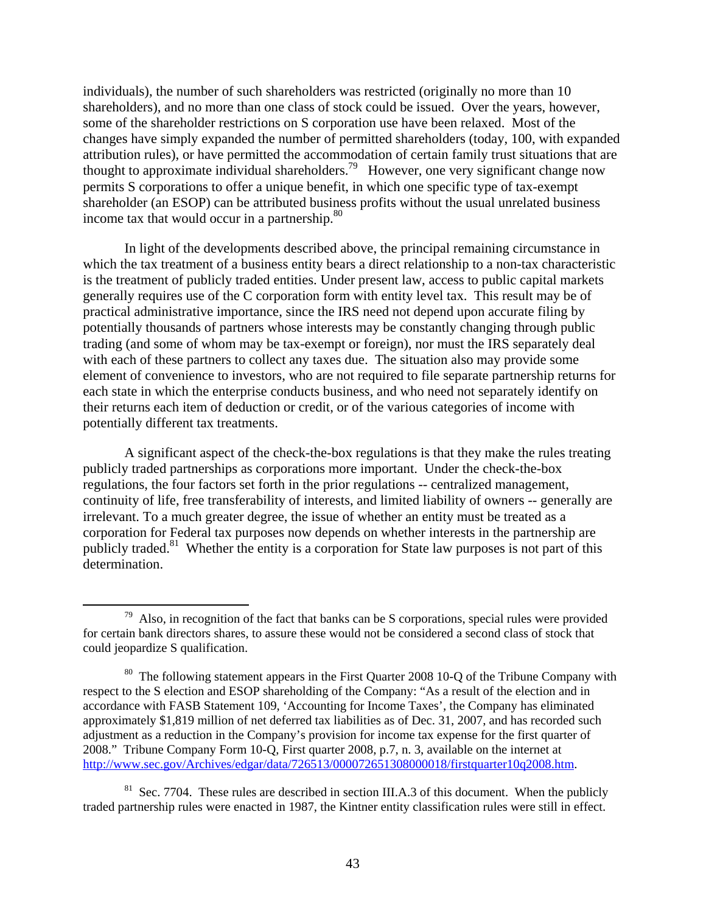individuals), the number of such shareholders was restricted (originally no more than 10 shareholders), and no more than one class of stock could be issued. Over the years, however, some of the shareholder restrictions on S corporation use have been relaxed. Most of the changes have simply expanded the number of permitted shareholders (today, 100, with expanded attribution rules), or have permitted the accommodation of certain family trust situations that are thought to approximate individual shareholders.79 However, one very significant change now permits S corporations to offer a unique benefit, in which one specific type of tax-exempt shareholder (an ESOP) can be attributed business profits without the usual unrelated business income tax that would occur in a partnership. $80$ 

In light of the developments described above, the principal remaining circumstance in which the tax treatment of a business entity bears a direct relationship to a non-tax characteristic is the treatment of publicly traded entities. Under present law, access to public capital markets generally requires use of the C corporation form with entity level tax. This result may be of practical administrative importance, since the IRS need not depend upon accurate filing by potentially thousands of partners whose interests may be constantly changing through public trading (and some of whom may be tax-exempt or foreign), nor must the IRS separately deal with each of these partners to collect any taxes due. The situation also may provide some element of convenience to investors, who are not required to file separate partnership returns for each state in which the enterprise conducts business, and who need not separately identify on their returns each item of deduction or credit, or of the various categories of income with potentially different tax treatments.

A significant aspect of the check-the-box regulations is that they make the rules treating publicly traded partnerships as corporations more important. Under the check-the-box regulations, the four factors set forth in the prior regulations -- centralized management, continuity of life, free transferability of interests, and limited liability of owners -- generally are irrelevant. To a much greater degree, the issue of whether an entity must be treated as a corporation for Federal tax purposes now depends on whether interests in the partnership are publicly traded.<sup>81</sup> Whether the entity is a corporation for State law purposes is not part of this determination.

 $79$  Also, in recognition of the fact that banks can be S corporations, special rules were provided for certain bank directors shares, to assure these would not be considered a second class of stock that could jeopardize S qualification.

<sup>&</sup>lt;sup>80</sup> The following statement appears in the First Quarter 2008 10-Q of the Tribune Company with respect to the S election and ESOP shareholding of the Company: "As a result of the election and in accordance with FASB Statement 109, 'Accounting for Income Taxes', the Company has eliminated approximately \$1,819 million of net deferred tax liabilities as of Dec. 31, 2007, and has recorded such adjustment as a reduction in the Company's provision for income tax expense for the first quarter of 2008." Tribune Company Form 10-Q, First quarter 2008, p.7, n. 3, available on the internet at http://www.sec.gov/Archives/edgar/data/726513/000072651308000018/firstquarter10q2008.htm.

 $81$  Sec. 7704. These rules are described in section III.A.3 of this document. When the publicly traded partnership rules were enacted in 1987, the Kintner entity classification rules were still in effect.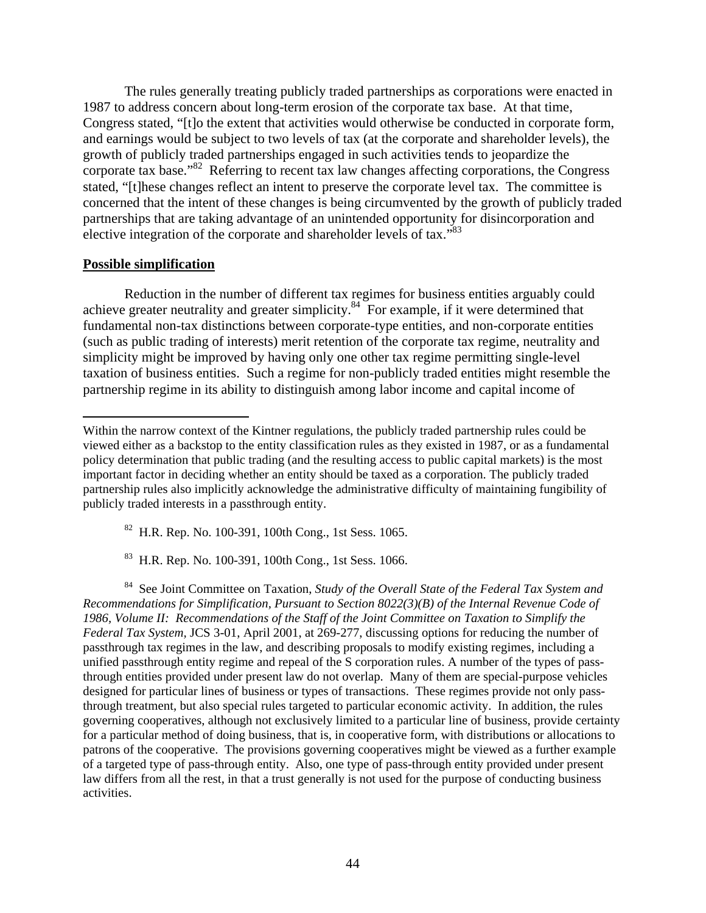The rules generally treating publicly traded partnerships as corporations were enacted in 1987 to address concern about long-term erosion of the corporate tax base. At that time, Congress stated, "[t]o the extent that activities would otherwise be conducted in corporate form, and earnings would be subject to two levels of tax (at the corporate and shareholder levels), the growth of publicly traded partnerships engaged in such activities tends to jeopardize the corporate tax base."<sup>82</sup> Referring to recent tax law changes affecting corporations, the Congress stated, "[t]hese changes reflect an intent to preserve the corporate level tax. The committee is concerned that the intent of these changes is being circumvented by the growth of publicly traded partnerships that are taking advantage of an unintended opportunity for disincorporation and elective integration of the corporate and shareholder levels of tax."<sup>83</sup>

# **Possible simplification**

 $\overline{a}$ 

Reduction in the number of different tax regimes for business entities arguably could achieve greater neutrality and greater simplicity.<sup>84</sup> For example, if it were determined that fundamental non-tax distinctions between corporate-type entities, and non-corporate entities (such as public trading of interests) merit retention of the corporate tax regime, neutrality and simplicity might be improved by having only one other tax regime permitting single-level taxation of business entities. Such a regime for non-publicly traded entities might resemble the partnership regime in its ability to distinguish among labor income and capital income of

82 H.R. Rep. No. 100-391, 100th Cong., 1st Sess. 1065.

83 H.R. Rep. No. 100-391, 100th Cong., 1st Sess. 1066.

84 See Joint Committee on Taxation, *Study of the Overall State of the Federal Tax System and Recommendations for Simplification, Pursuant to Section 8022(3)(B) of the Internal Revenue Code of 1986, Volume II: Recommendations of the Staff of the Joint Committee on Taxation to Simplify the Federal Tax System,* JCS 3-01, April 2001, at 269-277, discussing options for reducing the number of passthrough tax regimes in the law, and describing proposals to modify existing regimes, including a unified passthrough entity regime and repeal of the S corporation rules. A number of the types of passthrough entities provided under present law do not overlap. Many of them are special-purpose vehicles designed for particular lines of business or types of transactions. These regimes provide not only passthrough treatment, but also special rules targeted to particular economic activity. In addition, the rules governing cooperatives, although not exclusively limited to a particular line of business, provide certainty for a particular method of doing business, that is, in cooperative form, with distributions or allocations to patrons of the cooperative. The provisions governing cooperatives might be viewed as a further example of a targeted type of pass-through entity. Also, one type of pass-through entity provided under present law differs from all the rest, in that a trust generally is not used for the purpose of conducting business activities.

Within the narrow context of the Kintner regulations, the publicly traded partnership rules could be viewed either as a backstop to the entity classification rules as they existed in 1987, or as a fundamental policy determination that public trading (and the resulting access to public capital markets) is the most important factor in deciding whether an entity should be taxed as a corporation. The publicly traded partnership rules also implicitly acknowledge the administrative difficulty of maintaining fungibility of publicly traded interests in a passthrough entity.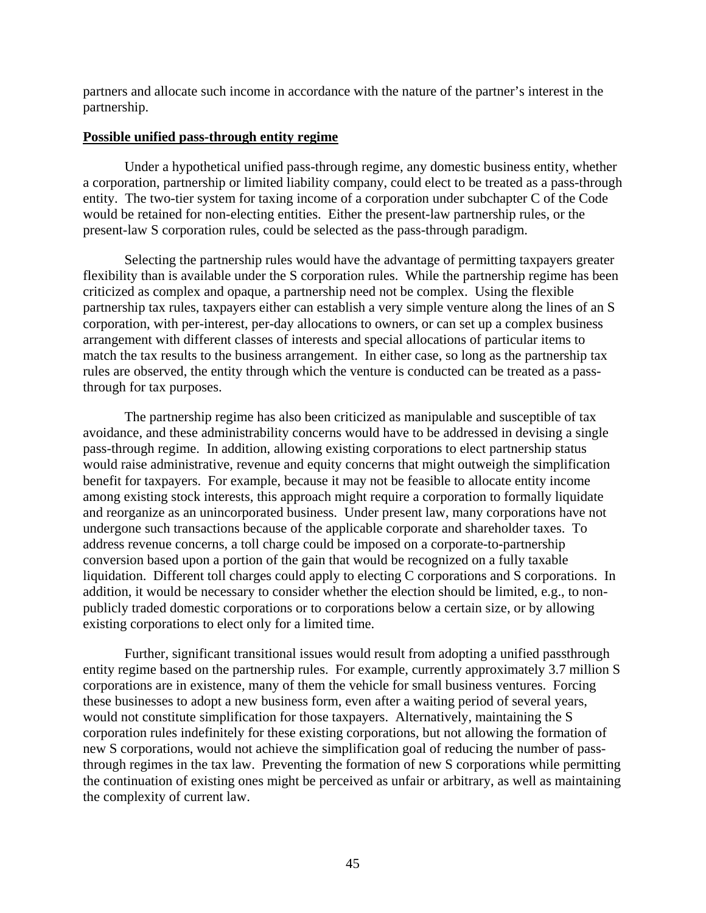partners and allocate such income in accordance with the nature of the partner's interest in the partnership.

# **Possible unified pass-through entity regime**

Under a hypothetical unified pass-through regime, any domestic business entity, whether a corporation, partnership or limited liability company, could elect to be treated as a pass-through entity. The two-tier system for taxing income of a corporation under subchapter C of the Code would be retained for non-electing entities. Either the present-law partnership rules, or the present-law S corporation rules, could be selected as the pass-through paradigm.

Selecting the partnership rules would have the advantage of permitting taxpayers greater flexibility than is available under the S corporation rules. While the partnership regime has been criticized as complex and opaque, a partnership need not be complex. Using the flexible partnership tax rules, taxpayers either can establish a very simple venture along the lines of an S corporation, with per-interest, per-day allocations to owners, or can set up a complex business arrangement with different classes of interests and special allocations of particular items to match the tax results to the business arrangement. In either case, so long as the partnership tax rules are observed, the entity through which the venture is conducted can be treated as a passthrough for tax purposes.

The partnership regime has also been criticized as manipulable and susceptible of tax avoidance, and these administrability concerns would have to be addressed in devising a single pass-through regime. In addition, allowing existing corporations to elect partnership status would raise administrative, revenue and equity concerns that might outweigh the simplification benefit for taxpayers. For example, because it may not be feasible to allocate entity income among existing stock interests, this approach might require a corporation to formally liquidate and reorganize as an unincorporated business. Under present law, many corporations have not undergone such transactions because of the applicable corporate and shareholder taxes. To address revenue concerns, a toll charge could be imposed on a corporate-to-partnership conversion based upon a portion of the gain that would be recognized on a fully taxable liquidation. Different toll charges could apply to electing C corporations and S corporations. In addition, it would be necessary to consider whether the election should be limited, e.g., to nonpublicly traded domestic corporations or to corporations below a certain size, or by allowing existing corporations to elect only for a limited time.

Further, significant transitional issues would result from adopting a unified passthrough entity regime based on the partnership rules. For example, currently approximately 3.7 million S corporations are in existence, many of them the vehicle for small business ventures. Forcing these businesses to adopt a new business form, even after a waiting period of several years, would not constitute simplification for those taxpayers. Alternatively, maintaining the S corporation rules indefinitely for these existing corporations, but not allowing the formation of new S corporations, would not achieve the simplification goal of reducing the number of passthrough regimes in the tax law. Preventing the formation of new S corporations while permitting the continuation of existing ones might be perceived as unfair or arbitrary, as well as maintaining the complexity of current law.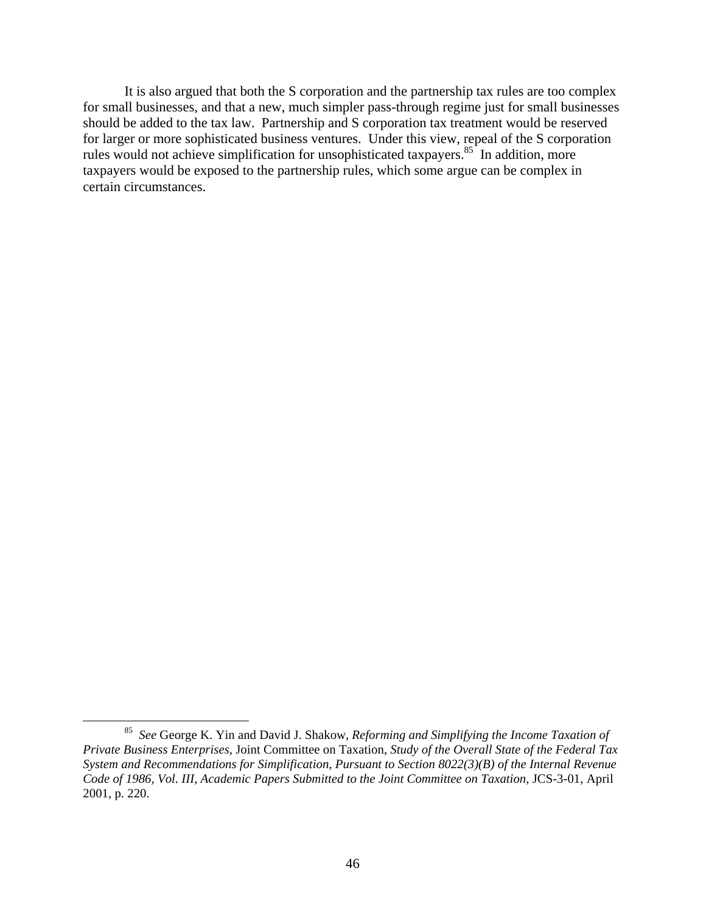It is also argued that both the S corporation and the partnership tax rules are too complex for small businesses, and that a new, much simpler pass-through regime just for small businesses should be added to the tax law. Partnership and S corporation tax treatment would be reserved for larger or more sophisticated business ventures. Under this view, repeal of the S corporation rules would not achieve simplification for unsophisticated taxpayers.<sup>85</sup> In addition, more taxpayers would be exposed to the partnership rules, which some argue can be complex in certain circumstances.

 <sup>85</sup> *See* George K. Yin and David J. Shakow, *Reforming and Simplifying the Income Taxation of Private Business Enterprises,* Joint Committee on Taxation, *Study of the Overall State of the Federal Tax System and Recommendations for Simplification, Pursuant to Section 8022(3)(B) of the Internal Revenue Code of 1986, Vol. III, Academic Papers Submitted to the Joint Committee on Taxation,* JCS-3-01, April 2001, p. 220.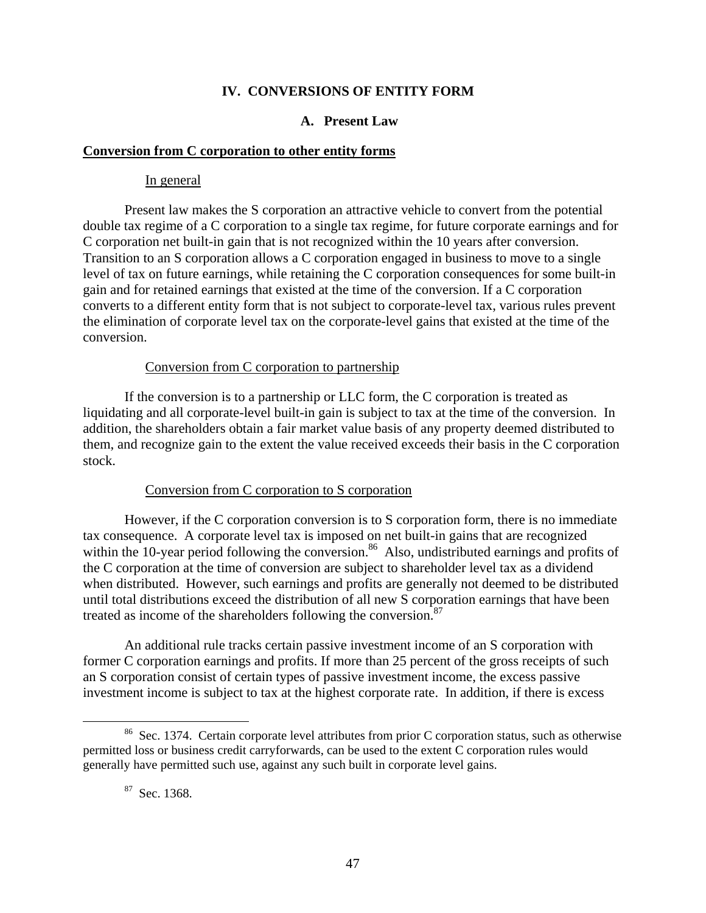# **IV. CONVERSIONS OF ENTITY FORM**

# **A. Present Law**

### **Conversion from C corporation to other entity forms**

### In general

Present law makes the S corporation an attractive vehicle to convert from the potential double tax regime of a C corporation to a single tax regime, for future corporate earnings and for C corporation net built-in gain that is not recognized within the 10 years after conversion. Transition to an S corporation allows a C corporation engaged in business to move to a single level of tax on future earnings, while retaining the C corporation consequences for some built-in gain and for retained earnings that existed at the time of the conversion. If a C corporation converts to a different entity form that is not subject to corporate-level tax, various rules prevent the elimination of corporate level tax on the corporate-level gains that existed at the time of the conversion.

### Conversion from C corporation to partnership

If the conversion is to a partnership or LLC form, the C corporation is treated as liquidating and all corporate-level built-in gain is subject to tax at the time of the conversion. In addition, the shareholders obtain a fair market value basis of any property deemed distributed to them, and recognize gain to the extent the value received exceeds their basis in the C corporation stock.

### Conversion from C corporation to S corporation

However, if the C corporation conversion is to S corporation form, there is no immediate tax consequence. A corporate level tax is imposed on net built-in gains that are recognized within the 10-year period following the conversion.<sup>86</sup> Also, undistributed earnings and profits of the C corporation at the time of conversion are subject to shareholder level tax as a dividend when distributed. However, such earnings and profits are generally not deemed to be distributed until total distributions exceed the distribution of all new S corporation earnings that have been treated as income of the shareholders following the conversion.<sup>87</sup>

An additional rule tracks certain passive investment income of an S corporation with former C corporation earnings and profits. If more than 25 percent of the gross receipts of such an S corporation consist of certain types of passive investment income, the excess passive investment income is subject to tax at the highest corporate rate. In addition, if there is excess

<sup>&</sup>lt;sup>86</sup> Sec. 1374. Certain corporate level attributes from prior C corporation status, such as otherwise permitted loss or business credit carryforwards, can be used to the extent C corporation rules would generally have permitted such use, against any such built in corporate level gains.

<sup>&</sup>lt;sup>87</sup> Sec. 1368.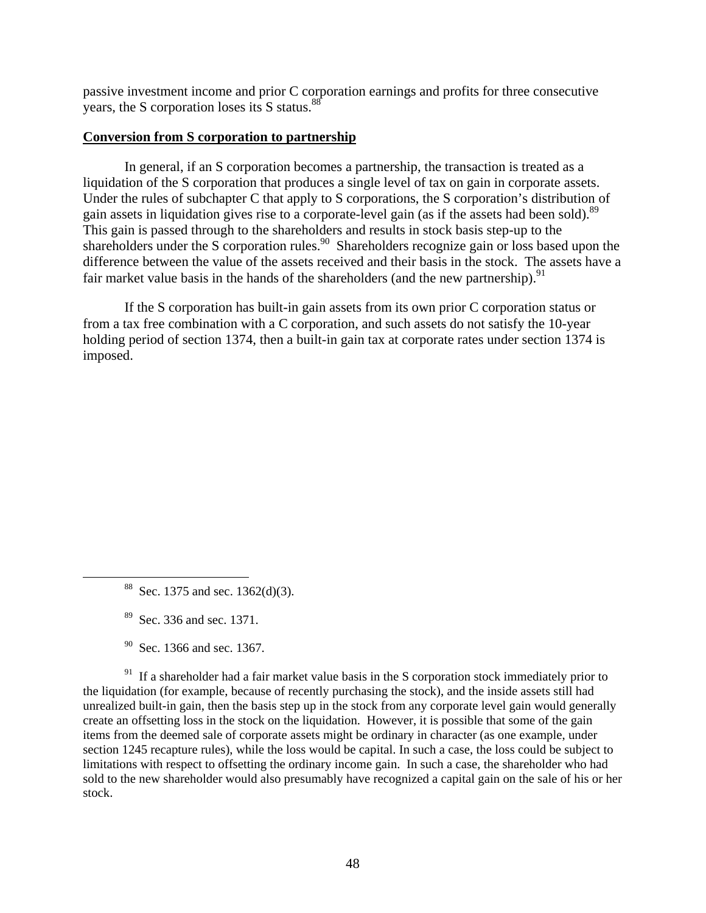passive investment income and prior C corporation earnings and profits for three consecutive years, the S corporation loses its S status.88

# **Conversion from S corporation to partnership**

In general, if an S corporation becomes a partnership, the transaction is treated as a liquidation of the S corporation that produces a single level of tax on gain in corporate assets. Under the rules of subchapter C that apply to S corporations, the S corporation's distribution of gain assets in liquidation gives rise to a corporate-level gain (as if the assets had been sold).<sup>89</sup> This gain is passed through to the shareholders and results in stock basis step-up to the shareholders under the S corporation rules.<sup>90</sup> Shareholders recognize gain or loss based upon the difference between the value of the assets received and their basis in the stock. The assets have a fair market value basis in the hands of the shareholders (and the new partnership).  $91$ 

If the S corporation has built-in gain assets from its own prior C corporation status or from a tax free combination with a C corporation, and such assets do not satisfy the 10-year holding period of section 1374, then a built-in gain tax at corporate rates under section 1374 is imposed.

 $91$  If a shareholder had a fair market value basis in the S corporation stock immediately prior to the liquidation (for example, because of recently purchasing the stock), and the inside assets still had unrealized built-in gain, then the basis step up in the stock from any corporate level gain would generally create an offsetting loss in the stock on the liquidation. However, it is possible that some of the gain items from the deemed sale of corporate assets might be ordinary in character (as one example, under section 1245 recapture rules), while the loss would be capital. In such a case, the loss could be subject to limitations with respect to offsetting the ordinary income gain. In such a case, the shareholder who had sold to the new shareholder would also presumably have recognized a capital gain on the sale of his or her stock.

<sup>&</sup>lt;sup>88</sup> Sec. 1375 and sec. 1362(d)(3).

<sup>89</sup> Sec. 336 and sec. 1371.

 $90$  Sec. 1366 and sec. 1367.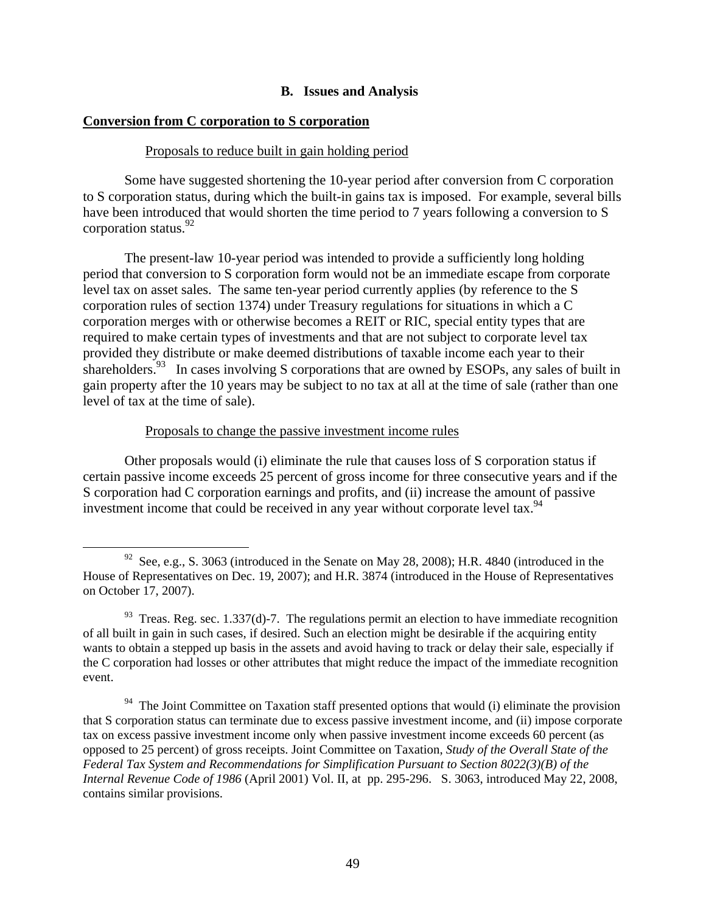# **B. Issues and Analysis**

# **Conversion from C corporation to S corporation**

#### Proposals to reduce built in gain holding period

Some have suggested shortening the 10-year period after conversion from C corporation to S corporation status, during which the built-in gains tax is imposed. For example, several bills have been introduced that would shorten the time period to 7 years following a conversion to S corporation status.92

The present-law 10-year period was intended to provide a sufficiently long holding period that conversion to S corporation form would not be an immediate escape from corporate level tax on asset sales. The same ten-year period currently applies (by reference to the S corporation rules of section 1374) under Treasury regulations for situations in which a C corporation merges with or otherwise becomes a REIT or RIC, special entity types that are required to make certain types of investments and that are not subject to corporate level tax provided they distribute or make deemed distributions of taxable income each year to their shareholders.<sup>93</sup> In cases involving S corporations that are owned by ESOPs, any sales of built in gain property after the 10 years may be subject to no tax at all at the time of sale (rather than one level of tax at the time of sale).

### Proposals to change the passive investment income rules

Other proposals would (i) eliminate the rule that causes loss of S corporation status if certain passive income exceeds 25 percent of gross income for three consecutive years and if the S corporation had C corporation earnings and profits, and (ii) increase the amount of passive investment income that could be received in any year without corporate level tax.<sup>94</sup>

<sup>&</sup>lt;sup>92</sup> See, e.g., S. 3063 (introduced in the Senate on May 28, 2008); H.R. 4840 (introduced in the House of Representatives on Dec. 19, 2007); and H.R. 3874 (introduced in the House of Representatives on October 17, 2007).

 $93$  Treas. Reg. sec. 1.337(d)-7. The regulations permit an election to have immediate recognition of all built in gain in such cases, if desired. Such an election might be desirable if the acquiring entity wants to obtain a stepped up basis in the assets and avoid having to track or delay their sale, especially if the C corporation had losses or other attributes that might reduce the impact of the immediate recognition event.

 $94$  The Joint Committee on Taxation staff presented options that would (i) eliminate the provision that S corporation status can terminate due to excess passive investment income, and (ii) impose corporate tax on excess passive investment income only when passive investment income exceeds 60 percent (as opposed to 25 percent) of gross receipts. Joint Committee on Taxation, *Study of the Overall State of the Federal Tax System and Recommendations for Simplification Pursuant to Section 8022(3)(B) of the Internal Revenue Code of 1986* (April 2001) Vol. II, at pp. 295-296. S. 3063, introduced May 22, 2008, contains similar provisions.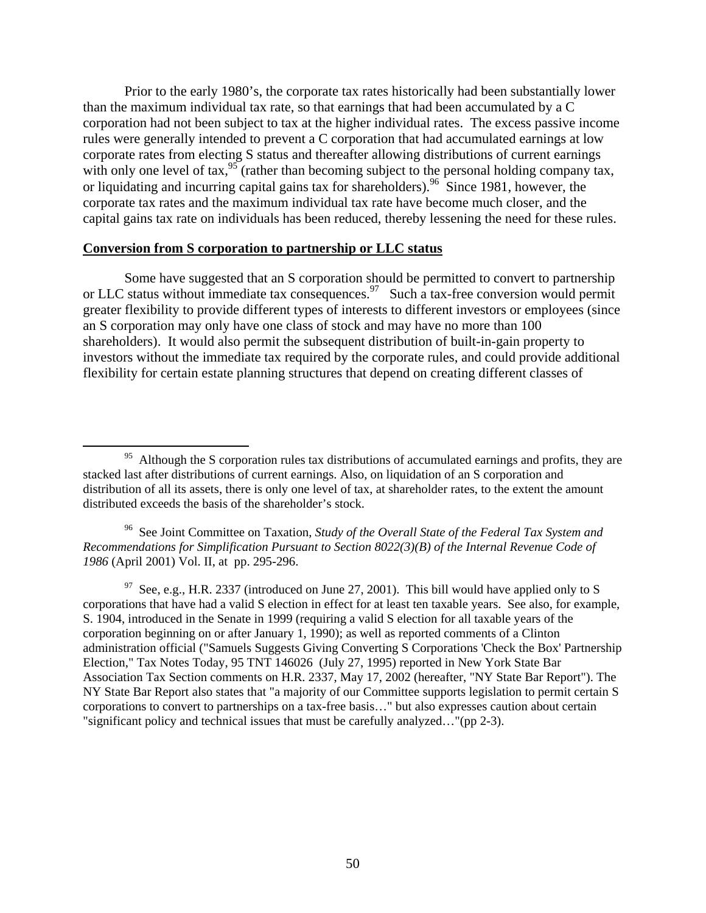Prior to the early 1980's, the corporate tax rates historically had been substantially lower than the maximum individual tax rate, so that earnings that had been accumulated by a C corporation had not been subject to tax at the higher individual rates. The excess passive income rules were generally intended to prevent a C corporation that had accumulated earnings at low corporate rates from electing S status and thereafter allowing distributions of current earnings with only one level of tax,  $95$  (rather than becoming subject to the personal holding company tax, or liquidating and incurring capital gains tax for shareholders).<sup>96</sup> Since 1981, however, the corporate tax rates and the maximum individual tax rate have become much closer, and the capital gains tax rate on individuals has been reduced, thereby lessening the need for these rules.

# **Conversion from S corporation to partnership or LLC status**

Some have suggested that an S corporation should be permitted to convert to partnership or LLC status without immediate tax consequences.<sup>97</sup> Such a tax-free conversion would permit greater flexibility to provide different types of interests to different investors or employees (since an S corporation may only have one class of stock and may have no more than 100 shareholders). It would also permit the subsequent distribution of built-in-gain property to investors without the immediate tax required by the corporate rules, and could provide additional flexibility for certain estate planning structures that depend on creating different classes of

96 See Joint Committee on Taxation, *Study of the Overall State of the Federal Tax System and Recommendations for Simplification Pursuant to Section 8022(3)(B) of the Internal Revenue Code of 1986* (April 2001) Vol. II, at pp. 295-296.

 $97$  See, e.g., H.R. 2337 (introduced on June 27, 2001). This bill would have applied only to S corporations that have had a valid S election in effect for at least ten taxable years. See also, for example, S. 1904, introduced in the Senate in 1999 (requiring a valid S election for all taxable years of the corporation beginning on or after January 1, 1990); as well as reported comments of a Clinton administration official ("Samuels Suggests Giving Converting S Corporations 'Check the Box' Partnership Election," Tax Notes Today, 95 TNT 146026 (July 27, 1995) reported in New York State Bar Association Tax Section comments on H.R. 2337, May 17, 2002 (hereafter, "NY State Bar Report"). The NY State Bar Report also states that "a majority of our Committee supports legislation to permit certain S corporations to convert to partnerships on a tax-free basis…" but also expresses caution about certain "significant policy and technical issues that must be carefully analyzed…"(pp 2-3).

<sup>&</sup>lt;sup>95</sup> Although the S corporation rules tax distributions of accumulated earnings and profits, they are stacked last after distributions of current earnings. Also, on liquidation of an S corporation and distribution of all its assets, there is only one level of tax, at shareholder rates, to the extent the amount distributed exceeds the basis of the shareholder's stock.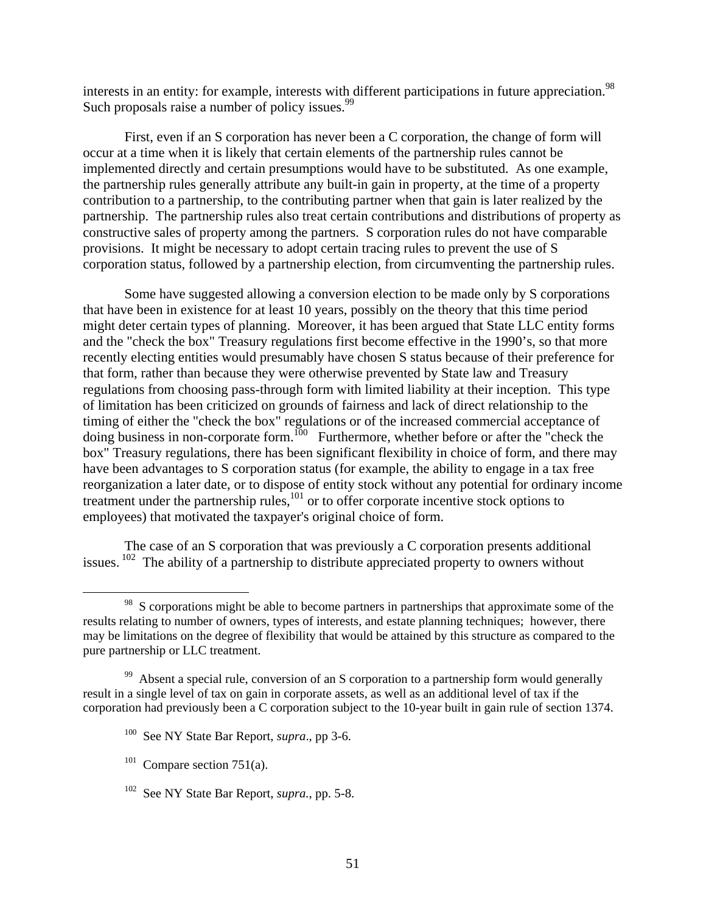interests in an entity: for example, interests with different participations in future appreciation.<sup>98</sup> Such proposals raise a number of policy issues.<sup>99</sup>

First, even if an S corporation has never been a C corporation, the change of form will occur at a time when it is likely that certain elements of the partnership rules cannot be implemented directly and certain presumptions would have to be substituted. As one example, the partnership rules generally attribute any built-in gain in property, at the time of a property contribution to a partnership, to the contributing partner when that gain is later realized by the partnership. The partnership rules also treat certain contributions and distributions of property as constructive sales of property among the partners. S corporation rules do not have comparable provisions. It might be necessary to adopt certain tracing rules to prevent the use of S corporation status, followed by a partnership election, from circumventing the partnership rules.

Some have suggested allowing a conversion election to be made only by S corporations that have been in existence for at least 10 years, possibly on the theory that this time period might deter certain types of planning. Moreover, it has been argued that State LLC entity forms and the "check the box" Treasury regulations first become effective in the 1990's, so that more recently electing entities would presumably have chosen S status because of their preference for that form, rather than because they were otherwise prevented by State law and Treasury regulations from choosing pass-through form with limited liability at their inception. This type of limitation has been criticized on grounds of fairness and lack of direct relationship to the timing of either the "check the box" regulations or of the increased commercial acceptance of doing business in non-corporate form.<sup>100</sup> Furthermore, whether before or after the "check the box" Treasury regulations, there has been significant flexibility in choice of form, and there may have been advantages to S corporation status (for example, the ability to engage in a tax free reorganization a later date, or to dispose of entity stock without any potential for ordinary income treatment under the partnership rules, $^{101}$  or to offer corporate incentive stock options to employees) that motivated the taxpayer's original choice of form.

The case of an S corporation that was previously a C corporation presents additional issues.  $102$  The ability of a partnership to distribute appreciated property to owners without

 $101$  Compare section 751(a).

<sup>&</sup>lt;sup>98</sup> S corporations might be able to become partners in partnerships that approximate some of the results relating to number of owners, types of interests, and estate planning techniques; however, there may be limitations on the degree of flexibility that would be attained by this structure as compared to the pure partnership or LLC treatment.

 $99$  Absent a special rule, conversion of an S corporation to a partnership form would generally result in a single level of tax on gain in corporate assets, as well as an additional level of tax if the corporation had previously been a C corporation subject to the 10-year built in gain rule of section 1374.

<sup>100</sup> See NY State Bar Report, *supra*., pp 3-6.

<sup>102</sup> See NY State Bar Report, *supra.*, pp. 5-8.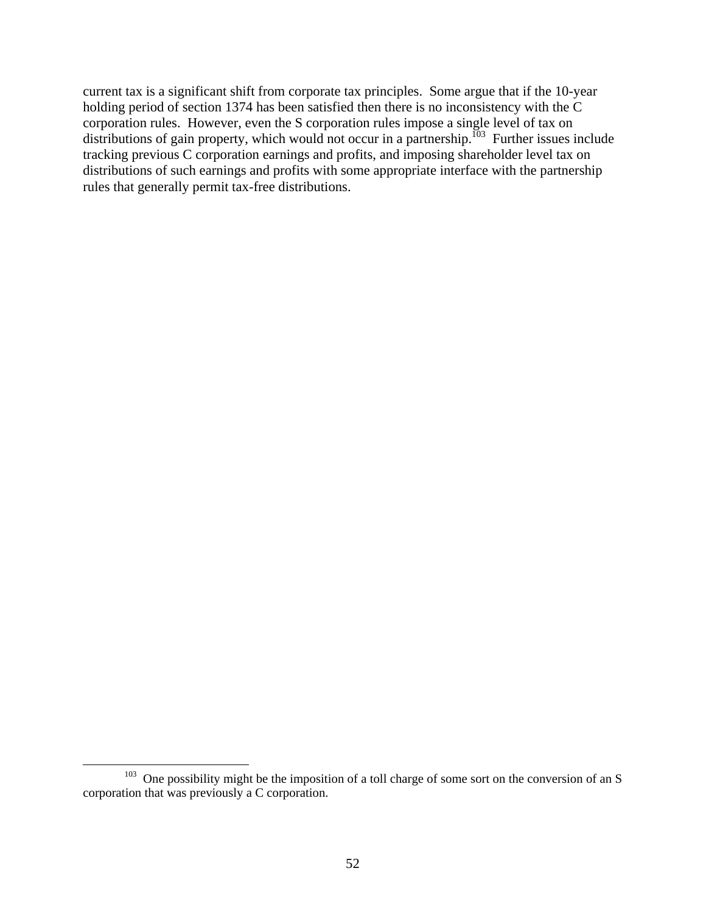current tax is a significant shift from corporate tax principles. Some argue that if the 10-year holding period of section 1374 has been satisfied then there is no inconsistency with the C corporation rules. However, even the S corporation rules impose a single level of tax on distributions of gain property, which would not occur in a partnership.<sup>103</sup> Further issues include tracking previous C corporation earnings and profits, and imposing shareholder level tax on distributions of such earnings and profits with some appropriate interface with the partnership rules that generally permit tax-free distributions.

 $103$  One possibility might be the imposition of a toll charge of some sort on the conversion of an S corporation that was previously a C corporation.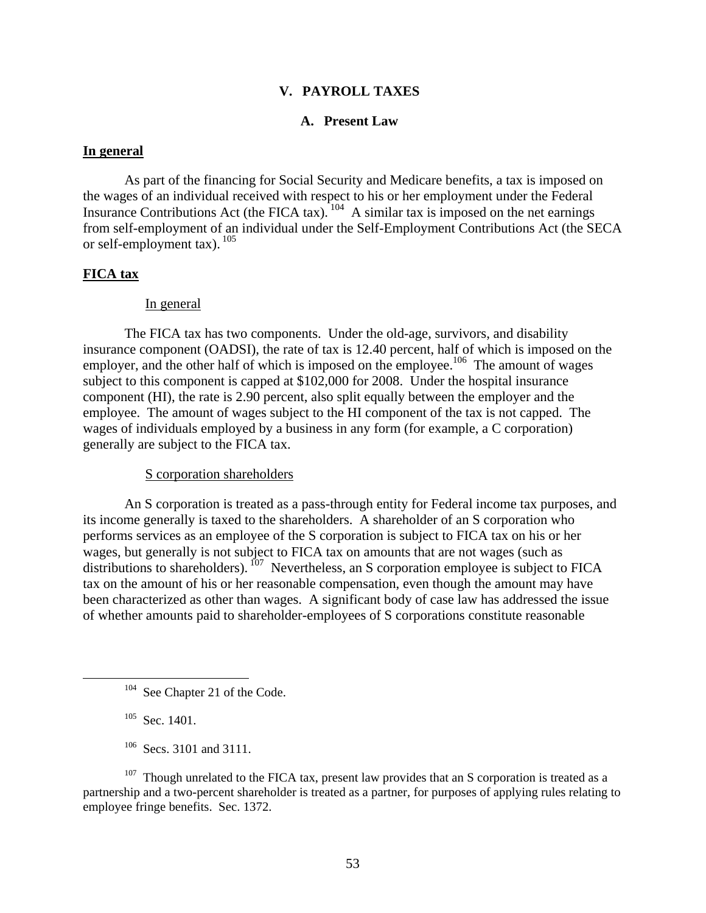# **V. PAYROLL TAXES**

### **A. Present Law**

#### **In general**

As part of the financing for Social Security and Medicare benefits, a tax is imposed on the wages of an individual received with respect to his or her employment under the Federal Insurance Contributions Act (the FICA tax).  $104$  A similar tax is imposed on the net earnings from self-employment of an individual under the Self-Employment Contributions Act (the SECA or self-employment tax). 105

# **FICA tax**

#### In general

The FICA tax has two components. Under the old-age, survivors, and disability insurance component (OADSI), the rate of tax is 12.40 percent, half of which is imposed on the employer, and the other half of which is imposed on the employee.<sup>106</sup> The amount of wages subject to this component is capped at \$102,000 for 2008. Under the hospital insurance component (HI), the rate is 2.90 percent, also split equally between the employer and the employee. The amount of wages subject to the HI component of the tax is not capped. The wages of individuals employed by a business in any form (for example, a C corporation) generally are subject to the FICA tax.

# S corporation shareholders

An S corporation is treated as a pass-through entity for Federal income tax purposes, and its income generally is taxed to the shareholders. A shareholder of an S corporation who performs services as an employee of the S corporation is subject to FICA tax on his or her wages, but generally is not subject to FICA tax on amounts that are not wages (such as distributions to shareholders). <sup>107</sup> Nevertheless, an S corporation employee is subject to FICA tax on the amount of his or her reasonable compensation, even though the amount may have been characterized as other than wages. A significant body of case law has addressed the issue of whether amounts paid to shareholder-employees of S corporations constitute reasonable

 $105$  Sec. 1401.

<sup>106</sup> Secs. 3101 and 3111.

<sup>107</sup> Though unrelated to the FICA tax, present law provides that an S corporation is treated as a partnership and a two-percent shareholder is treated as a partner, for purposes of applying rules relating to employee fringe benefits. Sec. 1372.

<sup>&</sup>lt;sup>104</sup> See Chapter 21 of the Code.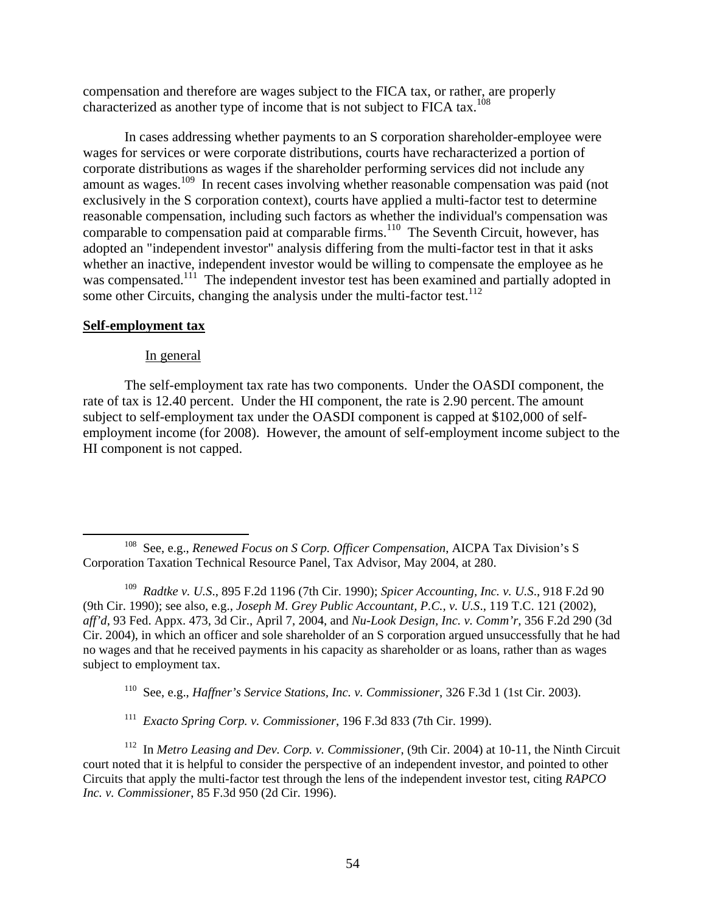compensation and therefore are wages subject to the FICA tax, or rather, are properly characterized as another type of income that is not subject to FICA tax.<sup>108</sup>

In cases addressing whether payments to an S corporation shareholder-employee were wages for services or were corporate distributions, courts have recharacterized a portion of corporate distributions as wages if the shareholder performing services did not include any amount as wages.<sup>109</sup> In recent cases involving whether reasonable compensation was paid (not exclusively in the S corporation context), courts have applied a multi-factor test to determine reasonable compensation, including such factors as whether the individual's compensation was comparable to compensation paid at comparable firms.<sup>110</sup> The Seventh Circuit, however, has adopted an "independent investor" analysis differing from the multi-factor test in that it asks whether an inactive, independent investor would be willing to compensate the employee as he was compensated.<sup>111</sup> The independent investor test has been examined and partially adopted in some other Circuits, changing the analysis under the multi-factor test.<sup>112</sup>

# **Self-employment tax**

# In general

The self-employment tax rate has two components. Under the OASDI component, the rate of tax is 12.40 percent. Under the HI component, the rate is 2.90 percent. The amount subject to self-employment tax under the OASDI component is capped at \$102,000 of selfemployment income (for 2008). However, the amount of self-employment income subject to the HI component is not capped.

110 See, e.g., *Haffner's Service Stations, Inc. v. Commissioner*, 326 F.3d 1 (1st Cir. 2003).

111 *Exacto Spring Corp. v. Commissioner*, 196 F.3d 833 (7th Cir. 1999).

112 In *Metro Leasing and Dev. Corp. v. Commissioner*, (9th Cir. 2004) at 10-11, the Ninth Circuit court noted that it is helpful to consider the perspective of an independent investor, and pointed to other Circuits that apply the multi-factor test through the lens of the independent investor test, citing *RAPCO Inc. v. Commissioner*, 85 F.3d 950 (2d Cir. 1996).

 <sup>108</sup> See, e.g., *Renewed Focus on S Corp. Officer Compensation*, AICPA Tax Division's S Corporation Taxation Technical Resource Panel, Tax Advisor, May 2004, at 280.

<sup>109</sup> *Radtke v. U.S*., 895 F.2d 1196 (7th Cir. 1990); *Spicer Accounting, Inc. v. U.S*., 918 F.2d 90 (9th Cir. 1990); see also, e.g., *Joseph M. Grey Public Accountant, P.C., v. U.S*., 119 T.C. 121 (2002), *aff'd*, 93 Fed. Appx. 473, 3d Cir., April 7, 2004, and *Nu-Look Design, Inc. v. Comm'r*, 356 F.2d 290 (3d Cir. 2004), in which an officer and sole shareholder of an S corporation argued unsuccessfully that he had no wages and that he received payments in his capacity as shareholder or as loans, rather than as wages subject to employment tax.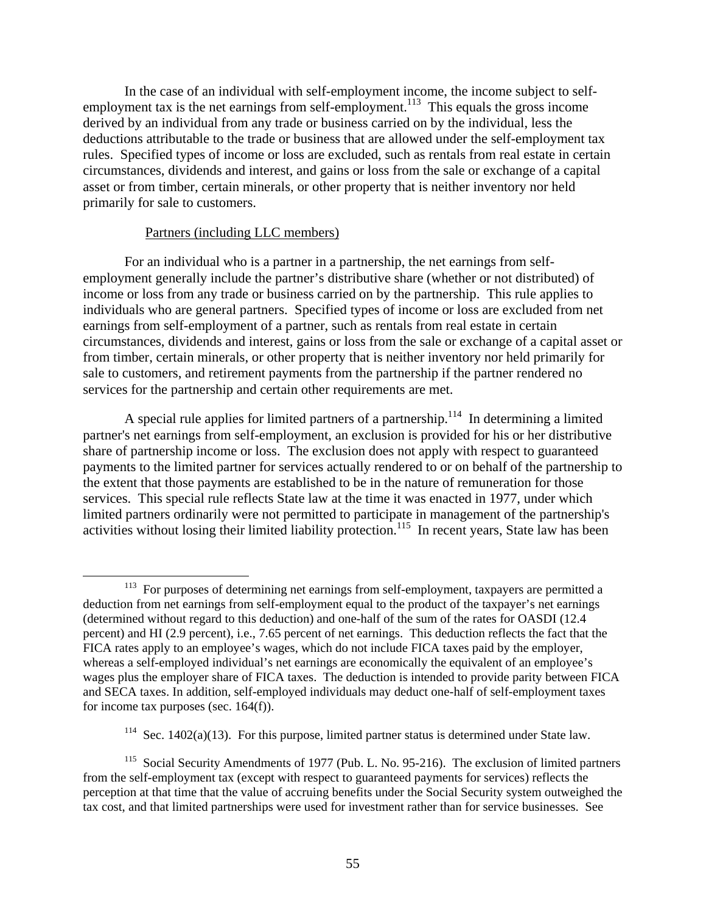In the case of an individual with self-employment income, the income subject to selfemployment tax is the net earnings from self-employment.<sup>113</sup> This equals the gross income derived by an individual from any trade or business carried on by the individual, less the deductions attributable to the trade or business that are allowed under the self-employment tax rules. Specified types of income or loss are excluded, such as rentals from real estate in certain circumstances, dividends and interest, and gains or loss from the sale or exchange of a capital asset or from timber, certain minerals, or other property that is neither inventory nor held primarily for sale to customers.

# Partners (including LLC members)

For an individual who is a partner in a partnership, the net earnings from selfemployment generally include the partner's distributive share (whether or not distributed) of income or loss from any trade or business carried on by the partnership. This rule applies to individuals who are general partners. Specified types of income or loss are excluded from net earnings from self-employment of a partner, such as rentals from real estate in certain circumstances, dividends and interest, gains or loss from the sale or exchange of a capital asset or from timber, certain minerals, or other property that is neither inventory nor held primarily for sale to customers, and retirement payments from the partnership if the partner rendered no services for the partnership and certain other requirements are met.

A special rule applies for limited partners of a partnership.<sup>114</sup> In determining a limited partner's net earnings from self-employment, an exclusion is provided for his or her distributive share of partnership income or loss. The exclusion does not apply with respect to guaranteed payments to the limited partner for services actually rendered to or on behalf of the partnership to the extent that those payments are established to be in the nature of remuneration for those services. This special rule reflects State law at the time it was enacted in 1977, under which limited partners ordinarily were not permitted to participate in management of the partnership's activities without losing their limited liability protection.<sup>115</sup> In recent years, State law has been

<sup>&</sup>lt;sup>113</sup> For purposes of determining net earnings from self-employment, taxpayers are permitted a deduction from net earnings from self-employment equal to the product of the taxpayer's net earnings (determined without regard to this deduction) and one-half of the sum of the rates for OASDI (12.4 percent) and HI (2.9 percent), i.e., 7.65 percent of net earnings. This deduction reflects the fact that the FICA rates apply to an employee's wages, which do not include FICA taxes paid by the employer, whereas a self-employed individual's net earnings are economically the equivalent of an employee's wages plus the employer share of FICA taxes. The deduction is intended to provide parity between FICA and SECA taxes. In addition, self-employed individuals may deduct one-half of self-employment taxes for income tax purposes (sec. 164(f)).

<sup>&</sup>lt;sup>114</sup> Sec. 1402(a)(13). For this purpose, limited partner status is determined under State law.

<sup>&</sup>lt;sup>115</sup> Social Security Amendments of 1977 (Pub. L. No. 95-216). The exclusion of limited partners from the self-employment tax (except with respect to guaranteed payments for services) reflects the perception at that time that the value of accruing benefits under the Social Security system outweighed the tax cost, and that limited partnerships were used for investment rather than for service businesses. See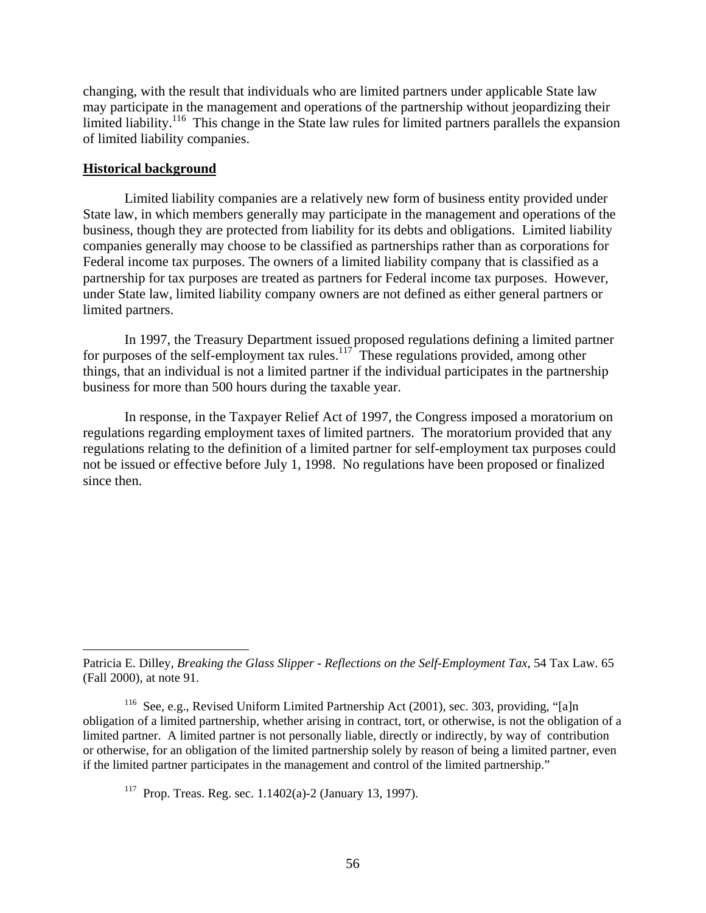changing, with the result that individuals who are limited partners under applicable State law may participate in the management and operations of the partnership without jeopardizing their limited liability.<sup>116</sup> This change in the State law rules for limited partners parallels the expansion of limited liability companies.

#### **Historical background**

 $\overline{a}$ 

Limited liability companies are a relatively new form of business entity provided under State law, in which members generally may participate in the management and operations of the business, though they are protected from liability for its debts and obligations. Limited liability companies generally may choose to be classified as partnerships rather than as corporations for Federal income tax purposes. The owners of a limited liability company that is classified as a partnership for tax purposes are treated as partners for Federal income tax purposes. However, under State law, limited liability company owners are not defined as either general partners or limited partners.

In 1997, the Treasury Department issued proposed regulations defining a limited partner for purposes of the self-employment tax rules. $117$  These regulations provided, among other things, that an individual is not a limited partner if the individual participates in the partnership business for more than 500 hours during the taxable year.

In response, in the Taxpayer Relief Act of 1997, the Congress imposed a moratorium on regulations regarding employment taxes of limited partners. The moratorium provided that any regulations relating to the definition of a limited partner for self-employment tax purposes could not be issued or effective before July 1, 1998. No regulations have been proposed or finalized since then.

Patricia E. Dilley, *Breaking the Glass Slipper - Reflections on the Self-Employment Tax*, 54 Tax Law. 65 (Fall 2000), at note 91.

<sup>&</sup>lt;sup>116</sup> See, e.g., Revised Uniform Limited Partnership Act (2001), sec. 303, providing, "[a]n obligation of a limited partnership, whether arising in contract, tort, or otherwise, is not the obligation of a limited partner. A limited partner is not personally liable, directly or indirectly, by way of contribution or otherwise, for an obligation of the limited partnership solely by reason of being a limited partner, even if the limited partner participates in the management and control of the limited partnership."

<sup>&</sup>lt;sup>117</sup> Prop. Treas. Reg. sec.  $1.1402(a)$ -2 (January 13, 1997).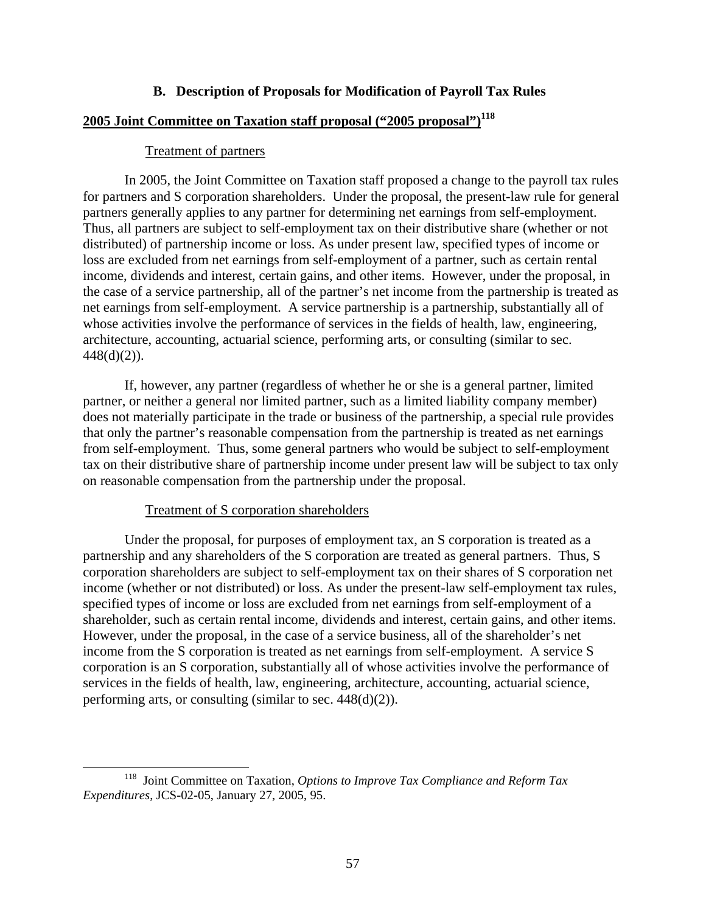# **B. Description of Proposals for Modification of Payroll Tax Rules**

# **2005 Joint Committee on Taxation staff proposal ("2005 proposal")118**

### Treatment of partners

In 2005, the Joint Committee on Taxation staff proposed a change to the payroll tax rules for partners and S corporation shareholders. Under the proposal, the present-law rule for general partners generally applies to any partner for determining net earnings from self-employment. Thus, all partners are subject to self-employment tax on their distributive share (whether or not distributed) of partnership income or loss. As under present law, specified types of income or loss are excluded from net earnings from self-employment of a partner, such as certain rental income, dividends and interest, certain gains, and other items. However, under the proposal, in the case of a service partnership, all of the partner's net income from the partnership is treated as net earnings from self-employment. A service partnership is a partnership, substantially all of whose activities involve the performance of services in the fields of health, law, engineering, architecture, accounting, actuarial science, performing arts, or consulting (similar to sec.  $448(d)(2)$ ).

If, however, any partner (regardless of whether he or she is a general partner, limited partner, or neither a general nor limited partner, such as a limited liability company member) does not materially participate in the trade or business of the partnership, a special rule provides that only the partner's reasonable compensation from the partnership is treated as net earnings from self-employment. Thus, some general partners who would be subject to self-employment tax on their distributive share of partnership income under present law will be subject to tax only on reasonable compensation from the partnership under the proposal.

### Treatment of S corporation shareholders

Under the proposal, for purposes of employment tax, an S corporation is treated as a partnership and any shareholders of the S corporation are treated as general partners. Thus, S corporation shareholders are subject to self-employment tax on their shares of S corporation net income (whether or not distributed) or loss. As under the present-law self-employment tax rules, specified types of income or loss are excluded from net earnings from self-employment of a shareholder, such as certain rental income, dividends and interest, certain gains, and other items. However, under the proposal, in the case of a service business, all of the shareholder's net income from the S corporation is treated as net earnings from self-employment. A service S corporation is an S corporation, substantially all of whose activities involve the performance of services in the fields of health, law, engineering, architecture, accounting, actuarial science, performing arts, or consulting (similar to sec. 448(d)(2)).

 <sup>118</sup> Joint Committee on Taxation, *Options to Improve Tax Compliance and Reform Tax Expenditures*, JCS-02-05, January 27, 2005, 95.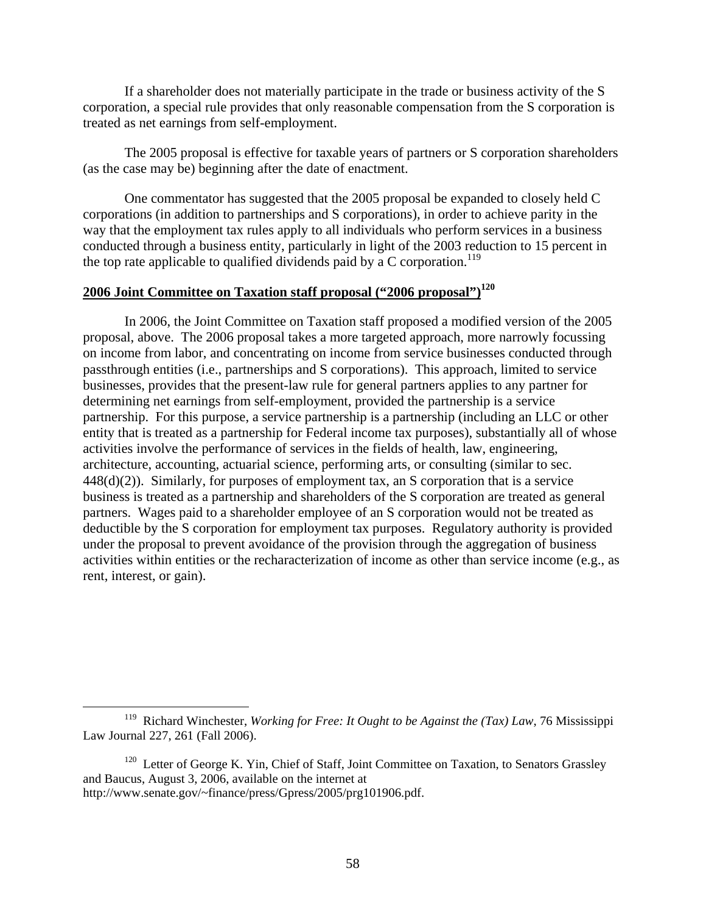If a shareholder does not materially participate in the trade or business activity of the S corporation, a special rule provides that only reasonable compensation from the S corporation is treated as net earnings from self-employment.

The 2005 proposal is effective for taxable years of partners or S corporation shareholders (as the case may be) beginning after the date of enactment.

One commentator has suggested that the 2005 proposal be expanded to closely held C corporations (in addition to partnerships and S corporations), in order to achieve parity in the way that the employment tax rules apply to all individuals who perform services in a business conducted through a business entity, particularly in light of the 2003 reduction to 15 percent in the top rate applicable to qualified dividends paid by a  $C$  corporation.<sup>119</sup>

# **2006 Joint Committee on Taxation staff proposal ("2006 proposal")120**

In 2006, the Joint Committee on Taxation staff proposed a modified version of the 2005 proposal, above. The 2006 proposal takes a more targeted approach, more narrowly focussing on income from labor, and concentrating on income from service businesses conducted through passthrough entities (i.e., partnerships and S corporations). This approach, limited to service businesses, provides that the present-law rule for general partners applies to any partner for determining net earnings from self-employment, provided the partnership is a service partnership. For this purpose, a service partnership is a partnership (including an LLC or other entity that is treated as a partnership for Federal income tax purposes), substantially all of whose activities involve the performance of services in the fields of health, law, engineering, architecture, accounting, actuarial science, performing arts, or consulting (similar to sec. 448(d)(2)). Similarly, for purposes of employment tax, an S corporation that is a service business is treated as a partnership and shareholders of the S corporation are treated as general partners. Wages paid to a shareholder employee of an S corporation would not be treated as deductible by the S corporation for employment tax purposes. Regulatory authority is provided under the proposal to prevent avoidance of the provision through the aggregation of business activities within entities or the recharacterization of income as other than service income (e.g., as rent, interest, or gain).

 <sup>119</sup> Richard Winchester, *Working for Free: It Ought to be Against the (Tax) Law*, 76 Mississippi Law Journal 227, 261 (Fall 2006).

<sup>&</sup>lt;sup>120</sup> Letter of George K. Yin, Chief of Staff, Joint Committee on Taxation, to Senators Grassley and Baucus, August 3, 2006, available on the internet at http://www.senate.gov/~finance/press/Gpress/2005/prg101906.pdf.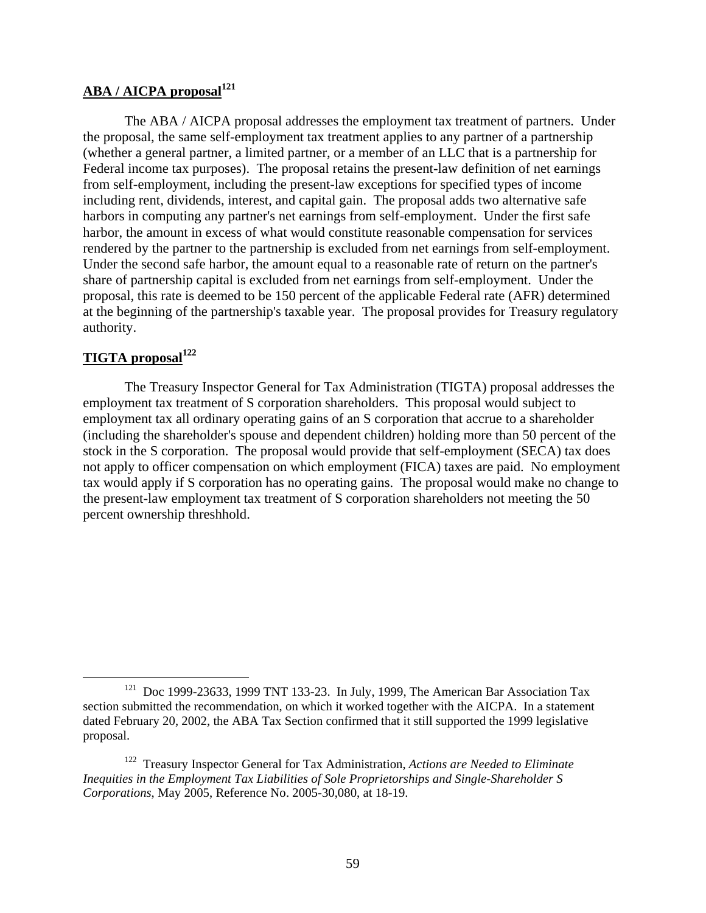# **ABA / AICPA proposal<sup>121</sup>**

The ABA / AICPA proposal addresses the employment tax treatment of partners. Under the proposal, the same self-employment tax treatment applies to any partner of a partnership (whether a general partner, a limited partner, or a member of an LLC that is a partnership for Federal income tax purposes). The proposal retains the present-law definition of net earnings from self-employment, including the present-law exceptions for specified types of income including rent, dividends, interest, and capital gain. The proposal adds two alternative safe harbors in computing any partner's net earnings from self-employment. Under the first safe harbor, the amount in excess of what would constitute reasonable compensation for services rendered by the partner to the partnership is excluded from net earnings from self-employment. Under the second safe harbor, the amount equal to a reasonable rate of return on the partner's share of partnership capital is excluded from net earnings from self-employment. Under the proposal, this rate is deemed to be 150 percent of the applicable Federal rate (AFR) determined at the beginning of the partnership's taxable year. The proposal provides for Treasury regulatory authority.

# **TIGTA proposal<sup>122</sup>**

The Treasury Inspector General for Tax Administration (TIGTA) proposal addresses the employment tax treatment of S corporation shareholders. This proposal would subject to employment tax all ordinary operating gains of an S corporation that accrue to a shareholder (including the shareholder's spouse and dependent children) holding more than 50 percent of the stock in the S corporation. The proposal would provide that self-employment (SECA) tax does not apply to officer compensation on which employment (FICA) taxes are paid. No employment tax would apply if S corporation has no operating gains. The proposal would make no change to the present-law employment tax treatment of S corporation shareholders not meeting the 50 percent ownership threshhold.

 $121$  Doc 1999-23633, 1999 TNT 133-23. In July, 1999, The American Bar Association Tax section submitted the recommendation, on which it worked together with the AICPA. In a statement dated February 20, 2002, the ABA Tax Section confirmed that it still supported the 1999 legislative proposal.

<sup>122</sup> Treasury Inspector General for Tax Administration, *Actions are Needed to Eliminate Inequities in the Employment Tax Liabilities of Sole Proprietorships and Single-Shareholder S Corporations*, May 2005, Reference No. 2005-30,080, at 18-19.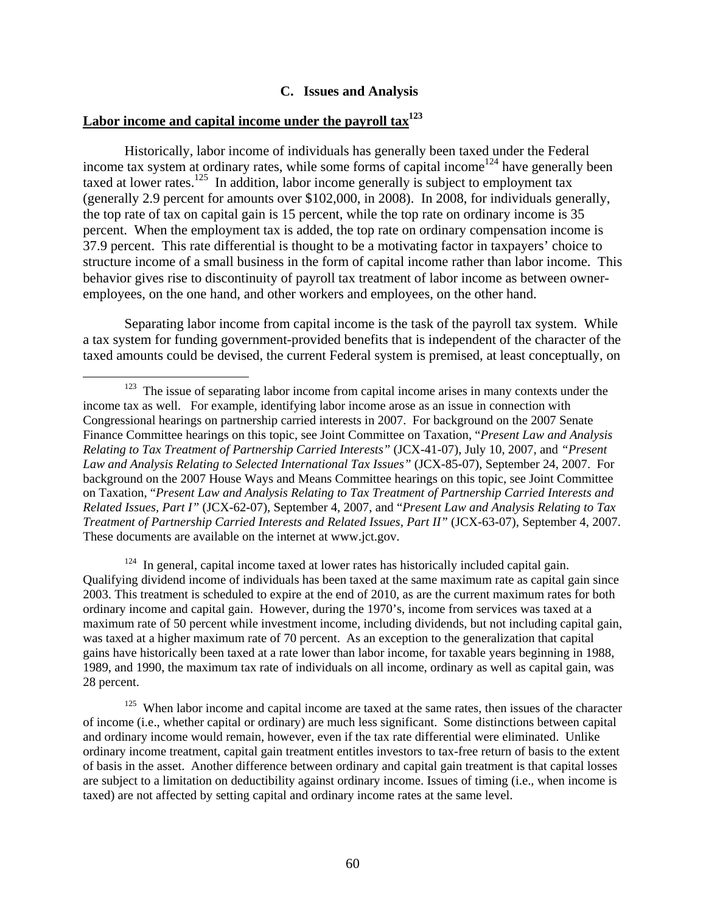### **C. Issues and Analysis**

#### Labor income and capital income under the payroll tax<sup>123</sup>

Historically, labor income of individuals has generally been taxed under the Federal income tax system at ordinary rates, while some forms of capital income<sup>124</sup> have generally been taxed at lower rates.<sup>125</sup> In addition, labor income generally is subject to employment tax (generally 2.9 percent for amounts over \$102,000, in 2008). In 2008, for individuals generally, the top rate of tax on capital gain is 15 percent, while the top rate on ordinary income is 35 percent. When the employment tax is added, the top rate on ordinary compensation income is 37.9 percent. This rate differential is thought to be a motivating factor in taxpayers' choice to structure income of a small business in the form of capital income rather than labor income. This behavior gives rise to discontinuity of payroll tax treatment of labor income as between owneremployees, on the one hand, and other workers and employees, on the other hand.

Separating labor income from capital income is the task of the payroll tax system. While a tax system for funding government-provided benefits that is independent of the character of the taxed amounts could be devised, the current Federal system is premised, at least conceptually, on

 $124$  In general, capital income taxed at lower rates has historically included capital gain. Qualifying dividend income of individuals has been taxed at the same maximum rate as capital gain since 2003. This treatment is scheduled to expire at the end of 2010, as are the current maximum rates for both ordinary income and capital gain. However, during the 1970's, income from services was taxed at a maximum rate of 50 percent while investment income, including dividends, but not including capital gain, was taxed at a higher maximum rate of 70 percent. As an exception to the generalization that capital gains have historically been taxed at a rate lower than labor income, for taxable years beginning in 1988, 1989, and 1990, the maximum tax rate of individuals on all income, ordinary as well as capital gain, was 28 percent.

<sup>&</sup>lt;sup>123</sup> The issue of separating labor income from capital income arises in many contexts under the income tax as well. For example, identifying labor income arose as an issue in connection with Congressional hearings on partnership carried interests in 2007. For background on the 2007 Senate Finance Committee hearings on this topic, see Joint Committee on Taxation, "*Present Law and Analysis Relating to Tax Treatment of Partnership Carried Interests"* (JCX-41-07), July 10, 2007, and *"Present Law and Analysis Relating to Selected International Tax Issues"* (JCX-85-07), September 24, 2007. For background on the 2007 House Ways and Means Committee hearings on this topic, see Joint Committee on Taxation, "*Present Law and Analysis Relating to Tax Treatment of Partnership Carried Interests and Related Issues, Part I"* (JCX-62-07), September 4, 2007, and "*Present Law and Analysis Relating to Tax Treatment of Partnership Carried Interests and Related Issues, Part II"* (JCX-63-07), September 4, 2007. These documents are available on the internet at www.jct.gov.

<sup>&</sup>lt;sup>125</sup> When labor income and capital income are taxed at the same rates, then issues of the character of income (i.e., whether capital or ordinary) are much less significant. Some distinctions between capital and ordinary income would remain, however, even if the tax rate differential were eliminated. Unlike ordinary income treatment, capital gain treatment entitles investors to tax-free return of basis to the extent of basis in the asset. Another difference between ordinary and capital gain treatment is that capital losses are subject to a limitation on deductibility against ordinary income. Issues of timing (i.e., when income is taxed) are not affected by setting capital and ordinary income rates at the same level.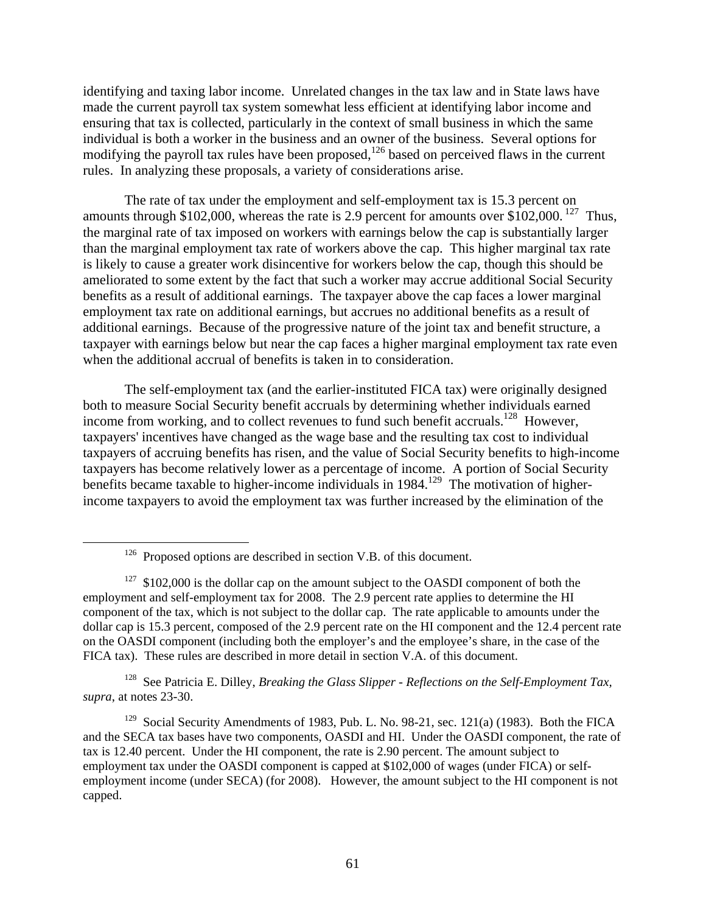identifying and taxing labor income. Unrelated changes in the tax law and in State laws have made the current payroll tax system somewhat less efficient at identifying labor income and ensuring that tax is collected, particularly in the context of small business in which the same individual is both a worker in the business and an owner of the business. Several options for modifying the payroll tax rules have been proposed, $126$  based on perceived flaws in the current rules. In analyzing these proposals, a variety of considerations arise.

The rate of tax under the employment and self-employment tax is 15.3 percent on amounts through \$102,000, whereas the rate is 2.9 percent for amounts over \$102,000.<sup>127</sup> Thus, the marginal rate of tax imposed on workers with earnings below the cap is substantially larger than the marginal employment tax rate of workers above the cap. This higher marginal tax rate is likely to cause a greater work disincentive for workers below the cap, though this should be ameliorated to some extent by the fact that such a worker may accrue additional Social Security benefits as a result of additional earnings. The taxpayer above the cap faces a lower marginal employment tax rate on additional earnings, but accrues no additional benefits as a result of additional earnings. Because of the progressive nature of the joint tax and benefit structure, a taxpayer with earnings below but near the cap faces a higher marginal employment tax rate even when the additional accrual of benefits is taken in to consideration.

The self-employment tax (and the earlier-instituted FICA tax) were originally designed both to measure Social Security benefit accruals by determining whether individuals earned income from working, and to collect revenues to fund such benefit accruals.<sup>128</sup> However, taxpayers' incentives have changed as the wage base and the resulting tax cost to individual taxpayers of accruing benefits has risen, and the value of Social Security benefits to high-income taxpayers has become relatively lower as a percentage of income. A portion of Social Security benefits became taxable to higher-income individuals in 1984.<sup>129</sup> The motivation of higherincome taxpayers to avoid the employment tax was further increased by the elimination of the

128 See Patricia E. Dilley, *Breaking the Glass Slipper - Reflections on the Self-Employment Tax, supra*, at notes 23-30.

<sup>129</sup> Social Security Amendments of 1983, Pub. L. No. 98-21, sec. 121(a) (1983). Both the FICA and the SECA tax bases have two components, OASDI and HI. Under the OASDI component, the rate of tax is 12.40 percent. Under the HI component, the rate is 2.90 percent. The amount subject to employment tax under the OASDI component is capped at \$102,000 of wages (under FICA) or selfemployment income (under SECA) (for 2008). However, the amount subject to the HI component is not capped.

 $126$  Proposed options are described in section V.B. of this document.

<sup>&</sup>lt;sup>127</sup> \$102,000 is the dollar cap on the amount subject to the OASDI component of both the employment and self-employment tax for 2008. The 2.9 percent rate applies to determine the HI component of the tax, which is not subject to the dollar cap. The rate applicable to amounts under the dollar cap is 15.3 percent, composed of the 2.9 percent rate on the HI component and the 12.4 percent rate on the OASDI component (including both the employer's and the employee's share, in the case of the FICA tax). These rules are described in more detail in section V.A. of this document.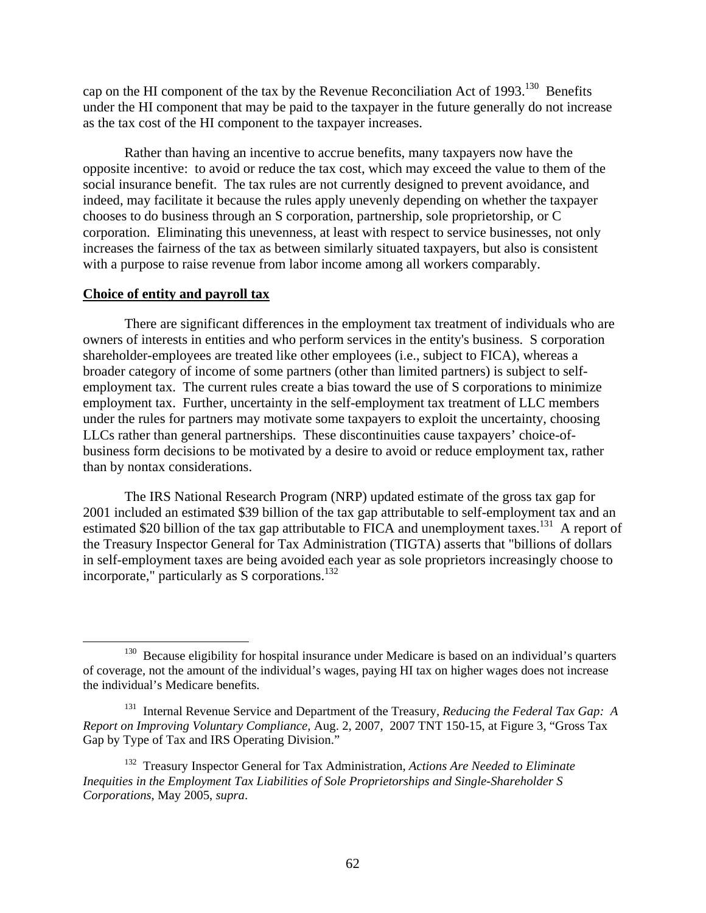cap on the HI component of the tax by the Revenue Reconciliation Act of 1993.<sup>130</sup> Benefits under the HI component that may be paid to the taxpayer in the future generally do not increase as the tax cost of the HI component to the taxpayer increases.

Rather than having an incentive to accrue benefits, many taxpayers now have the opposite incentive: to avoid or reduce the tax cost, which may exceed the value to them of the social insurance benefit. The tax rules are not currently designed to prevent avoidance, and indeed, may facilitate it because the rules apply unevenly depending on whether the taxpayer chooses to do business through an S corporation, partnership, sole proprietorship, or C corporation. Eliminating this unevenness, at least with respect to service businesses, not only increases the fairness of the tax as between similarly situated taxpayers, but also is consistent with a purpose to raise revenue from labor income among all workers comparably.

#### **Choice of entity and payroll tax**

There are significant differences in the employment tax treatment of individuals who are owners of interests in entities and who perform services in the entity's business. S corporation shareholder-employees are treated like other employees (i.e., subject to FICA), whereas a broader category of income of some partners (other than limited partners) is subject to selfemployment tax. The current rules create a bias toward the use of S corporations to minimize employment tax. Further, uncertainty in the self-employment tax treatment of LLC members under the rules for partners may motivate some taxpayers to exploit the uncertainty, choosing LLCs rather than general partnerships. These discontinuities cause taxpayers' choice-ofbusiness form decisions to be motivated by a desire to avoid or reduce employment tax, rather than by nontax considerations.

The IRS National Research Program (NRP) updated estimate of the gross tax gap for 2001 included an estimated \$39 billion of the tax gap attributable to self-employment tax and an estimated \$20 billion of the tax gap attributable to FICA and unemployment taxes.<sup>131</sup> A report of the Treasury Inspector General for Tax Administration (TIGTA) asserts that "billions of dollars in self-employment taxes are being avoided each year as sole proprietors increasingly choose to incorporate," particularly as S corporations.<sup>132</sup>

<sup>&</sup>lt;sup>130</sup> Because eligibility for hospital insurance under Medicare is based on an individual's quarters of coverage, not the amount of the individual's wages, paying HI tax on higher wages does not increase the individual's Medicare benefits.

<sup>131</sup> Internal Revenue Service and Department of the Treasury, *Reducing the Federal Tax Gap: A Report on Improving Voluntary Compliance,* Aug. 2, 2007, 2007 TNT 150-15, at Figure 3, "Gross Tax Gap by Type of Tax and IRS Operating Division."

<sup>132</sup> Treasury Inspector General for Tax Administration, *Actions Are Needed to Eliminate Inequities in the Employment Tax Liabilities of Sole Proprietorships and Single-Shareholder S Corporations*, May 2005, *supra*.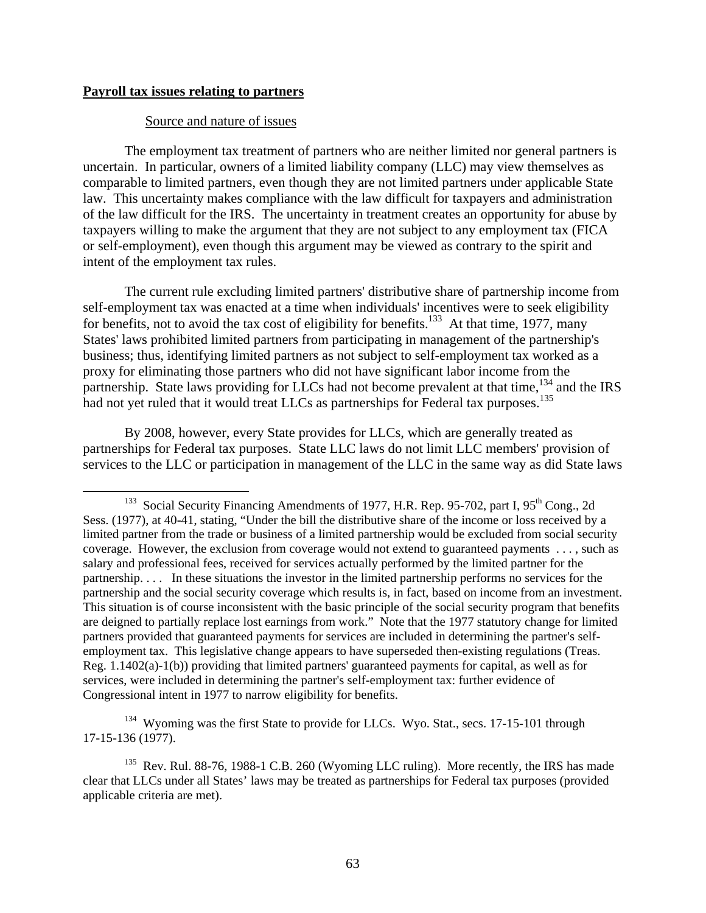#### **Payroll tax issues relating to partners**

# Source and nature of issues

The employment tax treatment of partners who are neither limited nor general partners is uncertain. In particular, owners of a limited liability company (LLC) may view themselves as comparable to limited partners, even though they are not limited partners under applicable State law. This uncertainty makes compliance with the law difficult for taxpayers and administration of the law difficult for the IRS. The uncertainty in treatment creates an opportunity for abuse by taxpayers willing to make the argument that they are not subject to any employment tax (FICA or self-employment), even though this argument may be viewed as contrary to the spirit and intent of the employment tax rules.

The current rule excluding limited partners' distributive share of partnership income from self-employment tax was enacted at a time when individuals' incentives were to seek eligibility for benefits, not to avoid the tax cost of eligibility for benefits.<sup>133</sup> At that time, 1977, many States' laws prohibited limited partners from participating in management of the partnership's business; thus, identifying limited partners as not subject to self-employment tax worked as a proxy for eliminating those partners who did not have significant labor income from the partnership. State laws providing for LLCs had not become prevalent at that time,<sup>134</sup> and the IRS had not yet ruled that it would treat LLCs as partnerships for Federal tax purposes.<sup>135</sup>

By 2008, however, every State provides for LLCs, which are generally treated as partnerships for Federal tax purposes. State LLC laws do not limit LLC members' provision of services to the LLC or participation in management of the LLC in the same way as did State laws

<sup>134</sup> Wyoming was the first State to provide for LLCs. Wyo. Stat., secs. 17-15-101 through 17-15-136 (1977).

<sup>&</sup>lt;sup>133</sup> Social Security Financing Amendments of 1977, H.R. Rep. 95-702, part I,  $95<sup>th</sup>$  Cong., 2d Sess. (1977), at 40-41, stating, "Under the bill the distributive share of the income or loss received by a limited partner from the trade or business of a limited partnership would be excluded from social security coverage. However, the exclusion from coverage would not extend to guaranteed payments . . . , such as salary and professional fees, received for services actually performed by the limited partner for the partnership. . . . In these situations the investor in the limited partnership performs no services for the partnership and the social security coverage which results is, in fact, based on income from an investment. This situation is of course inconsistent with the basic principle of the social security program that benefits are deigned to partially replace lost earnings from work." Note that the 1977 statutory change for limited partners provided that guaranteed payments for services are included in determining the partner's selfemployment tax. This legislative change appears to have superseded then-existing regulations (Treas. Reg. 1.1402(a)-1(b)) providing that limited partners' guaranteed payments for capital, as well as for services, were included in determining the partner's self-employment tax: further evidence of Congressional intent in 1977 to narrow eligibility for benefits.

 $135$  Rev. Rul. 88-76, 1988-1 C.B. 260 (Wyoming LLC ruling). More recently, the IRS has made clear that LLCs under all States' laws may be treated as partnerships for Federal tax purposes (provided applicable criteria are met).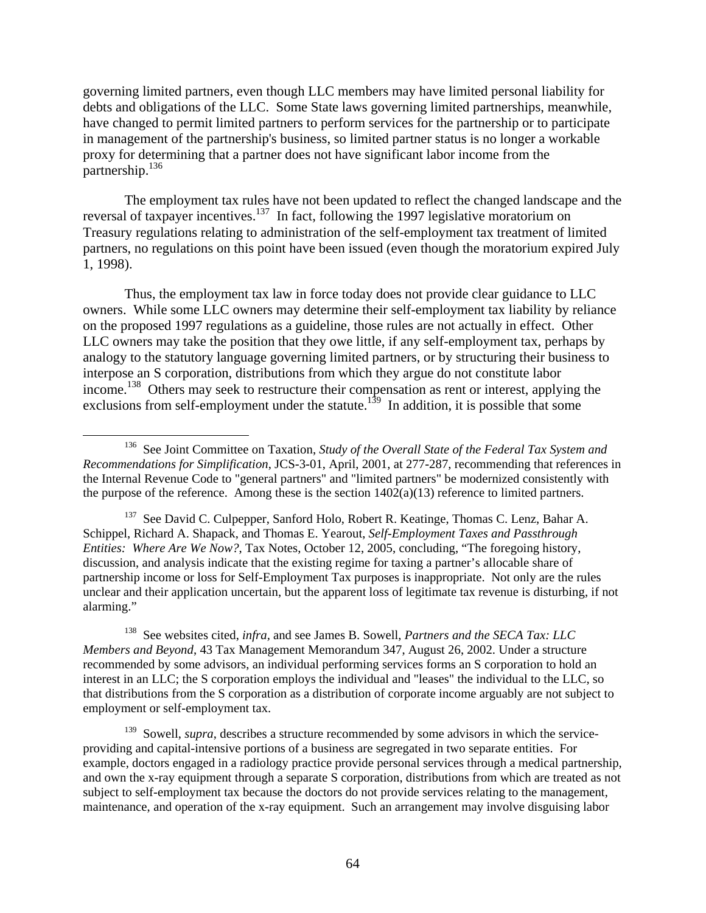governing limited partners, even though LLC members may have limited personal liability for debts and obligations of the LLC. Some State laws governing limited partnerships, meanwhile, have changed to permit limited partners to perform services for the partnership or to participate in management of the partnership's business, so limited partner status is no longer a workable proxy for determining that a partner does not have significant labor income from the partnership.136

The employment tax rules have not been updated to reflect the changed landscape and the reversal of taxpayer incentives.137 In fact, following the 1997 legislative moratorium on Treasury regulations relating to administration of the self-employment tax treatment of limited partners, no regulations on this point have been issued (even though the moratorium expired July 1, 1998).

Thus, the employment tax law in force today does not provide clear guidance to LLC owners. While some LLC owners may determine their self-employment tax liability by reliance on the proposed 1997 regulations as a guideline, those rules are not actually in effect. Other LLC owners may take the position that they owe little, if any self-employment tax, perhaps by analogy to the statutory language governing limited partners, or by structuring their business to interpose an S corporation, distributions from which they argue do not constitute labor income.138 Others may seek to restructure their compensation as rent or interest, applying the exclusions from self-employment under the statute.<sup>139</sup> In addition, it is possible that some

 $137$  See David C. Culpepper, Sanford Holo, Robert R. Keatinge, Thomas C. Lenz, Bahar A. Schippel, Richard A. Shapack, and Thomas E. Yearout, *Self-Employment Taxes and Passthrough Entities: Where Are We Now?*, Tax Notes, October 12, 2005, concluding, "The foregoing history, discussion, and analysis indicate that the existing regime for taxing a partner's allocable share of partnership income or loss for Self-Employment Tax purposes is inappropriate. Not only are the rules unclear and their application uncertain, but the apparent loss of legitimate tax revenue is disturbing, if not alarming."

138 See websites cited, *infra,* and see James B. Sowell, *Partners and the SECA Tax: LLC Members and Beyond*, 43 Tax Management Memorandum 347, August 26, 2002. Under a structure recommended by some advisors, an individual performing services forms an S corporation to hold an interest in an LLC; the S corporation employs the individual and "leases" the individual to the LLC, so that distributions from the S corporation as a distribution of corporate income arguably are not subject to employment or self-employment tax.

<sup>139</sup> Sowell, *supra*, describes a structure recommended by some advisors in which the serviceproviding and capital-intensive portions of a business are segregated in two separate entities. For example, doctors engaged in a radiology practice provide personal services through a medical partnership, and own the x-ray equipment through a separate S corporation, distributions from which are treated as not subject to self-employment tax because the doctors do not provide services relating to the management, maintenance, and operation of the x-ray equipment. Such an arrangement may involve disguising labor

 <sup>136</sup> See Joint Committee on Taxation, *Study of the Overall State of the Federal Tax System and Recommendations for Simplification*, JCS-3-01, April, 2001, at 277-287, recommending that references in the Internal Revenue Code to "general partners" and "limited partners" be modernized consistently with the purpose of the reference. Among these is the section  $1402(a)(13)$  reference to limited partners.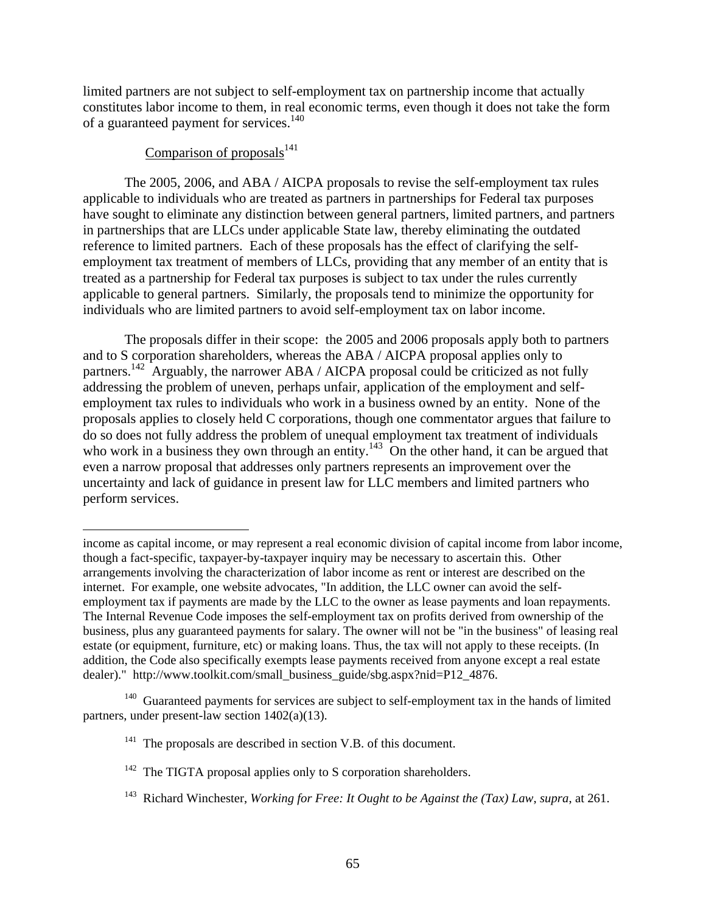limited partners are not subject to self-employment tax on partnership income that actually constitutes labor income to them, in real economic terms, even though it does not take the form of a guaranteed payment for services.<sup>140</sup>

# Comparison of proposals $^{141}$

 $\overline{a}$ 

The 2005, 2006, and ABA / AICPA proposals to revise the self-employment tax rules applicable to individuals who are treated as partners in partnerships for Federal tax purposes have sought to eliminate any distinction between general partners, limited partners, and partners in partnerships that are LLCs under applicable State law, thereby eliminating the outdated reference to limited partners. Each of these proposals has the effect of clarifying the selfemployment tax treatment of members of LLCs, providing that any member of an entity that is treated as a partnership for Federal tax purposes is subject to tax under the rules currently applicable to general partners. Similarly, the proposals tend to minimize the opportunity for individuals who are limited partners to avoid self-employment tax on labor income.

The proposals differ in their scope: the 2005 and 2006 proposals apply both to partners and to S corporation shareholders, whereas the ABA / AICPA proposal applies only to partners.<sup>142</sup> Arguably, the narrower ABA / AICPA proposal could be criticized as not fully addressing the problem of uneven, perhaps unfair, application of the employment and selfemployment tax rules to individuals who work in a business owned by an entity. None of the proposals applies to closely held C corporations, though one commentator argues that failure to do so does not fully address the problem of unequal employment tax treatment of individuals who work in a business they own through an entity.<sup>143</sup> On the other hand, it can be argued that even a narrow proposal that addresses only partners represents an improvement over the uncertainty and lack of guidance in present law for LLC members and limited partners who perform services.

income as capital income, or may represent a real economic division of capital income from labor income, though a fact-specific, taxpayer-by-taxpayer inquiry may be necessary to ascertain this. Other arrangements involving the characterization of labor income as rent or interest are described on the internet. For example, one website advocates, "In addition, the LLC owner can avoid the selfemployment tax if payments are made by the LLC to the owner as lease payments and loan repayments. The Internal Revenue Code imposes the self-employment tax on profits derived from ownership of the business, plus any guaranteed payments for salary. The owner will not be "in the business" of leasing real estate (or equipment, furniture, etc) or making loans. Thus, the tax will not apply to these receipts. (In addition, the Code also specifically exempts lease payments received from anyone except a real estate dealer)." http://www.toolkit.com/small\_business\_guide/sbg.aspx?nid=P12\_4876.

 $140$  Guaranteed payments for services are subject to self-employment tax in the hands of limited partners, under present-law section 1402(a)(13).

<sup>&</sup>lt;sup>141</sup> The proposals are described in section V.B. of this document.

 $142$  The TIGTA proposal applies only to S corporation shareholders.

<sup>143</sup> Richard Winchester, *Working for Free: It Ought to be Against the (Tax) Law*, *supra*, at 261.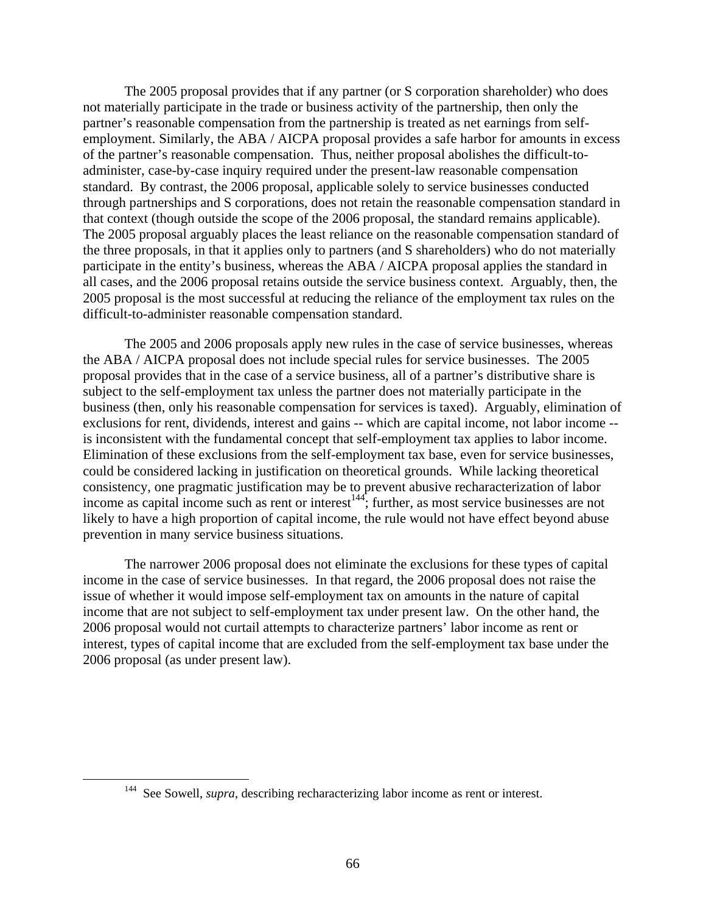The 2005 proposal provides that if any partner (or S corporation shareholder) who does not materially participate in the trade or business activity of the partnership, then only the partner's reasonable compensation from the partnership is treated as net earnings from selfemployment. Similarly, the ABA / AICPA proposal provides a safe harbor for amounts in excess of the partner's reasonable compensation. Thus, neither proposal abolishes the difficult-toadminister, case-by-case inquiry required under the present-law reasonable compensation standard. By contrast, the 2006 proposal, applicable solely to service businesses conducted through partnerships and S corporations, does not retain the reasonable compensation standard in that context (though outside the scope of the 2006 proposal, the standard remains applicable). The 2005 proposal arguably places the least reliance on the reasonable compensation standard of the three proposals, in that it applies only to partners (and S shareholders) who do not materially participate in the entity's business, whereas the ABA / AICPA proposal applies the standard in all cases, and the 2006 proposal retains outside the service business context. Arguably, then, the 2005 proposal is the most successful at reducing the reliance of the employment tax rules on the difficult-to-administer reasonable compensation standard.

The 2005 and 2006 proposals apply new rules in the case of service businesses, whereas the ABA / AICPA proposal does not include special rules for service businesses. The 2005 proposal provides that in the case of a service business, all of a partner's distributive share is subject to the self-employment tax unless the partner does not materially participate in the business (then, only his reasonable compensation for services is taxed). Arguably, elimination of exclusions for rent, dividends, interest and gains -- which are capital income, not labor income - is inconsistent with the fundamental concept that self-employment tax applies to labor income. Elimination of these exclusions from the self-employment tax base, even for service businesses, could be considered lacking in justification on theoretical grounds. While lacking theoretical consistency, one pragmatic justification may be to prevent abusive recharacterization of labor income as capital income such as rent or interest<sup>144</sup>; further, as most service businesses are not likely to have a high proportion of capital income, the rule would not have effect beyond abuse prevention in many service business situations.

The narrower 2006 proposal does not eliminate the exclusions for these types of capital income in the case of service businesses. In that regard, the 2006 proposal does not raise the issue of whether it would impose self-employment tax on amounts in the nature of capital income that are not subject to self-employment tax under present law. On the other hand, the 2006 proposal would not curtail attempts to characterize partners' labor income as rent or interest, types of capital income that are excluded from the self-employment tax base under the 2006 proposal (as under present law).

<sup>&</sup>lt;sup>144</sup> See Sowell, *supra*, describing recharacterizing labor income as rent or interest.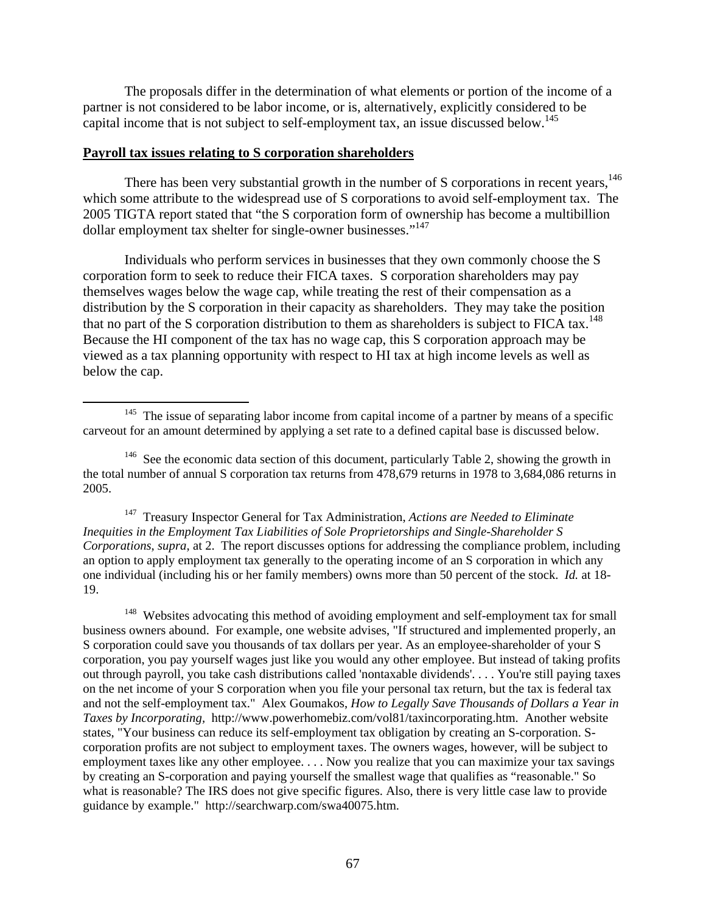The proposals differ in the determination of what elements or portion of the income of a partner is not considered to be labor income, or is, alternatively, explicitly considered to be capital income that is not subject to self-employment tax, an issue discussed below.<sup>145</sup>

# **Payroll tax issues relating to S corporation shareholders**

There has been very substantial growth in the number of S corporations in recent years,<sup>146</sup> which some attribute to the widespread use of S corporations to avoid self-employment tax. The 2005 TIGTA report stated that "the S corporation form of ownership has become a multibillion dollar employment tax shelter for single-owner businesses."<sup>147</sup>

Individuals who perform services in businesses that they own commonly choose the S corporation form to seek to reduce their FICA taxes. S corporation shareholders may pay themselves wages below the wage cap, while treating the rest of their compensation as a distribution by the S corporation in their capacity as shareholders. They may take the position that no part of the S corporation distribution to them as shareholders is subject to FICA tax.<sup>148</sup> Because the HI component of the tax has no wage cap, this S corporation approach may be viewed as a tax planning opportunity with respect to HI tax at high income levels as well as below the cap.

147 Treasury Inspector General for Tax Administration, *Actions are Needed to Eliminate Inequities in the Employment Tax Liabilities of Sole Proprietorships and Single-Shareholder S Corporations*, *supra*, at 2. The report discusses options for addressing the compliance problem, including an option to apply employment tax generally to the operating income of an S corporation in which any one individual (including his or her family members) owns more than 50 percent of the stock. *Id.* at 18- 19.

<sup>148</sup> Websites advocating this method of avoiding employment and self-employment tax for small business owners abound. For example, one website advises, "If structured and implemented properly, an S corporation could save you thousands of tax dollars per year. As an employee-shareholder of your S corporation, you pay yourself wages just like you would any other employee. But instead of taking profits out through payroll, you take cash distributions called 'nontaxable dividends'. . . . You're still paying taxes on the net income of your S corporation when you file your personal tax return, but the tax is federal tax and not the self-employment tax." Alex Goumakos, *How to Legally Save Thousands of Dollars a Year in Taxes by Incorporating,* http://www.powerhomebiz.com/vol81/taxincorporating.htm. Another website states, "Your business can reduce its self-employment tax obligation by creating an S-corporation. Scorporation profits are not subject to employment taxes. The owners wages, however, will be subject to employment taxes like any other employee. . . . Now you realize that you can maximize your tax savings by creating an S-corporation and paying yourself the smallest wage that qualifies as "reasonable." So what is reasonable? The IRS does not give specific figures. Also, there is very little case law to provide guidance by example." http://searchwarp.com/swa40075.htm.

 $145$  The issue of separating labor income from capital income of a partner by means of a specific carveout for an amount determined by applying a set rate to a defined capital base is discussed below.

 $146$  See the economic data section of this document, particularly Table 2, showing the growth in the total number of annual S corporation tax returns from 478,679 returns in 1978 to 3,684,086 returns in 2005.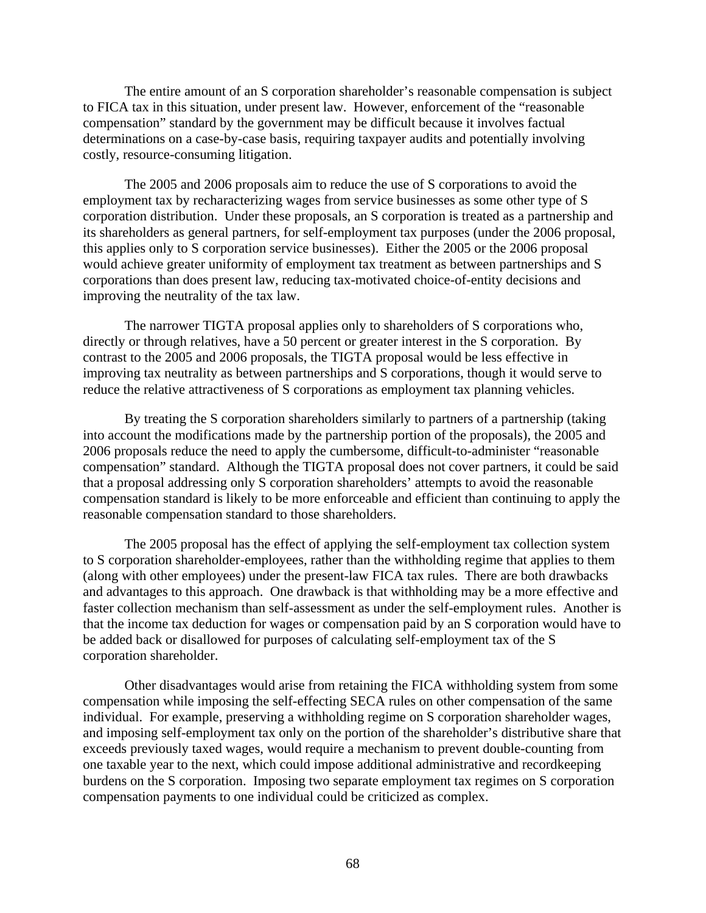The entire amount of an S corporation shareholder's reasonable compensation is subject to FICA tax in this situation, under present law. However, enforcement of the "reasonable compensation" standard by the government may be difficult because it involves factual determinations on a case-by-case basis, requiring taxpayer audits and potentially involving costly, resource-consuming litigation.

The 2005 and 2006 proposals aim to reduce the use of S corporations to avoid the employment tax by recharacterizing wages from service businesses as some other type of S corporation distribution. Under these proposals, an S corporation is treated as a partnership and its shareholders as general partners, for self-employment tax purposes (under the 2006 proposal, this applies only to S corporation service businesses). Either the 2005 or the 2006 proposal would achieve greater uniformity of employment tax treatment as between partnerships and S corporations than does present law, reducing tax-motivated choice-of-entity decisions and improving the neutrality of the tax law.

The narrower TIGTA proposal applies only to shareholders of S corporations who, directly or through relatives, have a 50 percent or greater interest in the S corporation. By contrast to the 2005 and 2006 proposals, the TIGTA proposal would be less effective in improving tax neutrality as between partnerships and S corporations, though it would serve to reduce the relative attractiveness of S corporations as employment tax planning vehicles.

By treating the S corporation shareholders similarly to partners of a partnership (taking into account the modifications made by the partnership portion of the proposals), the 2005 and 2006 proposals reduce the need to apply the cumbersome, difficult-to-administer "reasonable compensation" standard. Although the TIGTA proposal does not cover partners, it could be said that a proposal addressing only S corporation shareholders' attempts to avoid the reasonable compensation standard is likely to be more enforceable and efficient than continuing to apply the reasonable compensation standard to those shareholders.

The 2005 proposal has the effect of applying the self-employment tax collection system to S corporation shareholder-employees, rather than the withholding regime that applies to them (along with other employees) under the present-law FICA tax rules. There are both drawbacks and advantages to this approach. One drawback is that withholding may be a more effective and faster collection mechanism than self-assessment as under the self-employment rules. Another is that the income tax deduction for wages or compensation paid by an S corporation would have to be added back or disallowed for purposes of calculating self-employment tax of the S corporation shareholder.

Other disadvantages would arise from retaining the FICA withholding system from some compensation while imposing the self-effecting SECA rules on other compensation of the same individual. For example, preserving a withholding regime on S corporation shareholder wages, and imposing self-employment tax only on the portion of the shareholder's distributive share that exceeds previously taxed wages, would require a mechanism to prevent double-counting from one taxable year to the next, which could impose additional administrative and recordkeeping burdens on the S corporation. Imposing two separate employment tax regimes on S corporation compensation payments to one individual could be criticized as complex.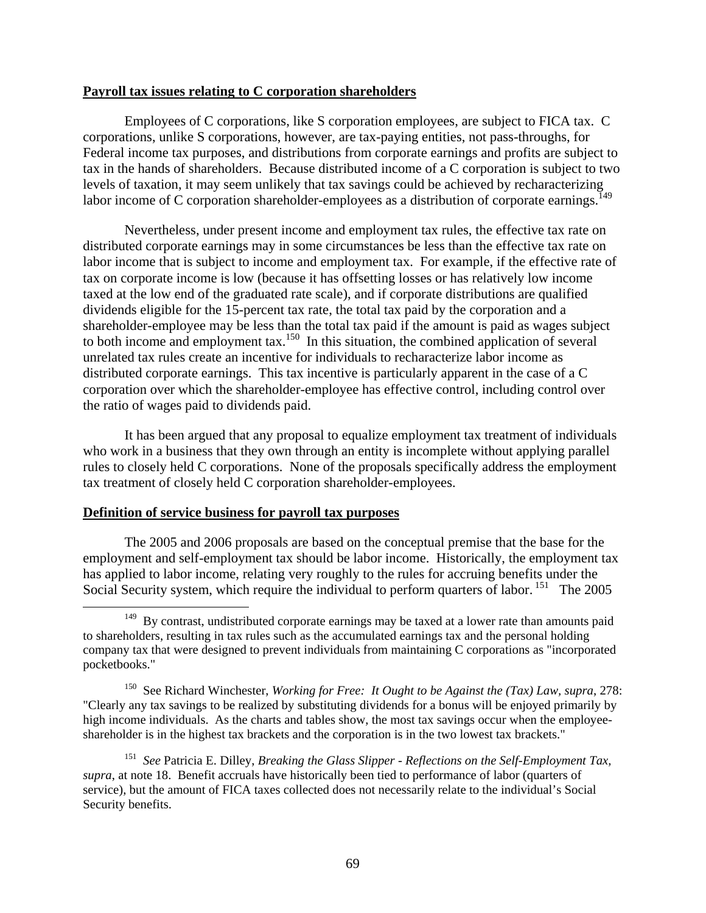# **Payroll tax issues relating to C corporation shareholders**

Employees of C corporations, like S corporation employees, are subject to FICA tax. C corporations, unlike S corporations, however, are tax-paying entities, not pass-throughs, for Federal income tax purposes, and distributions from corporate earnings and profits are subject to tax in the hands of shareholders. Because distributed income of a C corporation is subject to two levels of taxation, it may seem unlikely that tax savings could be achieved by recharacterizing labor income of C corporation shareholder-employees as a distribution of corporate earnings.<sup>149</sup>

Nevertheless, under present income and employment tax rules, the effective tax rate on distributed corporate earnings may in some circumstances be less than the effective tax rate on labor income that is subject to income and employment tax. For example, if the effective rate of tax on corporate income is low (because it has offsetting losses or has relatively low income taxed at the low end of the graduated rate scale), and if corporate distributions are qualified dividends eligible for the 15-percent tax rate, the total tax paid by the corporation and a shareholder-employee may be less than the total tax paid if the amount is paid as wages subject to both income and employment tax.<sup>150</sup> In this situation, the combined application of several unrelated tax rules create an incentive for individuals to recharacterize labor income as distributed corporate earnings. This tax incentive is particularly apparent in the case of a C corporation over which the shareholder-employee has effective control, including control over the ratio of wages paid to dividends paid.

It has been argued that any proposal to equalize employment tax treatment of individuals who work in a business that they own through an entity is incomplete without applying parallel rules to closely held C corporations. None of the proposals specifically address the employment tax treatment of closely held C corporation shareholder-employees.

# **Definition of service business for payroll tax purposes**

The 2005 and 2006 proposals are based on the conceptual premise that the base for the employment and self-employment tax should be labor income. Historically, the employment tax has applied to labor income, relating very roughly to the rules for accruing benefits under the Social Security system, which require the individual to perform quarters of labor. <sup>151</sup> The 2005

<sup>&</sup>lt;sup>149</sup> By contrast, undistributed corporate earnings may be taxed at a lower rate than amounts paid to shareholders, resulting in tax rules such as the accumulated earnings tax and the personal holding company tax that were designed to prevent individuals from maintaining C corporations as "incorporated pocketbooks."

<sup>150</sup> See Richard Winchester, *Working for Free: It Ought to be Against the (Tax) Law, supra*, 278: "Clearly any tax savings to be realized by substituting dividends for a bonus will be enjoyed primarily by high income individuals. As the charts and tables show, the most tax savings occur when the employeeshareholder is in the highest tax brackets and the corporation is in the two lowest tax brackets."

<sup>151</sup> *See* Patricia E. Dilley, *Breaking the Glass Slipper - Reflections on the Self-Employment Tax, supra*, at note 18. Benefit accruals have historically been tied to performance of labor (quarters of service), but the amount of FICA taxes collected does not necessarily relate to the individual's Social Security benefits.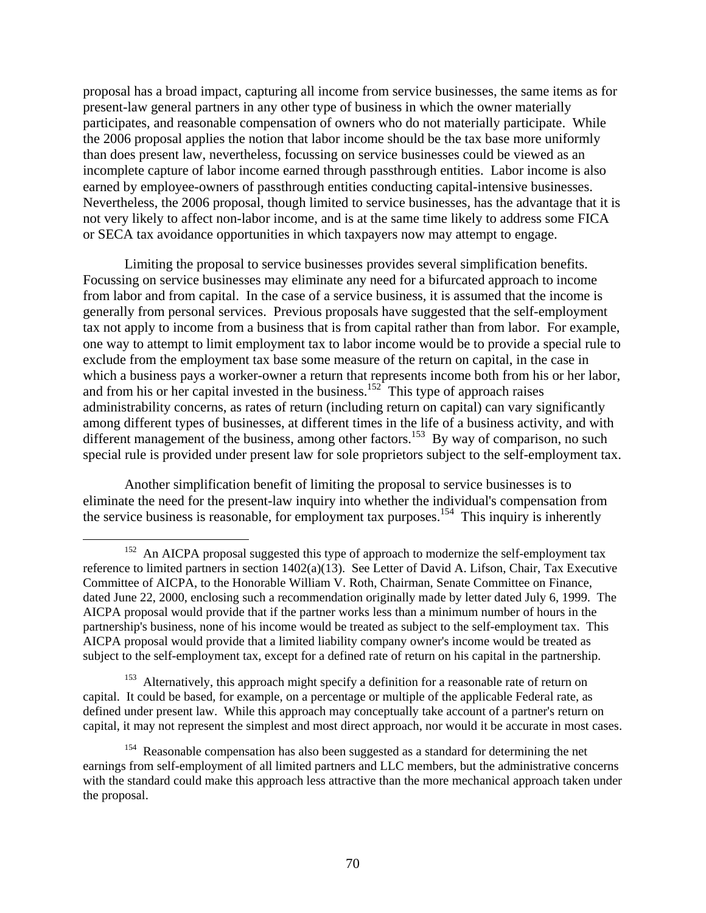proposal has a broad impact, capturing all income from service businesses, the same items as for present-law general partners in any other type of business in which the owner materially participates, and reasonable compensation of owners who do not materially participate. While the 2006 proposal applies the notion that labor income should be the tax base more uniformly than does present law, nevertheless, focussing on service businesses could be viewed as an incomplete capture of labor income earned through passthrough entities. Labor income is also earned by employee-owners of passthrough entities conducting capital-intensive businesses. Nevertheless, the 2006 proposal, though limited to service businesses, has the advantage that it is not very likely to affect non-labor income, and is at the same time likely to address some FICA or SECA tax avoidance opportunities in which taxpayers now may attempt to engage.

Limiting the proposal to service businesses provides several simplification benefits. Focussing on service businesses may eliminate any need for a bifurcated approach to income from labor and from capital. In the case of a service business, it is assumed that the income is generally from personal services. Previous proposals have suggested that the self-employment tax not apply to income from a business that is from capital rather than from labor. For example, one way to attempt to limit employment tax to labor income would be to provide a special rule to exclude from the employment tax base some measure of the return on capital, in the case in which a business pays a worker-owner a return that represents income both from his or her labor, and from his or her capital invested in the business.<sup>152</sup> This type of approach raises administrability concerns, as rates of return (including return on capital) can vary significantly among different types of businesses, at different times in the life of a business activity, and with different management of the business, among other factors.<sup>153</sup> By way of comparison, no such special rule is provided under present law for sole proprietors subject to the self-employment tax.

Another simplification benefit of limiting the proposal to service businesses is to eliminate the need for the present-law inquiry into whether the individual's compensation from the service business is reasonable, for employment tax purposes.<sup>154</sup> This inquiry is inherently

<sup>153</sup> Alternatively, this approach might specify a definition for a reasonable rate of return on capital. It could be based, for example, on a percentage or multiple of the applicable Federal rate, as defined under present law. While this approach may conceptually take account of a partner's return on capital, it may not represent the simplest and most direct approach, nor would it be accurate in most cases.

<sup>&</sup>lt;sup>152</sup> An AICPA proposal suggested this type of approach to modernize the self-employment tax reference to limited partners in section  $1402(a)(13)$ . See Letter of David A. Lifson, Chair, Tax Executive Committee of AICPA, to the Honorable William V. Roth, Chairman, Senate Committee on Finance, dated June 22, 2000, enclosing such a recommendation originally made by letter dated July 6, 1999. The AICPA proposal would provide that if the partner works less than a minimum number of hours in the partnership's business, none of his income would be treated as subject to the self-employment tax. This AICPA proposal would provide that a limited liability company owner's income would be treated as subject to the self-employment tax, except for a defined rate of return on his capital in the partnership.

<sup>&</sup>lt;sup>154</sup> Reasonable compensation has also been suggested as a standard for determining the net earnings from self-employment of all limited partners and LLC members, but the administrative concerns with the standard could make this approach less attractive than the more mechanical approach taken under the proposal.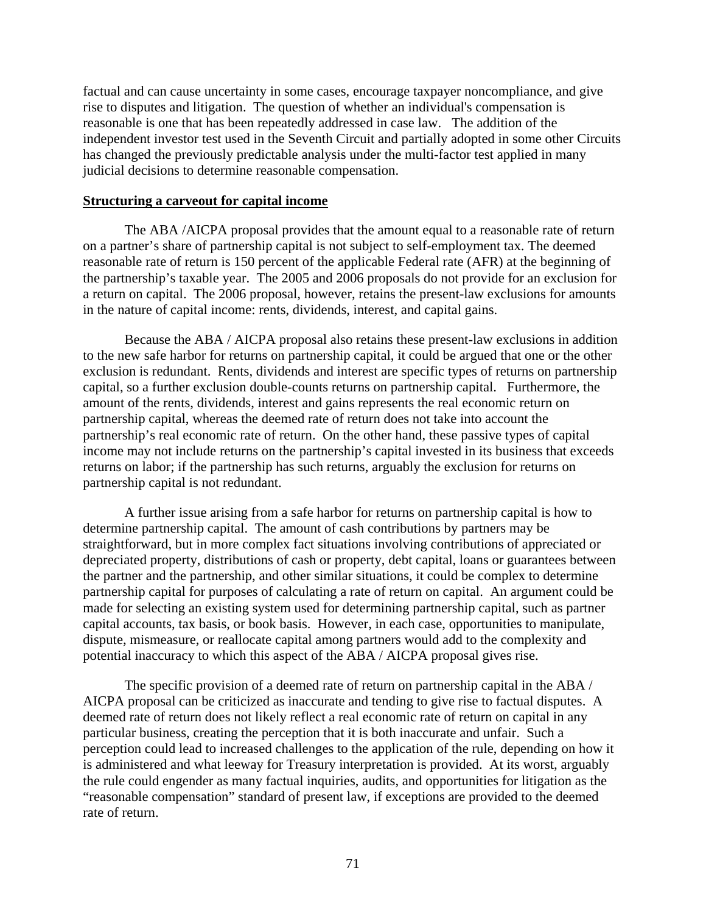factual and can cause uncertainty in some cases, encourage taxpayer noncompliance, and give rise to disputes and litigation. The question of whether an individual's compensation is reasonable is one that has been repeatedly addressed in case law. The addition of the independent investor test used in the Seventh Circuit and partially adopted in some other Circuits has changed the previously predictable analysis under the multi-factor test applied in many judicial decisions to determine reasonable compensation.

## **Structuring a carveout for capital income**

The ABA /AICPA proposal provides that the amount equal to a reasonable rate of return on a partner's share of partnership capital is not subject to self-employment tax. The deemed reasonable rate of return is 150 percent of the applicable Federal rate (AFR) at the beginning of the partnership's taxable year. The 2005 and 2006 proposals do not provide for an exclusion for a return on capital. The 2006 proposal, however, retains the present-law exclusions for amounts in the nature of capital income: rents, dividends, interest, and capital gains.

Because the ABA / AICPA proposal also retains these present-law exclusions in addition to the new safe harbor for returns on partnership capital, it could be argued that one or the other exclusion is redundant. Rents, dividends and interest are specific types of returns on partnership capital, so a further exclusion double-counts returns on partnership capital. Furthermore, the amount of the rents, dividends, interest and gains represents the real economic return on partnership capital, whereas the deemed rate of return does not take into account the partnership's real economic rate of return. On the other hand, these passive types of capital income may not include returns on the partnership's capital invested in its business that exceeds returns on labor; if the partnership has such returns, arguably the exclusion for returns on partnership capital is not redundant.

A further issue arising from a safe harbor for returns on partnership capital is how to determine partnership capital. The amount of cash contributions by partners may be straightforward, but in more complex fact situations involving contributions of appreciated or depreciated property, distributions of cash or property, debt capital, loans or guarantees between the partner and the partnership, and other similar situations, it could be complex to determine partnership capital for purposes of calculating a rate of return on capital. An argument could be made for selecting an existing system used for determining partnership capital, such as partner capital accounts, tax basis, or book basis. However, in each case, opportunities to manipulate, dispute, mismeasure, or reallocate capital among partners would add to the complexity and potential inaccuracy to which this aspect of the ABA / AICPA proposal gives rise.

The specific provision of a deemed rate of return on partnership capital in the ABA / AICPA proposal can be criticized as inaccurate and tending to give rise to factual disputes. A deemed rate of return does not likely reflect a real economic rate of return on capital in any particular business, creating the perception that it is both inaccurate and unfair. Such a perception could lead to increased challenges to the application of the rule, depending on how it is administered and what leeway for Treasury interpretation is provided. At its worst, arguably the rule could engender as many factual inquiries, audits, and opportunities for litigation as the "reasonable compensation" standard of present law, if exceptions are provided to the deemed rate of return.